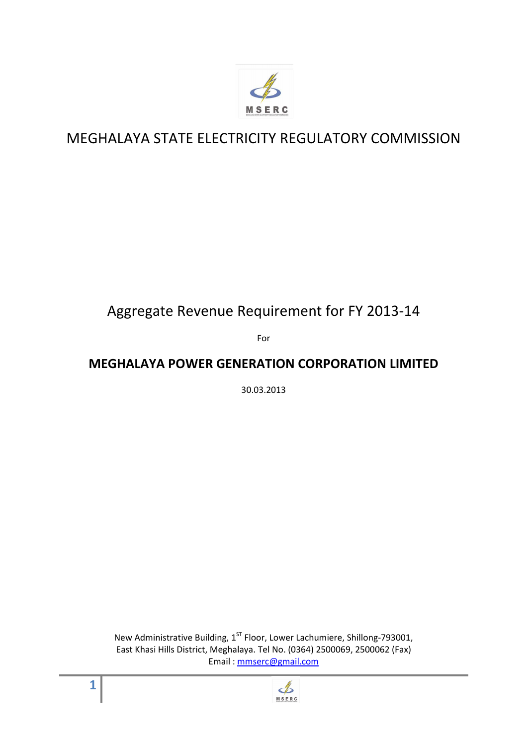

# MEGHALAYA STATE ELECTRICITY REGULATORY COMMISSION

# Aggregate Revenue Requirement for FY 2013-14

For

# **MEGHALAYA POWER GENERATION CORPORATION LIMITED**

30.03.2013

New Administrative Building,  $1^{ST}$  Floor, Lower Lachumiere, Shillong-793001, East Khasi Hills District, Meghalaya. Tel No. (0364) 2500069, 2500062 (Fax) Email : mmserc@gmail.com

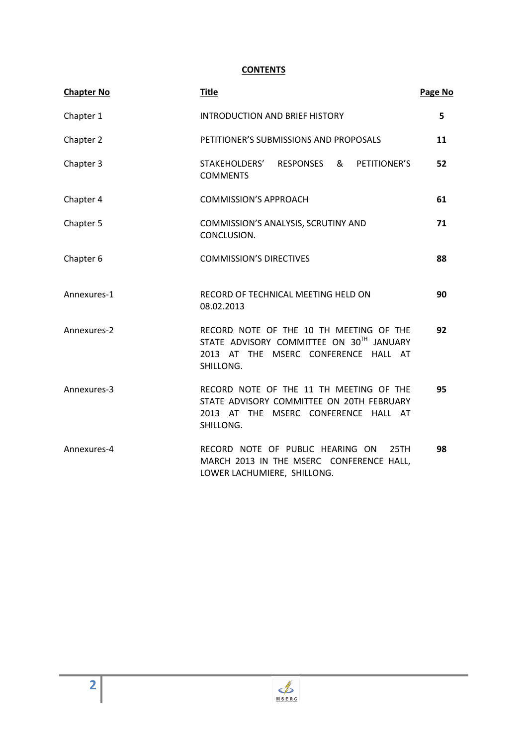# **CONTENTS**

| <b>Chapter No</b> | <b>Title</b>                                                                                                                              | Page No |
|-------------------|-------------------------------------------------------------------------------------------------------------------------------------------|---------|
| Chapter 1         | <b>INTRODUCTION AND BRIEF HISTORY</b>                                                                                                     | 5       |
| Chapter 2         | PETITIONER'S SUBMISSIONS AND PROPOSALS                                                                                                    | 11      |
| Chapter 3         | & PETITIONER'S<br>STAKEHOLDERS' RESPONSES<br><b>COMMENTS</b>                                                                              | 52      |
| Chapter 4         | <b>COMMISSION'S APPROACH</b>                                                                                                              | 61      |
| Chapter 5         | COMMISSION'S ANALYSIS, SCRUTINY AND<br>CONCLUSION.                                                                                        | 71      |
| Chapter 6         | <b>COMMISSION'S DIRECTIVES</b>                                                                                                            | 88      |
| Annexures-1       | RECORD OF TECHNICAL MEETING HELD ON<br>08.02.2013                                                                                         | 90      |
| Annexures-2       | RECORD NOTE OF THE 10 TH MEETING OF THE<br>STATE ADVISORY COMMITTEE ON 30TH JANUARY<br>2013 AT THE MSERC CONFERENCE HALL AT<br>SHILLONG.  | 92      |
| Annexures-3       | RECORD NOTE OF THE 11 TH MEETING OF THE<br>STATE ADVISORY COMMITTEE ON 20TH FEBRUARY<br>2013 AT THE MSERC CONFERENCE HALL AT<br>SHILLONG. | 95      |
| Annexures-4       | RECORD NOTE OF PUBLIC HEARING ON<br>25TH<br>MARCH 2013 IN THE MSERC CONFERENCE HALL,<br>LOWER LACHUMIERE, SHILLONG.                       | 98      |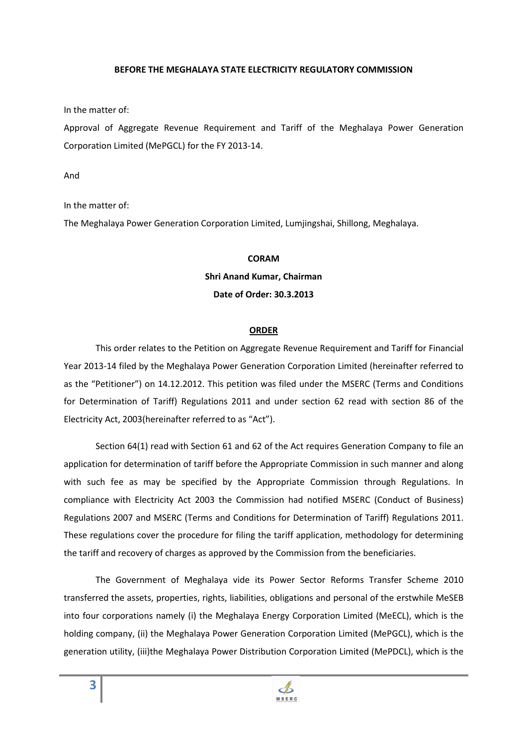#### **BEFORE THE MEGHALAYA STATE ELECTRICITY REGULATORY COMMISSION**

In the matter of:

Approval of Aggregate Revenue Requirement and Tariff of the Meghalaya Power Generation Corporation Limited (MePGCL) for the FY 2013-14.

And

In the matter of:

The Meghalaya Power Generation Corporation Limited, Lumjingshai, Shillong, Meghalaya.

#### **CORAM**

#### **Shri Anand Kumar, Chairman**

#### **Date of Order: 30.3.2013**

#### **ORDER**

This order relates to the Petition on Aggregate Revenue Requirement and Tariff for Financial Year 2013-14 filed by the Meghalaya Power Generation Corporation Limited (hereinafter referred to as the "Petitioner") on 14.12.2012. This petition was filed under the MSERC (Terms and Conditions for Determination of Tariff) Regulations 2011 and under section 62 read with section 86 of the Electricity Act, 2003(hereinafter referred to as "Act").

Section 64(1) read with Section 61 and 62 of the Act requires Generation Company to file an application for determination of tariff before the Appropriate Commission in such manner and along with such fee as may be specified by the Appropriate Commission through Regulations. In compliance with Electricity Act 2003 the Commission had notified MSERC (Conduct of Business) Regulations 2007 and MSERC (Terms and Conditions for Determination of Tariff) Regulations 2011. These regulations cover the procedure for filing the tariff application, methodology for determining the tariff and recovery of charges as approved by the Commission from the beneficiaries.

The Government of Meghalaya vide its Power Sector Reforms Transfer Scheme 2010 transferred the assets, properties, rights, liabilities, obligations and personal of the erstwhile MeSEB into four corporations namely (i) the Meghalaya Energy Corporation Limited (MeECL), which is the holding company, (ii) the Meghalaya Power Generation Corporation Limited (MePGCL), which is the generation utility, (iii)the Meghalaya Power Distribution Corporation Limited (MePDCL), which is the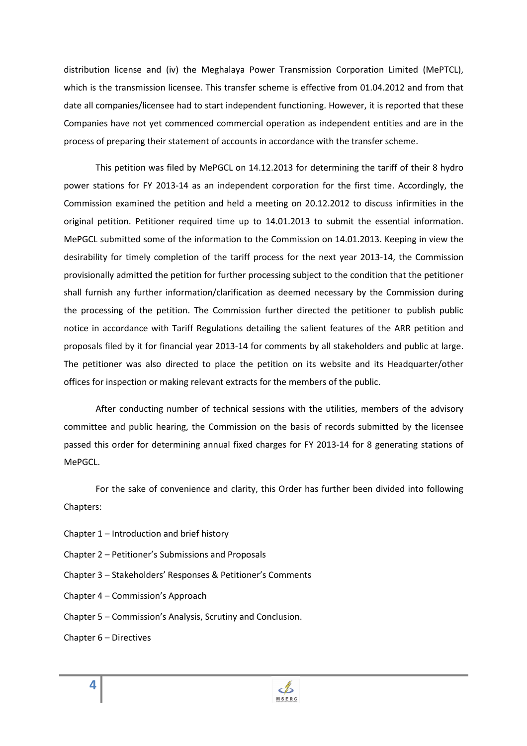distribution license and (iv) the Meghalaya Power Transmission Corporation Limited (MePTCL), which is the transmission licensee. This transfer scheme is effective from 01.04.2012 and from that date all companies/licensee had to start independent functioning. However, it is reported that these Companies have not yet commenced commercial operation as independent entities and are in the process of preparing their statement of accounts in accordance with the transfer scheme.

This petition was filed by MePGCL on 14.12.2013 for determining the tariff of their 8 hydro power stations for FY 2013-14 as an independent corporation for the first time. Accordingly, the Commission examined the petition and held a meeting on 20.12.2012 to discuss infirmities in the original petition. Petitioner required time up to 14.01.2013 to submit the essential information. MePGCL submitted some of the information to the Commission on 14.01.2013. Keeping in view the desirability for timely completion of the tariff process for the next year 2013-14, the Commission provisionally admitted the petition for further processing subject to the condition that the petitioner shall furnish any further information/clarification as deemed necessary by the Commission during the processing of the petition. The Commission further directed the petitioner to publish public notice in accordance with Tariff Regulations detailing the salient features of the ARR petition and proposals filed by it for financial year 2013-14 for comments by all stakeholders and public at large. The petitioner was also directed to place the petition on its website and its Headquarter/other offices for inspection or making relevant extracts for the members of the public.

After conducting number of technical sessions with the utilities, members of the advisory committee and public hearing, the Commission on the basis of records submitted by the licensee passed this order for determining annual fixed charges for FY 2013-14 for 8 generating stations of MePGCL.

For the sake of convenience and clarity, this Order has further been divided into following Chapters:

- Chapter 1 Introduction and brief history
- Chapter 2 Petitioner's Submissions and Proposals
- Chapter 3 Stakeholders' Responses & Petitioner's Comments
- Chapter 4 Commission's Approach
- Chapter 5 Commission's Analysis, Scrutiny and Conclusion.
- Chapter 6 Directives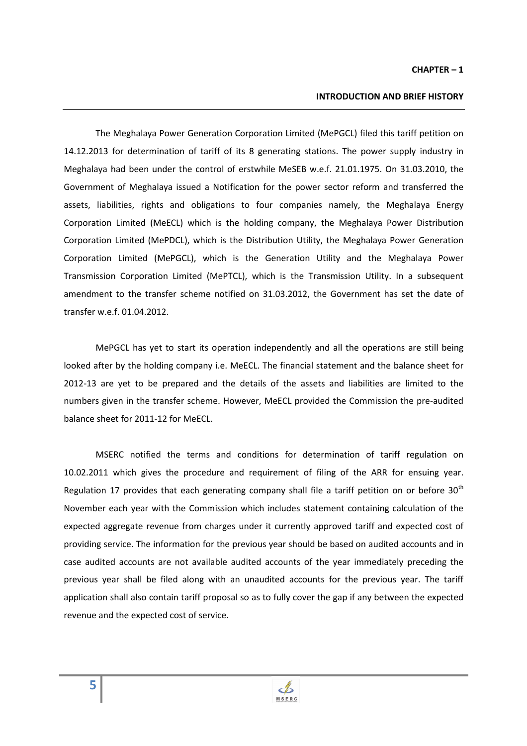#### **CHAPTER – 1**

#### **INTRODUCTION AND BRIEF HISTORY**

The Meghalaya Power Generation Corporation Limited (MePGCL) filed this tariff petition on 14.12.2013 for determination of tariff of its 8 generating stations. The power supply industry in Meghalaya had been under the control of erstwhile MeSEB w.e.f. 21.01.1975. On 31.03.2010, the Government of Meghalaya issued a Notification for the power sector reform and transferred the assets, liabilities, rights and obligations to four companies namely, the Meghalaya Energy Corporation Limited (MeECL) which is the holding company, the Meghalaya Power Distribution Corporation Limited (MePDCL), which is the Distribution Utility, the Meghalaya Power Generation Corporation Limited (MePGCL), which is the Generation Utility and the Meghalaya Power Transmission Corporation Limited (MePTCL), which is the Transmission Utility. In a subsequent amendment to the transfer scheme notified on 31.03.2012, the Government has set the date of transfer w.e.f. 01.04.2012.

 MePGCL has yet to start its operation independently and all the operations are still being looked after by the holding company i.e. MeECL. The financial statement and the balance sheet for 2012-13 are yet to be prepared and the details of the assets and liabilities are limited to the numbers given in the transfer scheme. However, MeECL provided the Commission the pre-audited balance sheet for 2011-12 for MeECL.

 MSERC notified the terms and conditions for determination of tariff regulation on 10.02.2011 which gives the procedure and requirement of filing of the ARR for ensuing year. Regulation 17 provides that each generating company shall file a tariff petition on or before  $30<sup>th</sup>$ November each year with the Commission which includes statement containing calculation of the expected aggregate revenue from charges under it currently approved tariff and expected cost of providing service. The information for the previous year should be based on audited accounts and in case audited accounts are not available audited accounts of the year immediately preceding the previous year shall be filed along with an unaudited accounts for the previous year. The tariff application shall also contain tariff proposal so as to fully cover the gap if any between the expected revenue and the expected cost of service.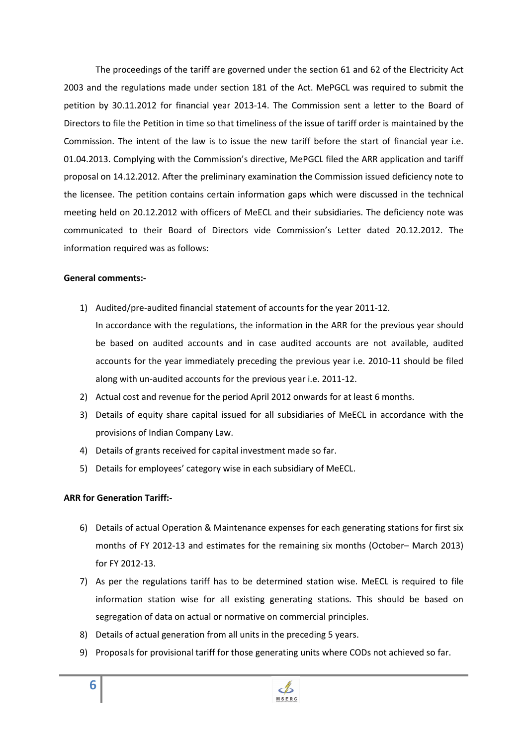The proceedings of the tariff are governed under the section 61 and 62 of the Electricity Act 2003 and the regulations made under section 181 of the Act. MePGCL was required to submit the petition by 30.11.2012 for financial year 2013-14. The Commission sent a letter to the Board of Directors to file the Petition in time so that timeliness of the issue of tariff order is maintained by the Commission. The intent of the law is to issue the new tariff before the start of financial year i.e. 01.04.2013. Complying with the Commission's directive, MePGCL filed the ARR application and tariff proposal on 14.12.2012. After the preliminary examination the Commission issued deficiency note to the licensee. The petition contains certain information gaps which were discussed in the technical meeting held on 20.12.2012 with officers of MeECL and their subsidiaries. The deficiency note was communicated to their Board of Directors vide Commission's Letter dated 20.12.2012. The information required was as follows:

#### **General comments:-**

- 1) Audited/pre-audited financial statement of accounts for the year 2011-12.
	- In accordance with the regulations, the information in the ARR for the previous year should be based on audited accounts and in case audited accounts are not available, audited accounts for the year immediately preceding the previous year i.e. 2010-11 should be filed along with un-audited accounts for the previous year i.e. 2011-12.
- 2) Actual cost and revenue for the period April 2012 onwards for at least 6 months.
- 3) Details of equity share capital issued for all subsidiaries of MeECL in accordance with the provisions of Indian Company Law.
- 4) Details of grants received for capital investment made so far.
- 5) Details for employees' category wise in each subsidiary of MeECL.

#### **ARR for Generation Tariff:-**

- 6) Details of actual Operation & Maintenance expenses for each generating stations for first six months of FY 2012-13 and estimates for the remaining six months (October– March 2013) for FY 2012-13.
- 7) As per the regulations tariff has to be determined station wise. MeECL is required to file information station wise for all existing generating stations. This should be based on segregation of data on actual or normative on commercial principles.
- 8) Details of actual generation from all units in the preceding 5 years.
- 9) Proposals for provisional tariff for those generating units where CODs not achieved so far.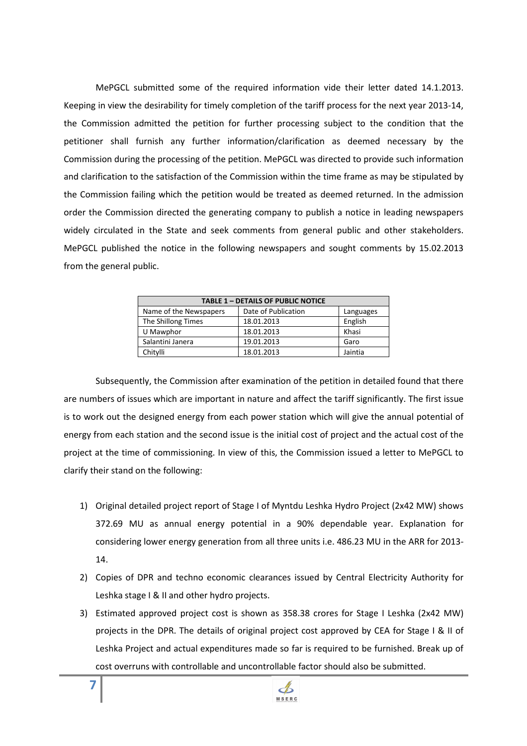MePGCL submitted some of the required information vide their letter dated 14.1.2013. Keeping in view the desirability for timely completion of the tariff process for the next year 2013-14, the Commission admitted the petition for further processing subject to the condition that the petitioner shall furnish any further information/clarification as deemed necessary by the Commission during the processing of the petition. MePGCL was directed to provide such information and clarification to the satisfaction of the Commission within the time frame as may be stipulated by the Commission failing which the petition would be treated as deemed returned. In the admission order the Commission directed the generating company to publish a notice in leading newspapers widely circulated in the State and seek comments from general public and other stakeholders. MePGCL published the notice in the following newspapers and sought comments by 15.02.2013 from the general public.

| <b>TABLE 1 - DETAILS OF PUBLIC NOTICE</b> |                     |           |  |  |  |
|-------------------------------------------|---------------------|-----------|--|--|--|
| Name of the Newspapers                    | Date of Publication | Languages |  |  |  |
| The Shillong Times                        | 18.01.2013          | English   |  |  |  |
| U Mawphor                                 | 18.01.2013          | Khasi     |  |  |  |
| Salantini Janera                          | 19.01.2013          | Garo      |  |  |  |
| Chitvlli                                  | 18.01.2013          | Jaintia   |  |  |  |

 Subsequently, the Commission after examination of the petition in detailed found that there are numbers of issues which are important in nature and affect the tariff significantly. The first issue is to work out the designed energy from each power station which will give the annual potential of energy from each station and the second issue is the initial cost of project and the actual cost of the project at the time of commissioning. In view of this, the Commission issued a letter to MePGCL to clarify their stand on the following:

- 1) Original detailed project report of Stage I of Myntdu Leshka Hydro Project (2x42 MW) shows 372.69 MU as annual energy potential in a 90% dependable year. Explanation for considering lower energy generation from all three units i.e. 486.23 MU in the ARR for 2013- 14.
- 2) Copies of DPR and techno economic clearances issued by Central Electricity Authority for Leshka stage I & II and other hydro projects.
- 3) Estimated approved project cost is shown as 358.38 crores for Stage I Leshka (2x42 MW) projects in the DPR. The details of original project cost approved by CEA for Stage I & II of Leshka Project and actual expenditures made so far is required to be furnished. Break up of cost overruns with controllable and uncontrollable factor should also be submitted.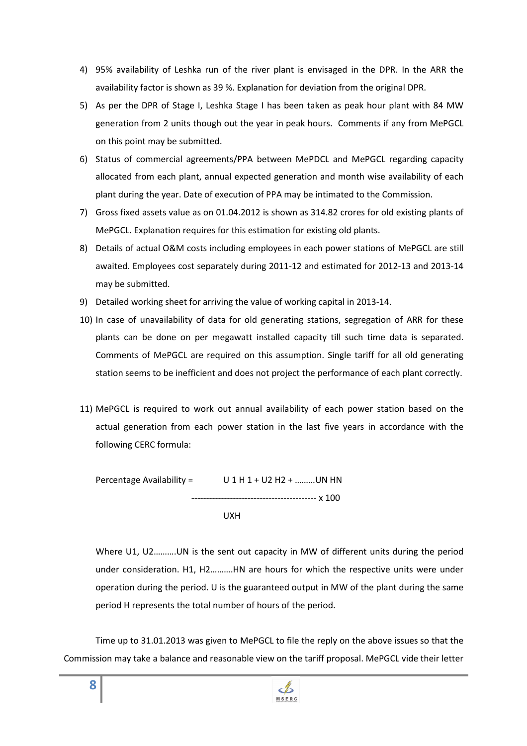- 4) 95% availability of Leshka run of the river plant is envisaged in the DPR. In the ARR the availability factor is shown as 39 %. Explanation for deviation from the original DPR.
- 5) As per the DPR of Stage I, Leshka Stage I has been taken as peak hour plant with 84 MW generation from 2 units though out the year in peak hours. Comments if any from MePGCL on this point may be submitted.
- 6) Status of commercial agreements/PPA between MePDCL and MePGCL regarding capacity allocated from each plant, annual expected generation and month wise availability of each plant during the year. Date of execution of PPA may be intimated to the Commission.
- 7) Gross fixed assets value as on 01.04.2012 is shown as 314.82 crores for old existing plants of MePGCL. Explanation requires for this estimation for existing old plants.
- 8) Details of actual O&M costs including employees in each power stations of MePGCL are still awaited. Employees cost separately during 2011-12 and estimated for 2012-13 and 2013-14 may be submitted.
- 9) Detailed working sheet for arriving the value of working capital in 2013-14.
- 10) In case of unavailability of data for old generating stations, segregation of ARR for these plants can be done on per megawatt installed capacity till such time data is separated. Comments of MePGCL are required on this assumption. Single tariff for all old generating station seems to be inefficient and does not project the performance of each plant correctly.
- 11) MePGCL is required to work out annual availability of each power station based on the actual generation from each power station in the last five years in accordance with the following CERC formula:

Percentage Availability =  $U 1 H 1 + U2 H2 + ...$  UN HN ------------------------------------------ x 100 UXH

Where U1, U2……….UN is the sent out capacity in MW of different units during the period under consideration. H1, H2……….HN are hours for which the respective units were under operation during the period. U is the guaranteed output in MW of the plant during the same period H represents the total number of hours of the period.

Time up to 31.01.2013 was given to MePGCL to file the reply on the above issues so that the Commission may take a balance and reasonable view on the tariff proposal. MePGCL vide their letter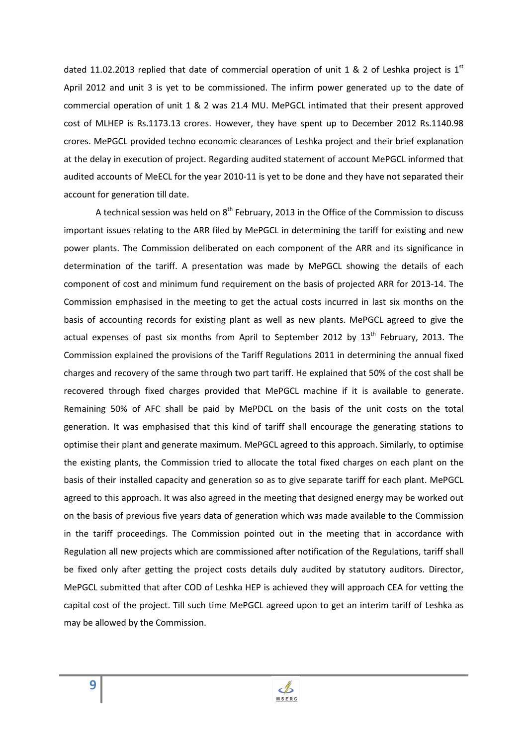dated 11.02.2013 replied that date of commercial operation of unit 1 & 2 of Leshka project is  $1<sup>st</sup>$ April 2012 and unit 3 is yet to be commissioned. The infirm power generated up to the date of commercial operation of unit 1 & 2 was 21.4 MU. MePGCL intimated that their present approved cost of MLHEP is Rs.1173.13 crores. However, they have spent up to December 2012 Rs.1140.98 crores. MePGCL provided techno economic clearances of Leshka project and their brief explanation at the delay in execution of project. Regarding audited statement of account MePGCL informed that audited accounts of MeECL for the year 2010-11 is yet to be done and they have not separated their account for generation till date.

A technical session was held on  $8<sup>th</sup>$  February, 2013 in the Office of the Commission to discuss important issues relating to the ARR filed by MePGCL in determining the tariff for existing and new power plants. The Commission deliberated on each component of the ARR and its significance in determination of the tariff. A presentation was made by MePGCL showing the details of each component of cost and minimum fund requirement on the basis of projected ARR for 2013-14. The Commission emphasised in the meeting to get the actual costs incurred in last six months on the basis of accounting records for existing plant as well as new plants. MePGCL agreed to give the actual expenses of past six months from April to September 2012 by  $13<sup>th</sup>$  February, 2013. The Commission explained the provisions of the Tariff Regulations 2011 in determining the annual fixed charges and recovery of the same through two part tariff. He explained that 50% of the cost shall be recovered through fixed charges provided that MePGCL machine if it is available to generate. Remaining 50% of AFC shall be paid by MePDCL on the basis of the unit costs on the total generation. It was emphasised that this kind of tariff shall encourage the generating stations to optimise their plant and generate maximum. MePGCL agreed to this approach. Similarly, to optimise the existing plants, the Commission tried to allocate the total fixed charges on each plant on the basis of their installed capacity and generation so as to give separate tariff for each plant. MePGCL agreed to this approach. It was also agreed in the meeting that designed energy may be worked out on the basis of previous five years data of generation which was made available to the Commission in the tariff proceedings. The Commission pointed out in the meeting that in accordance with Regulation all new projects which are commissioned after notification of the Regulations, tariff shall be fixed only after getting the project costs details duly audited by statutory auditors. Director, MePGCL submitted that after COD of Leshka HEP is achieved they will approach CEA for vetting the capital cost of the project. Till such time MePGCL agreed upon to get an interim tariff of Leshka as may be allowed by the Commission.

 $\mathcal{A}$ MSERC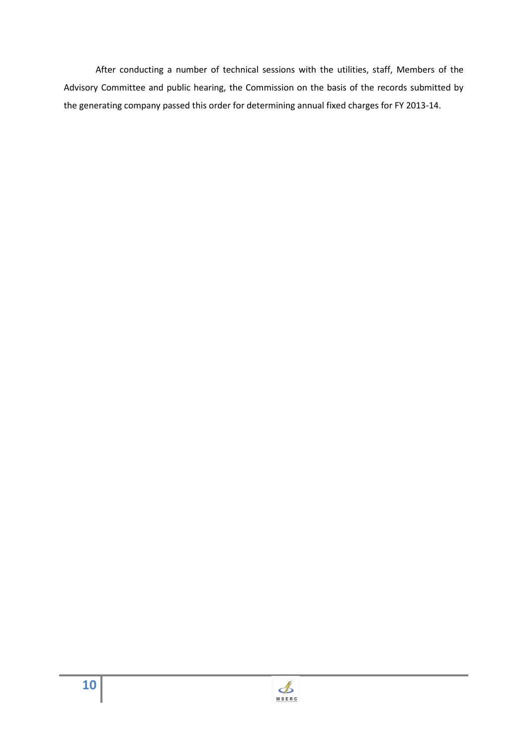After conducting a number of technical sessions with the utilities, staff, Members of the Advisory Committee and public hearing, the Commission on the basis of the records submitted by the generating company passed this order for determining annual fixed charges for FY 2013-14.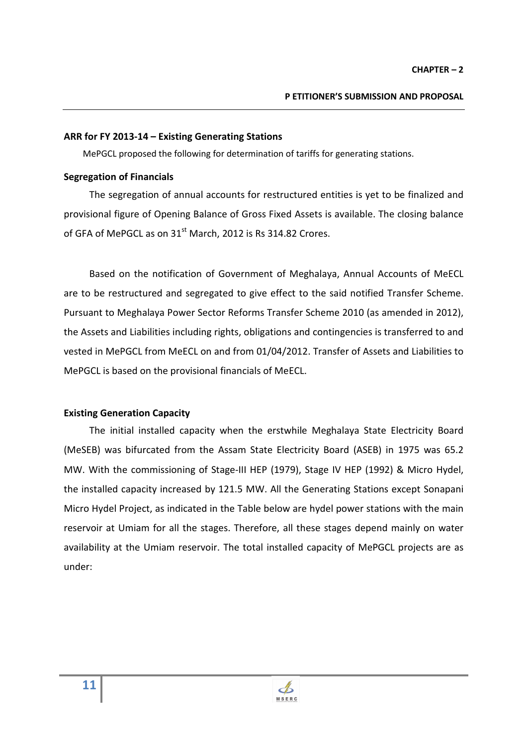#### **ARR for FY 2013-14 – Existing Generating Stations**

MePGCL proposed the following for determination of tariffs for generating stations.

#### **Segregation of Financials**

The segregation of annual accounts for restructured entities is yet to be finalized and provisional figure of Opening Balance of Gross Fixed Assets is available. The closing balance of GFA of MePGCL as on 31<sup>st</sup> March, 2012 is Rs 314.82 Crores.

Based on the notification of Government of Meghalaya, Annual Accounts of MeECL are to be restructured and segregated to give effect to the said notified Transfer Scheme. Pursuant to Meghalaya Power Sector Reforms Transfer Scheme 2010 (as amended in 2012), the Assets and Liabilities including rights, obligations and contingencies is transferred to and vested in MePGCL from MeECL on and from 01/04/2012. Transfer of Assets and Liabilities to MePGCL is based on the provisional financials of MeECL.

#### **Existing Generation Capacity**

The initial installed capacity when the erstwhile Meghalaya State Electricity Board (MeSEB) was bifurcated from the Assam State Electricity Board (ASEB) in 1975 was 65.2 MW. With the commissioning of Stage-III HEP (1979), Stage IV HEP (1992) & Micro Hydel, the installed capacity increased by 121.5 MW. All the Generating Stations except Sonapani Micro Hydel Project, as indicated in the Table below are hydel power stations with the main reservoir at Umiam for all the stages. Therefore, all these stages depend mainly on water availability at the Umiam reservoir. The total installed capacity of MePGCL projects are as under:

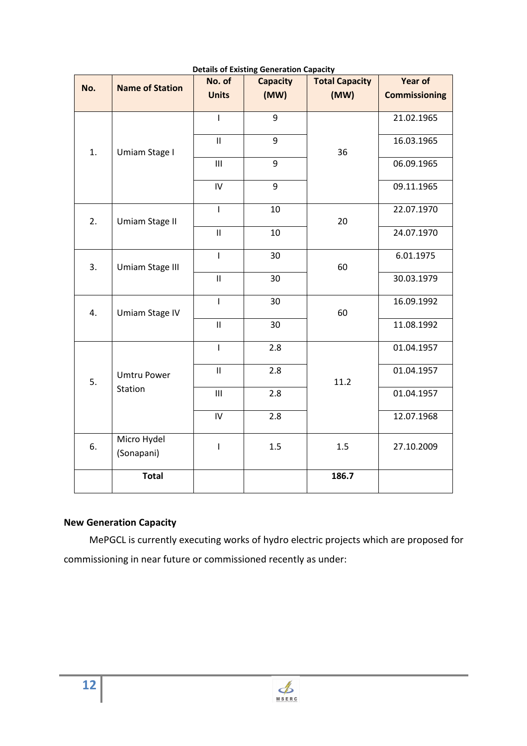|     |                           | No. of                     | <b>Capacity</b> | <b>Total Capacity</b> | <b>Year of</b>       |
|-----|---------------------------|----------------------------|-----------------|-----------------------|----------------------|
| No. | <b>Name of Station</b>    | <b>Units</b>               | (MW)            | (MW)                  | <b>Commissioning</b> |
|     |                           |                            |                 |                       |                      |
|     |                           | T                          | 9               |                       | 21.02.1965           |
| 1.  | Umiam Stage I             | $\mathbf{II}$              | 9               | 36                    | 16.03.1965           |
|     |                           | $\mathsf{III}\xspace$      | 9               |                       | 06.09.1965           |
|     |                           | IV                         | 9               |                       | 09.11.1965           |
| 2.  | Umiam Stage II            | $\mathbf{I}$               | 10              | 20                    | 22.07.1970           |
|     |                           | $\mathbf{II}$              | 10              |                       | 24.07.1970           |
| 3.  | Umiam Stage III           | $\overline{1}$             | 30              | 60                    | 6.01.1975            |
|     |                           | $\mathbf{II}$              | 30              |                       | 30.03.1979           |
| 4.  | Umiam Stage IV            | T                          | 30              | 60                    | 16.09.1992           |
|     |                           | $\ensuremath{\mathsf{II}}$ | 30              |                       | 11.08.1992           |
|     |                           | T                          | 2.8             |                       | 01.04.1957           |
| 5.  | <b>Umtru Power</b>        | $\sf II$                   | 2.8             | 11.2                  | 01.04.1957           |
|     | Station                   | $\mathsf{III}$             | 2.8             |                       | 01.04.1957           |
|     |                           | ${\sf IV}$                 | 2.8             |                       | 12.07.1968           |
| 6.  | Micro Hydel<br>(Sonapani) | $\overline{1}$             | 1.5             | 1.5                   | 27.10.2009           |
|     | <b>Total</b>              |                            |                 | 186.7                 |                      |

#### **Details of Existing Generation Capacity**

# **New Generation Capacity**

MePGCL is currently executing works of hydro electric projects which are proposed for commissioning in near future or commissioned recently as under: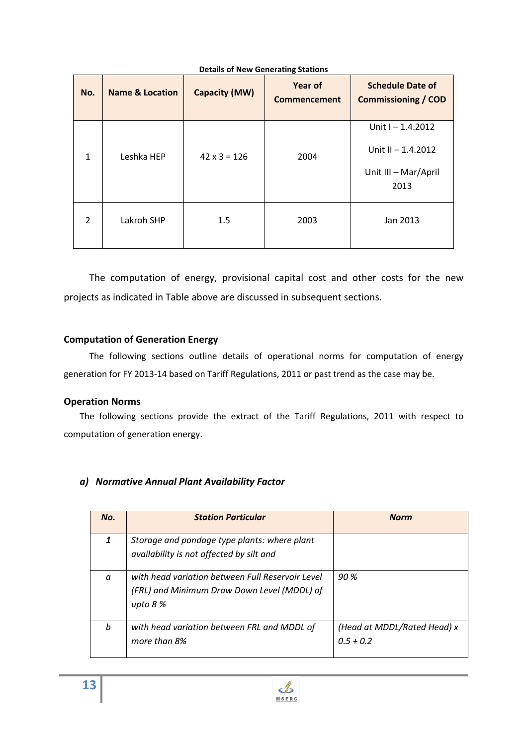| No.          | <b>Name &amp; Location</b> | <b>Capacity (MW)</b> | <b>Year of</b><br><b>Commencement</b> | <b>Schedule Date of</b><br><b>Commissioning / COD</b>                     |
|--------------|----------------------------|----------------------|---------------------------------------|---------------------------------------------------------------------------|
| $\mathbf{1}$ | Leshka HEP                 | $42 \times 3 = 126$  | 2004                                  | Unit $1 - 1.4.2012$<br>Unit II - 1.4.2012<br>Unit III - Mar/April<br>2013 |
| 2            | Lakroh SHP                 | 1.5                  | 2003                                  | Jan 2013                                                                  |

#### **Details of New Generating Stations**

The computation of energy, provisional capital cost and other costs for the new projects as indicated in Table above are discussed in subsequent sections.

#### **Computation of Generation Energy**

The following sections outline details of operational norms for computation of energy generation for FY 2013-14 based on Tariff Regulations, 2011 or past trend as the case may be.

#### **Operation Norms**

The following sections provide the extract of the Tariff Regulations, 2011 with respect to computation of generation energy.

#### *a) Normative Annual Plant Availability Factor*

| No.      | <b>Station Particular</b>                                                                                    | <b>Norm</b>                                |
|----------|--------------------------------------------------------------------------------------------------------------|--------------------------------------------|
| 1        | Storage and pondage type plants: where plant<br>availability is not affected by silt and                     |                                            |
| $\alpha$ | with head variation between Full Reservoir Level<br>(FRL) and Minimum Draw Down Level (MDDL) of<br>upto $8%$ | 90%                                        |
| h        | with head variation between FRL and MDDL of<br>more than 8%                                                  | (Head at MDDL/Rated Head) x<br>$0.5 + 0.2$ |

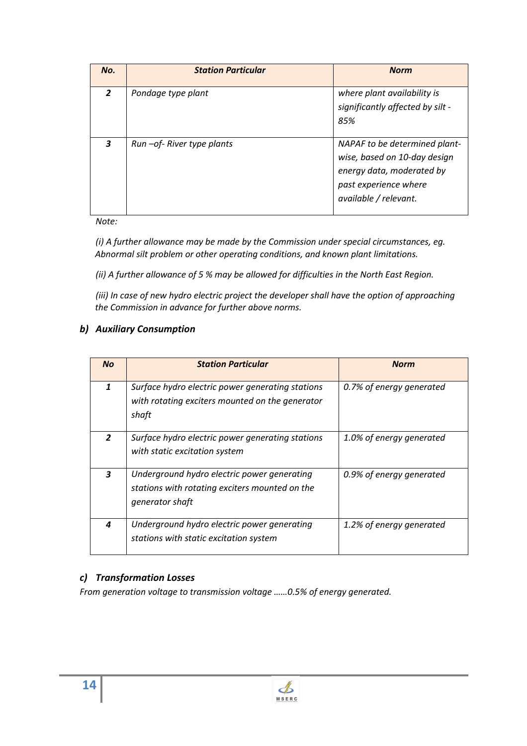| No.            | <b>Station Particular</b>    | <b>Norm</b>                                                                                                                                  |
|----------------|------------------------------|----------------------------------------------------------------------------------------------------------------------------------------------|
| $\overline{2}$ | Pondage type plant           | where plant availability is<br>significantly affected by silt -<br>85%                                                                       |
| 3              | Run - of - River type plants | NAPAF to be determined plant-<br>wise, based on 10-day design<br>energy data, moderated by<br>past experience where<br>available / relevant. |

*Note:* 

*(i) A further allowance may be made by the Commission under special circumstances, eg. Abnormal silt problem or other operating conditions, and known plant limitations.* 

*(ii) A further allowance of 5 % may be allowed for difficulties in the North East Region.* 

*(iii) In case of new hydro electric project the developer shall have the option of approaching the Commission in advance for further above norms.* 

#### *b) Auxiliary Consumption*

| <b>No</b>      | <b>Station Particular</b>                                                                                        | <b>Norm</b>              |
|----------------|------------------------------------------------------------------------------------------------------------------|--------------------------|
| 1              | Surface hydro electric power generating stations<br>with rotating exciters mounted on the generator<br>shaft     | 0.7% of energy generated |
| $\overline{2}$ | Surface hydro electric power generating stations<br>with static excitation system                                | 1.0% of energy generated |
| 3              | Underground hydro electric power generating<br>stations with rotating exciters mounted on the<br>generator shaft | 0.9% of energy generated |
| 4              | Underground hydro electric power generating<br>stations with static excitation system                            | 1.2% of energy generated |

## *c) Transformation Losses*

*From generation voltage to transmission voltage ……0.5% of energy generated.* 

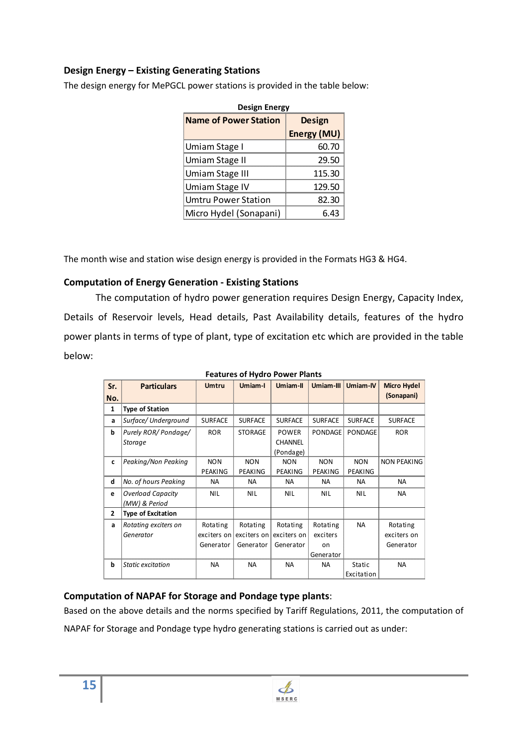#### **Design Energy – Existing Generating Stations**

The design energy for MePGCL power stations is provided in the table below:

| <b>Name of Power Station</b> | Design      |
|------------------------------|-------------|
|                              | Energy (MU) |
| Umiam Stage I                | 60.70       |
| Umiam Stage II               | 29.50       |
| Umiam Stage III              | 115.30      |
| Umiam Stage IV               | 129.50      |
| Umtru Power Station          | 82.30       |
| Micro Hydel (Sonapani)       | 6 43        |

The month wise and station wise design energy is provided in the Formats HG3 & HG4.

#### **Computation of Energy Generation - Existing Stations**

The computation of hydro power generation requires Design Energy, Capacity Index, Details of Reservoir levels, Head details, Past Availability details, features of the hydro power plants in terms of type of plant, type of excitation etc which are provided in the table below:

| Sr.            | <b>Particulars</b>        | <b>Umtru</b>   | Umiam-I        | Umiam-II       | Umiam-III      | Umiam-IV       | <b>Micro Hydel</b> |
|----------------|---------------------------|----------------|----------------|----------------|----------------|----------------|--------------------|
| No.            |                           |                |                |                |                |                | (Sonapani)         |
| $\mathbf{1}$   |                           |                |                |                |                |                |                    |
|                | <b>Type of Station</b>    |                |                |                |                |                |                    |
| a              | Surface/ Underground      | <b>SURFACE</b> | <b>SURFACE</b> | <b>SURFACE</b> | <b>SURFACE</b> | <b>SURFACE</b> | <b>SURFACE</b>     |
| b              | Purely ROR/Pondage/       | <b>ROR</b>     | <b>STORAGE</b> | <b>POWER</b>   | <b>PONDAGE</b> | PONDAGE        | <b>ROR</b>         |
|                | <b>Storage</b>            |                |                | <b>CHANNEL</b> |                |                |                    |
|                |                           |                |                | (Pondage)      |                |                |                    |
| c              | Peaking/Non Peaking       | <b>NON</b>     | <b>NON</b>     | <b>NON</b>     | <b>NON</b>     | <b>NON</b>     | <b>NON PEAKING</b> |
|                |                           | PEAKING        | PEAKING        | PEAKING        | PEAKING        | PEAKING        |                    |
| d              | No. of hours Peaking      | NA             | <b>NA</b>      | <b>NA</b>      | <b>NA</b>      | <b>NA</b>      | NA                 |
| e              | <b>Overload Capacity</b>  | <b>NIL</b>     | <b>NIL</b>     | <b>NIL</b>     | <b>NIL</b>     | <b>NIL</b>     | <b>NA</b>          |
|                | (MW) & Period             |                |                |                |                |                |                    |
| $\overline{2}$ | <b>Type of Excitation</b> |                |                |                |                |                |                    |
| a              | Rotating exciters on      | Rotating       | Rotating       | Rotating       | Rotating       | <b>NA</b>      | Rotating           |
|                | Generator                 | exciters on    | exciters on    | exciters on    | exciters       |                | exciters on        |
|                |                           | Generator      | Generator      | Generator      | on             |                | Generator          |
|                |                           |                |                |                | Generator      |                |                    |
| b              | Static excitation         | <b>NA</b>      | <b>NA</b>      | <b>NA</b>      | <b>NA</b>      | <b>Static</b>  | <b>NA</b>          |
|                |                           |                |                |                |                | Excitation     |                    |

**Features of Hydro Power Plants** 

# **Computation of NAPAF for Storage and Pondage type plants**:

Based on the above details and the norms specified by Tariff Regulations, 2011, the computation of

NAPAF for Storage and Pondage type hydro generating stations is carried out as under:

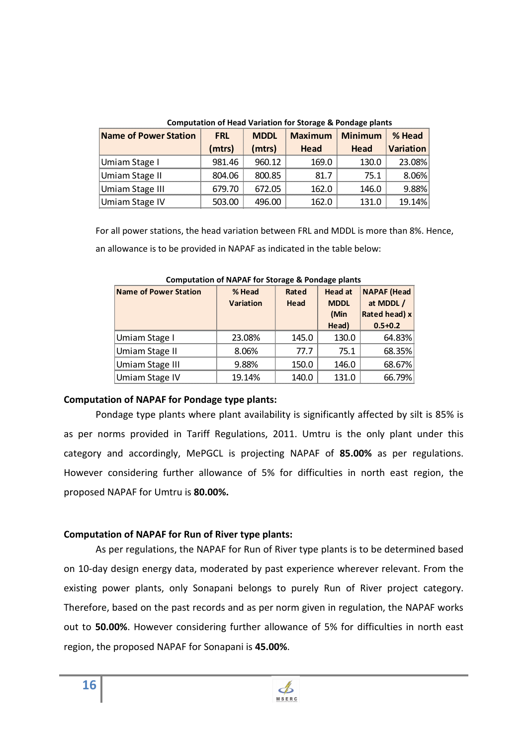| Compatation of Head Variation for Storage & Fondage plants |            |             |                |                |                  |
|------------------------------------------------------------|------------|-------------|----------------|----------------|------------------|
| Name of Power Station                                      | <b>FRL</b> | <b>MDDL</b> | <b>Maximum</b> | <b>Minimum</b> | % Head           |
|                                                            | (mtrs)     | (mtrs)      | Head           | Head           | <b>Variation</b> |
| Umiam Stage I                                              | 981.46     | 960.12      | 169.0          | 130.0          | 23.08%           |
| Umiam Stage II                                             | 804.06     | 800.85      | 81.7           | 75.1           | 8.06%            |
| Umiam Stage III                                            | 679.70     | 672.05      | 162.0          | 146.0          | 9.88%            |
| Umiam Stage IV                                             | 503.00     | 496.00      | 162.0          | 131.0          | 19.14%           |

**Computation of Head Variation for Storage & Pondage plants** 

For all power stations, the head variation between FRL and MDDL is more than 8%. Hence, an allowance is to be provided in NAPAF as indicated in the table below:

| <b>Name of Power Station</b> | % Head<br><b>Variation</b> | Rated<br>Head | <b>Head at</b><br><b>MDDL</b><br>(Min<br>Head) | <b>NAPAF</b> (Head<br>at MDDL /<br>Rated head) x<br>$0.5 + 0.2$ |
|------------------------------|----------------------------|---------------|------------------------------------------------|-----------------------------------------------------------------|
| Umiam Stage I                | 23.08%                     | 145.0         | 130.0                                          | 64.83%                                                          |
| Umiam Stage II               | 8.06%                      | 77.7          | 75.1                                           | 68.35%                                                          |
| <b>Umiam Stage III</b>       | 9.88%                      | 150.0         | 146.0                                          | 68.67%                                                          |
| Umiam Stage IV               | 19.14%                     | 140.0         | 131.0                                          | 66.79%                                                          |

**Computation of NAPAF for Storage & Pondage plants** 

#### **Computation of NAPAF for Pondage type plants:**

Pondage type plants where plant availability is significantly affected by silt is 85% is as per norms provided in Tariff Regulations, 2011. Umtru is the only plant under this category and accordingly, MePGCL is projecting NAPAF of **85.00%** as per regulations. However considering further allowance of 5% for difficulties in north east region, the proposed NAPAF for Umtru is **80.00%.**

#### **Computation of NAPAF for Run of River type plants:**

As per regulations, the NAPAF for Run of River type plants is to be determined based on 10-day design energy data, moderated by past experience wherever relevant. From the existing power plants, only Sonapani belongs to purely Run of River project category. Therefore, based on the past records and as per norm given in regulation, the NAPAF works out to **50.00%**. However considering further allowance of 5% for difficulties in north east region, the proposed NAPAF for Sonapani is **45.00%**.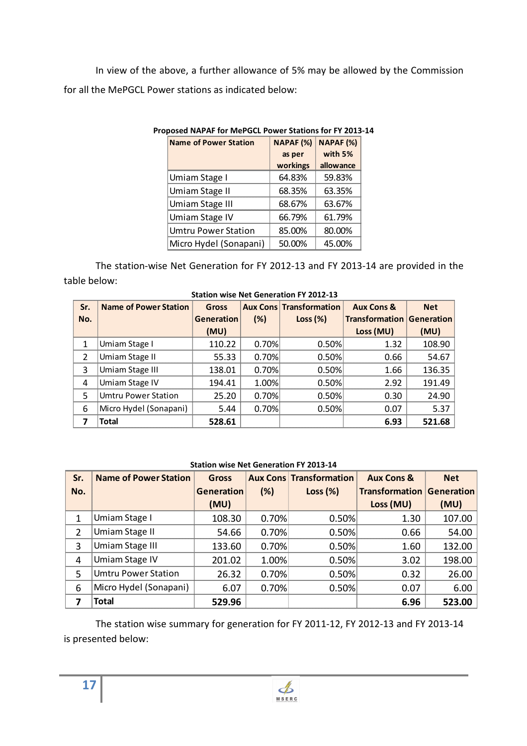In view of the above, a further allowance of 5% may be allowed by the Commission for all the MePGCL Power stations as indicated below:

| <b>Name of Power Station</b> | NAPAF (%) | NAPAF (%) |
|------------------------------|-----------|-----------|
|                              | as per    | with 5%   |
|                              | workings  | allowance |
| Umiam Stage I                | 64.83%    | 59.83%    |
| <b>Umiam Stage II</b>        | 68.35%    | 63.35%    |
| Umiam Stage III              | 68.67%    | 63.67%    |
| Umiam Stage IV               | 66.79%    | 61.79%    |
| <b>Umtru Power Station</b>   | 85.00%    | 80.00%    |
| Micro Hydel (Sonapani)       | 50.00%    | 45.00%    |

#### **Proposed NAPAF for MePGCL Power Stations for FY 2013-14**

The station-wise Net Generation for FY 2012-13 and FY 2013-14 are provided in the table below:

| Sr.            | <b>Name of Power Station</b> | Gross             |       | <b>Aux Cons Transformation</b> | <b>Aux Cons &amp;</b>            | <b>Net</b> |
|----------------|------------------------------|-------------------|-------|--------------------------------|----------------------------------|------------|
| No.            |                              | <b>Generation</b> | (%)   | Loss $(\%)$                    | <b>Transformation Generation</b> |            |
|                |                              | (MU)              |       |                                | Loss (MU)                        | (MU)       |
| 1              | Umiam Stage I                | 110.22            | 0.70% | 0.50%                          | 1.32                             | 108.90     |
| $\overline{2}$ | Umiam Stage II               | 55.33             | 0.70% | 0.50%                          | 0.66                             | 54.67      |
| 3              | Umiam Stage III              | 138.01            | 0.70% | 0.50%                          | 1.66                             | 136.35     |
| 4              | Umiam Stage IV               | 194.41            | 1.00% | 0.50%                          | 2.92                             | 191.49     |
| 5              | <b>Umtru Power Station</b>   | 25.20             | 0.70% | 0.50%                          | 0.30                             | 24.90      |
| 6              | Micro Hydel (Sonapani)       | 5.44              | 0.70% | 0.50%                          | 0.07                             | 5.37       |
|                | <b>Total</b>                 | 528.61            |       |                                | 6.93                             | 521.68     |

 **Station wise Net Generation FY 2012-13** 

**Station wise Net Generation FY 2013-14** 

| Sr. | <b>Name of Power Station</b> | <b>Gross</b>      |       | <b>Aux Cons Transformation</b> | <b>Aux Cons &amp;</b>            | <b>Net</b> |
|-----|------------------------------|-------------------|-------|--------------------------------|----------------------------------|------------|
| No. |                              | <b>Generation</b> | (%)   | Loss $(\%)$                    | <b>Transformation Generation</b> |            |
|     |                              | (MU)              |       |                                | Loss (MU)                        | (MU)       |
|     | Umiam Stage I                | 108.30            | 0.70% | 0.50%                          | 1.30                             | 107.00     |
| 2   | Umiam Stage II               | 54.66             | 0.70% | 0.50%                          | 0.66                             | 54.00      |
| 3   | Umiam Stage III              | 133.60            | 0.70% | 0.50%                          | 1.60                             | 132.00     |
| 4   | <b>Umiam Stage IV</b>        | 201.02            | 1.00% | 0.50%                          | 3.02                             | 198.00     |
| 5   | <b>Umtru Power Station</b>   | 26.32             | 0.70% | 0.50%                          | 0.32                             | 26.00      |
| 6   | Micro Hydel (Sonapani)       | 6.07              | 0.70% | 0.50%                          | 0.07                             | 6.00       |
|     | Total                        | 529.96            |       |                                | 6.96                             | 523.00     |

The station wise summary for generation for FY 2011-12, FY 2012-13 and FY 2013-14 is presented below: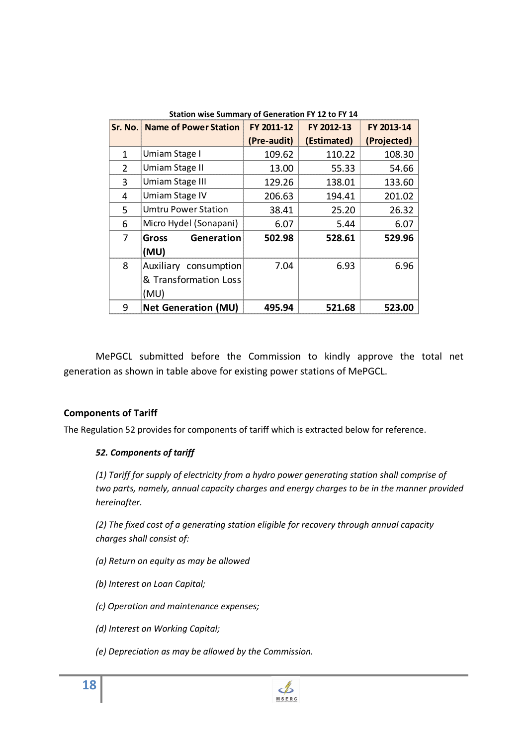| Sr. No. | <b>Name of Power Station</b> | FY 2011-12  | FY 2012-13  | FY 2013-14  |
|---------|------------------------------|-------------|-------------|-------------|
|         |                              | (Pre-audit) | (Estimated) | (Projected) |
| 1       | Umiam Stage I                | 109.62      | 110.22      | 108.30      |
| 2       | Umiam Stage II               | 13.00       | 55.33       | 54.66       |
| 3       | Umiam Stage III              | 129.26      | 138.01      | 133.60      |
| 4       | Umiam Stage IV               | 206.63      | 194.41      | 201.02      |
| 5.      | <b>Umtru Power Station</b>   | 38.41       | 25.20       | 26.32       |
| 6       | Micro Hydel (Sonapani)       | 6.07        | 5.44        | 6.07        |
| 7       | Generation<br><b>Gross</b>   | 502.98      | 528.61      | 529.96      |
|         | (MU)                         |             |             |             |
| 8       | Auxiliary consumption        | 7.04        | 6.93        | 6.96        |
|         | & Transformation Loss        |             |             |             |
|         | (MU)                         |             |             |             |
| 9       | <b>Net Generation (MU)</b>   | 495.94      | 521.68      | 523.00      |

**Station wise Summary of Generation FY 12 to FY 14** 

MePGCL submitted before the Commission to kindly approve the total net generation as shown in table above for existing power stations of MePGCL.

#### **Components of Tariff**

The Regulation 52 provides for components of tariff which is extracted below for reference.

#### *52. Components of tariff*

*(1) Tariff for supply of electricity from a hydro power generating station shall comprise of two parts, namely, annual capacity charges and energy charges to be in the manner provided hereinafter.* 

*(2) The fixed cost of a generating station eligible for recovery through annual capacity charges shall consist of:* 

- *(a) Return on equity as may be allowed*
- *(b) Interest on Loan Capital;*
- *(c) Operation and maintenance expenses;*
- *(d) Interest on Working Capital;*
- *(e) Depreciation as may be allowed by the Commission.*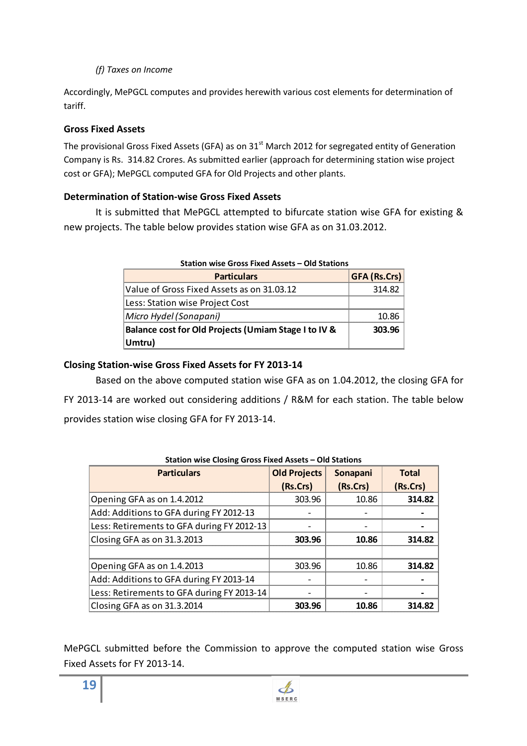#### *(f) Taxes on Income*

Accordingly, MePGCL computes and provides herewith various cost elements for determination of tariff.

### **Gross Fixed Assets**

The provisional Gross Fixed Assets (GFA) as on 31<sup>st</sup> March 2012 for segregated entity of Generation Company is Rs. 314.82 Crores. As submitted earlier (approach for determining station wise project cost or GFA); MePGCL computed GFA for Old Projects and other plants.

#### **Determination of Station-wise Gross Fixed Assets**

It is submitted that MePGCL attempted to bifurcate station wise GFA for existing & new projects. The table below provides station wise GFA as on 31.03.2012.

| <b>Particulars</b>                                   | <b>GFA (Rs.Crs)</b> |
|------------------------------------------------------|---------------------|
| Value of Gross Fixed Assets as on 31.03.12           | 314.82              |
| Less: Station wise Project Cost                      |                     |
| Micro Hydel (Sonapani)                               | 10.86               |
| Balance cost for Old Projects (Umiam Stage I to IV & | 303.96              |
| Umtru)                                               |                     |

 **Station wise Gross Fixed Assets – Old Stations** 

#### **Closing Station-wise Gross Fixed Assets for FY 2013-14**

Based on the above computed station wise GFA as on 1.04.2012, the closing GFA for FY 2013-14 are worked out considering additions / R&M for each station. The table below provides station wise closing GFA for FY 2013-14.

| <b>Particulars</b>                         | <b>Old Projects</b> | Sonapani | <b>Total</b> |
|--------------------------------------------|---------------------|----------|--------------|
|                                            | (Rs.Crs)            | (Rs.Crs) | (Rs.Crs)     |
| Opening GFA as on 1.4.2012                 | 303.96              | 10.86    | 314.82       |
| Add: Additions to GFA during FY 2012-13    |                     |          |              |
| Less: Retirements to GFA during FY 2012-13 |                     |          |              |
| Closing GFA as on 31.3.2013                | 303.96              | 10.86    | 314.82       |
| Opening GFA as on 1.4.2013                 | 303.96              | 10.86    | 314.82       |
| Add: Additions to GFA during FY 2013-14    |                     |          |              |
| Less: Retirements to GFA during FY 2013-14 |                     |          |              |
| Closing GFA as on 31.3.2014                | 303.96              | 10.86    | 314.82       |

MePGCL submitted before the Commission to approve the computed station wise Gross Fixed Assets for FY 2013-14.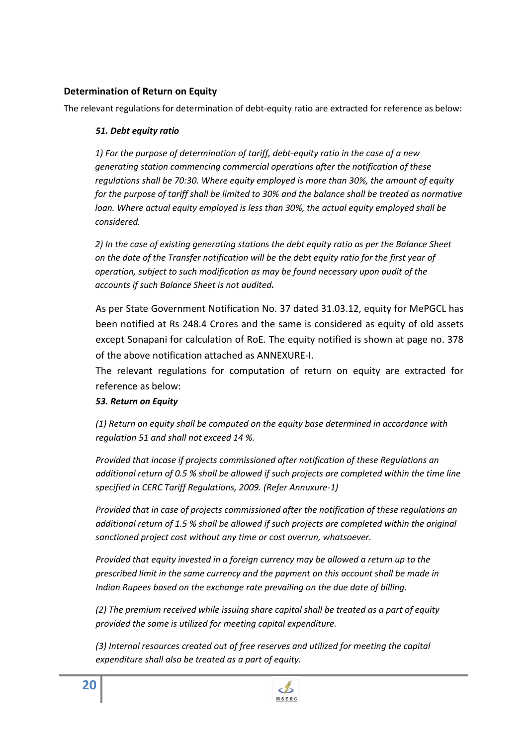#### **Determination of Return on Equity**

The relevant regulations for determination of debt-equity ratio are extracted for reference as below:

#### *51. Debt equity ratio*

*1) For the purpose of determination of tariff, debt-equity ratio in the case of a new generating station commencing commercial operations after the notification of these regulations shall be 70:30. Where equity employed is more than 30%, the amount of equity for the purpose of tariff shall be limited to 30% and the balance shall be treated as normative loan. Where actual equity employed is less than 30%, the actual equity employed shall be considered.* 

*2) In the case of existing generating stations the debt equity ratio as per the Balance Sheet on the date of the Transfer notification will be the debt equity ratio for the first year of operation, subject to such modification as may be found necessary upon audit of the accounts if such Balance Sheet is not audited.* 

As per State Government Notification No. 37 dated 31.03.12, equity for MePGCL has been notified at Rs 248.4 Crores and the same is considered as equity of old assets except Sonapani for calculation of RoE. The equity notified is shown at page no. 378 of the above notification attached as ANNEXURE-I.

The relevant regulations for computation of return on equity are extracted for reference as below:

#### *53. Return on Equity*

*(1) Return on equity shall be computed on the equity base determined in accordance with regulation 51 and shall not exceed 14 %.* 

*Provided that incase if projects commissioned after notification of these Regulations an additional return of 0.5 % shall be allowed if such projects are completed within the time line specified in CERC Tariff Regulations, 2009. (Refer Annuxure-1)* 

*Provided that in case of projects commissioned after the notification of these regulations an additional return of 1.5 % shall be allowed if such projects are completed within the original sanctioned project cost without any time or cost overrun, whatsoever.* 

*Provided that equity invested in a foreign currency may be allowed a return up to the prescribed limit in the same currency and the payment on this account shall be made in Indian Rupees based on the exchange rate prevailing on the due date of billing.* 

*(2) The premium received while issuing share capital shall be treated as a part of equity provided the same is utilized for meeting capital expenditure.* 

*(3) Internal resources created out of free reserves and utilized for meeting the capital expenditure shall also be treated as a part of equity.* 

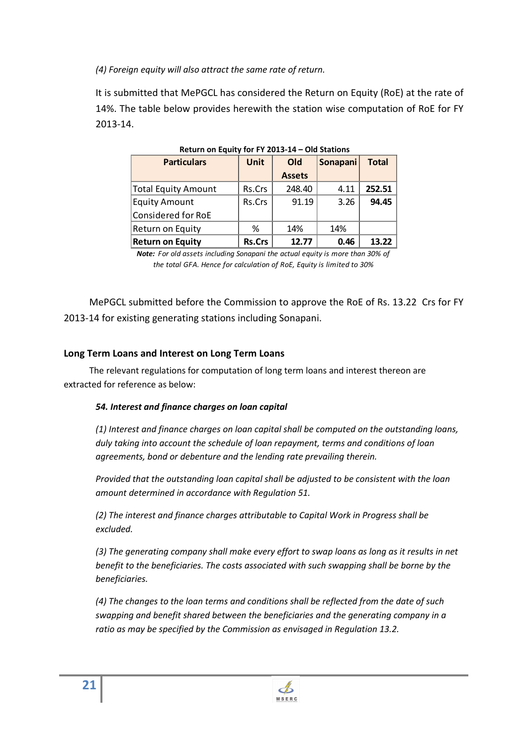*(4) Foreign equity will also attract the same rate of return.* 

It is submitted that MePGCL has considered the Return on Equity (RoE) at the rate of 14%. The table below provides herewith the station wise computation of RoE for FY 2013-14.

| <b>Particulars</b>         | Old<br>Unit   |               | Sonapani | <b>Total</b> |
|----------------------------|---------------|---------------|----------|--------------|
|                            |               | <b>Assets</b> |          |              |
| <b>Total Equity Amount</b> | Rs.Crs        | 248.40        | 4.11     | 252.51       |
| <b>Equity Amount</b>       | Rs.Crs        | 91.19         | 3.26     | 94.45        |
| Considered for RoE         |               |               |          |              |
| Return on Equity           |               | 14%           | 14%      |              |
| <b>Return on Equity</b>    | <b>Rs.Crs</b> | 12.77         | 0.46     | 13.22        |

*Note: For old assets including Sonapani the actual equity is more than 30% of the total GFA. Hence for calculation of RoE, Equity is limited to 30%*

MePGCL submitted before the Commission to approve the RoE of Rs. 13.22 Crs for FY 2013-14 for existing generating stations including Sonapani.

#### **Long Term Loans and Interest on Long Term Loans**

The relevant regulations for computation of long term loans and interest thereon are extracted for reference as below:

#### *54. Interest and finance charges on loan capital*

*(1) Interest and finance charges on loan capital shall be computed on the outstanding loans, duly taking into account the schedule of loan repayment, terms and conditions of loan agreements, bond or debenture and the lending rate prevailing therein.* 

*Provided that the outstanding loan capital shall be adjusted to be consistent with the loan amount determined in accordance with Regulation 51.*

*(2) The interest and finance charges attributable to Capital Work in Progress shall be excluded.* 

*(3) The generating company shall make every effort to swap loans as long as it results in net benefit to the beneficiaries. The costs associated with such swapping shall be borne by the beneficiaries.* 

*(4) The changes to the loan terms and conditions shall be reflected from the date of such swapping and benefit shared between the beneficiaries and the generating company in a ratio as may be specified by the Commission as envisaged in Regulation 13.2.*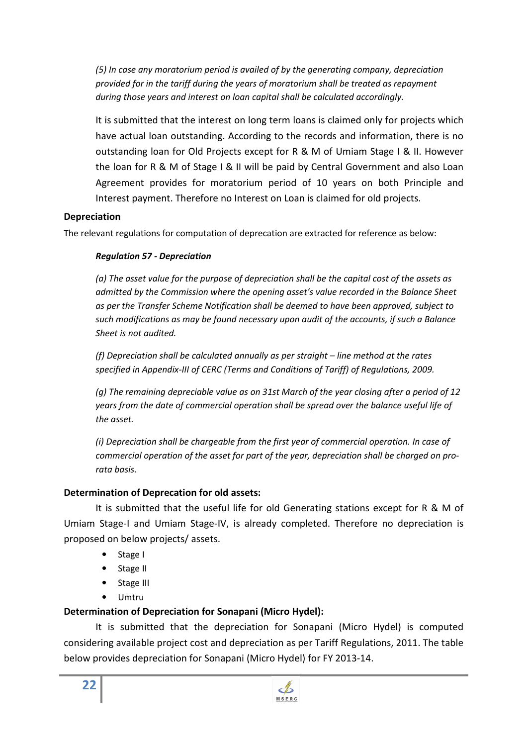*(5) In case any moratorium period is availed of by the generating company, depreciation provided for in the tariff during the years of moratorium shall be treated as repayment during those years and interest on loan capital shall be calculated accordingly.* 

It is submitted that the interest on long term loans is claimed only for projects which have actual loan outstanding. According to the records and information, there is no outstanding loan for Old Projects except for R & M of Umiam Stage I & II. However the loan for R & M of Stage I & II will be paid by Central Government and also Loan Agreement provides for moratorium period of 10 years on both Principle and Interest payment. Therefore no Interest on Loan is claimed for old projects.

## **Depreciation**

The relevant regulations for computation of deprecation are extracted for reference as below:

#### *Regulation 57 - Depreciation*

*(a) The asset value for the purpose of depreciation shall be the capital cost of the assets as admitted by the Commission where the opening asset's value recorded in the Balance Sheet as per the Transfer Scheme Notification shall be deemed to have been approved, subject to such modifications as may be found necessary upon audit of the accounts, if such a Balance Sheet is not audited.* 

*(f) Depreciation shall be calculated annually as per straight – line method at the rates specified in Appendix-III of CERC (Terms and Conditions of Tariff) of Regulations, 2009.* 

*(g) The remaining depreciable value as on 31st March of the year closing after a period of 12 years from the date of commercial operation shall be spread over the balance useful life of the asset.* 

*(i) Depreciation shall be chargeable from the first year of commercial operation. In case of commercial operation of the asset for part of the year, depreciation shall be charged on prorata basis.* 

## **Determination of Deprecation for old assets:**

It is submitted that the useful life for old Generating stations except for R & M of Umiam Stage-I and Umiam Stage-IV, is already completed. Therefore no depreciation is proposed on below projects/ assets.

- Stage I
- Stage II
- Stage III
- Umtru

## **Determination of Depreciation for Sonapani (Micro Hydel):**

It is submitted that the depreciation for Sonapani (Micro Hydel) is computed considering available project cost and depreciation as per Tariff Regulations, 2011. The table below provides depreciation for Sonapani (Micro Hydel) for FY 2013-14.

 $\mathcal{A}$ **MSERC**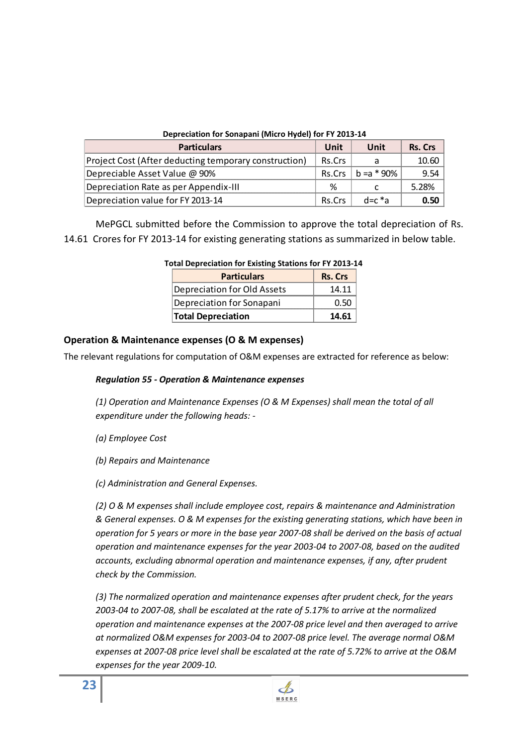| Depreciation for Sonapani (Micro Hydel) for FY 2013-14 |        |               |         |  |
|--------------------------------------------------------|--------|---------------|---------|--|
| <b>Particulars</b>                                     | Unit   | Unit          | Rs. Crs |  |
| Project Cost (After deducting temporary construction)  | Rs.Crs |               | 10.60   |  |
| Depreciable Asset Value @ 90%                          | Rs.Crs | $h = a * 90%$ | 9.54    |  |
| Depreciation Rate as per Appendix-III                  | %      |               | 5.28%   |  |
| Depreciation value for FY 2013-14                      | Rs.Crs | d=c *a        | 0.50    |  |

MePGCL submitted before the Commission to approve the total depreciation of Rs. 14.61 Crores for FY 2013-14 for existing generating stations as summarized in below table.

| rai Depreciation for Existing Stations for FT 2013-1- |         |  |
|-------------------------------------------------------|---------|--|
| <b>Particulars</b>                                    | Rs. Crs |  |
| Depreciation for Old Assets                           | 14.11   |  |
| Depreciation for Sonapani                             | ( ) 50  |  |
| <b>Total Depreciation</b>                             | 14.61   |  |

|  |  |  | <b>Total Depreciation for Existing Stations for FY 2013-14</b> |  |
|--|--|--|----------------------------------------------------------------|--|
|  |  |  |                                                                |  |

#### **Operation & Maintenance expenses (O & M expenses)**

The relevant regulations for computation of O&M expenses are extracted for reference as below:

#### *Regulation 55 - Operation & Maintenance expenses*

*(1) Operation and Maintenance Expenses (O & M Expenses) shall mean the total of all expenditure under the following heads: -* 

- *(a) Employee Cost*
- *(b) Repairs and Maintenance*
- *(c) Administration and General Expenses.*

*(2) O & M expenses shall include employee cost, repairs & maintenance and Administration & General expenses. O & M expenses for the existing generating stations, which have been in operation for 5 years or more in the base year 2007-08 shall be derived on the basis of actual operation and maintenance expenses for the year 2003-04 to 2007-08, based on the audited accounts, excluding abnormal operation and maintenance expenses, if any, after prudent check by the Commission.* 

*(3) The normalized operation and maintenance expenses after prudent check, for the years 2003-04 to 2007-08, shall be escalated at the rate of 5.17% to arrive at the normalized operation and maintenance expenses at the 2007-08 price level and then averaged to arrive at normalized O&M expenses for 2003-04 to 2007-08 price level. The average normal O&M expenses at 2007-08 price level shall be escalated at the rate of 5.72% to arrive at the O&M expenses for the year 2009-10.*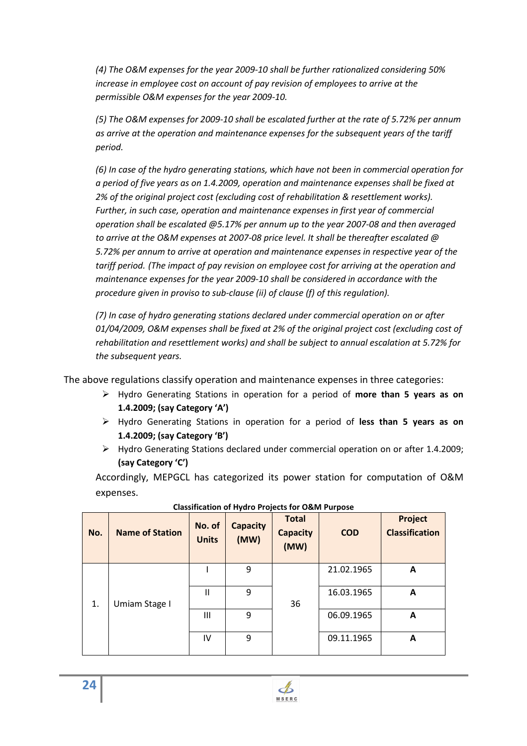*(4) The O&M expenses for the year 2009-10 shall be further rationalized considering 50% increase in employee cost on account of pay revision of employees to arrive at the permissible O&M expenses for the year 2009-10.* 

*(5) The O&M expenses for 2009-10 shall be escalated further at the rate of 5.72% per annum as arrive at the operation and maintenance expenses for the subsequent years of the tariff period.* 

*(6) In case of the hydro generating stations, which have not been in commercial operation for a period of five years as on 1.4.2009, operation and maintenance expenses shall be fixed at 2% of the original project cost (excluding cost of rehabilitation & resettlement works). Further, in such case, operation and maintenance expenses in first year of commercial operation shall be escalated @5.17% per annum up to the year 2007-08 and then averaged to arrive at the O&M expenses at 2007-08 price level. It shall be thereafter escalated @ 5.72% per annum to arrive at operation and maintenance expenses in respective year of the tariff period. (The impact of pay revision on employee cost for arriving at the operation and maintenance expenses for the year 2009-10 shall be considered in accordance with the procedure given in proviso to sub-clause (ii) of clause (f) of this regulation).*

*(7) In case of hydro generating stations declared under commercial operation on or after 01/04/2009, O&M expenses shall be fixed at 2% of the original project cost (excluding cost of rehabilitation and resettlement works) and shall be subject to annual escalation at 5.72% for the subsequent years.*

The above regulations classify operation and maintenance expenses in three categories:

- Hydro Generating Stations in operation for a period of **more than 5 years as on 1.4.2009; (say Category 'A')**
- Hydro Generating Stations in operation for a period of **less than 5 years as on 1.4.2009; (say Category 'B')**
- Hydro Generating Stations declared under commercial operation on or after 1.4.2009; **(say Category 'C')**

Accordingly, MEPGCL has categorized its power station for computation of O&M expenses.

| No. | <b>Name of Station</b> | No. of<br><b>Units</b> | <b>Capacity</b><br>(MW) | <b>Total</b><br><b>Capacity</b><br>(MW) | <b>COD</b> | <b>Project</b><br><b>Classification</b> |
|-----|------------------------|------------------------|-------------------------|-----------------------------------------|------------|-----------------------------------------|
|     |                        |                        | 9                       |                                         | 21.02.1965 | A                                       |
| 1.  | Umiam Stage I          | Ш                      | 9                       | 36                                      | 16.03.1965 | A                                       |
|     |                        | Ш                      | 9                       |                                         | 06.09.1965 | A                                       |
|     |                        | IV                     | 9                       |                                         | 09.11.1965 | A                                       |

|  | <b>Classification of Hydro Projects for O&amp;M Purpose</b> |
|--|-------------------------------------------------------------|
|--|-------------------------------------------------------------|

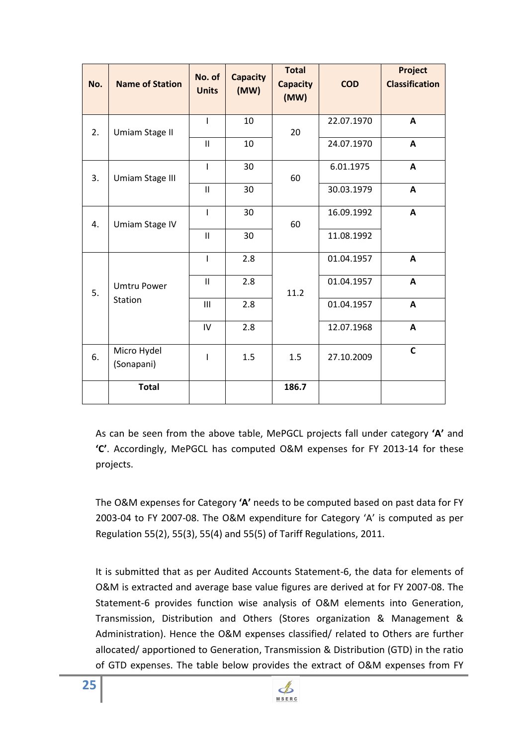| No. | <b>Name of Station</b>    | No. of<br><b>Units</b> | <b>Capacity</b><br>(MW) | <b>Total</b><br><b>Capacity</b><br>(MW) | <b>COD</b> | Project<br><b>Classification</b> |
|-----|---------------------------|------------------------|-------------------------|-----------------------------------------|------------|----------------------------------|
| 2.  | <b>Umiam Stage II</b>     | $\mathbf{I}$           | 10                      | 20                                      | 22.07.1970 | $\mathsf{A}$                     |
|     |                           | $\mathbf{H}$           | 10                      |                                         | 24.07.1970 | $\mathsf{A}$                     |
| 3.  | Umiam Stage III           | $\mathbf{I}$           | 30                      | 60                                      | 6.01.1975  | A                                |
|     |                           | $\mathbf{H}$           | 30                      |                                         | 30.03.1979 | $\mathbf{A}$                     |
| 4.  | Umiam Stage IV            | $\mathbf{I}$           | 30                      | 60                                      | 16.09.1992 | $\mathsf{A}$                     |
|     |                           | $\mathbf{II}$          | 30                      |                                         | 11.08.1992 |                                  |
|     |                           | $\mathbf{I}$           | 2.8                     |                                         | 01.04.1957 | A                                |
| 5.  | <b>Umtru Power</b>        | $\mathbf{II}$          | 2.8                     | 11.2                                    | 01.04.1957 | $\mathsf{A}$                     |
|     | Station                   | III                    | 2.8                     |                                         | 01.04.1957 | $\mathsf{A}$                     |
|     |                           | $\mathsf{IV}$          | 2.8                     |                                         | 12.07.1968 | $\mathbf{A}$                     |
| 6.  | Micro Hydel<br>(Sonapani) | $\mathbf{I}$           | 1.5                     | 1.5                                     | 27.10.2009 | $\mathsf{C}$                     |
|     | <b>Total</b>              |                        |                         | 186.7                                   |            |                                  |

As can be seen from the above table, MePGCL projects fall under category **'A'** and **'C'**. Accordingly, MePGCL has computed O&M expenses for FY 2013-14 for these projects.

The O&M expenses for Category **'A'** needs to be computed based on past data for FY 2003-04 to FY 2007-08. The O&M expenditure for Category 'A' is computed as per Regulation 55(2), 55(3), 55(4) and 55(5) of Tariff Regulations, 2011.

It is submitted that as per Audited Accounts Statement-6, the data for elements of O&M is extracted and average base value figures are derived at for FY 2007-08. The Statement-6 provides function wise analysis of O&M elements into Generation, Transmission, Distribution and Others (Stores organization & Management & Administration). Hence the O&M expenses classified/ related to Others are further allocated/ apportioned to Generation, Transmission & Distribution (GTD) in the ratio of GTD expenses. The table below provides the extract of O&M expenses from FY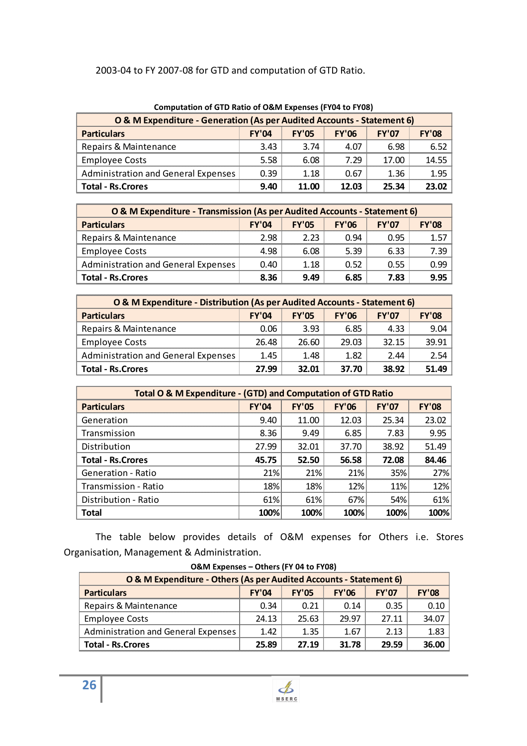# 2003-04 to FY 2007-08 for GTD and computation of GTD Ratio.

| Computation of GTD Ratio of O&M Expenses (FT04 to FT06)                |              |              |              |       |       |  |  |  |
|------------------------------------------------------------------------|--------------|--------------|--------------|-------|-------|--|--|--|
| O & M Expenditure - Generation (As per Audited Accounts - Statement 6) |              |              |              |       |       |  |  |  |
| <b>Particulars</b>                                                     | <b>FY'06</b> | <b>FY'07</b> | <b>FY'08</b> |       |       |  |  |  |
| Repairs & Maintenance                                                  | 3.43         | 3.74         | 4.07         | 6.98  | 6.52  |  |  |  |
| <b>Employee Costs</b>                                                  | 5.58         | 6.08         | 7.29         | 17.00 | 14.55 |  |  |  |
| <b>Administration and General Expenses</b>                             | 0.39         | 1.18         | 0.67         | 1.36  | 1.95  |  |  |  |
| <b>Total - Rs.Crores</b>                                               | 9.40         | 11.00        | 12.03        | 25.34 | 23.02 |  |  |  |

|  | <b>Computation of GTD Ratio of O&amp;M Expenses (FY04 to FY08)</b> |  |
|--|--------------------------------------------------------------------|--|
|  |                                                                    |  |

| O & M Expenditure - Transmission (As per Audited Accounts - Statement 6) |       |              |              |              |              |  |  |  |  |
|--------------------------------------------------------------------------|-------|--------------|--------------|--------------|--------------|--|--|--|--|
| <b>Particulars</b>                                                       | FY'04 | <b>FY'05</b> | <b>FY'06</b> | <b>FY'07</b> | <b>FY'08</b> |  |  |  |  |
| Repairs & Maintenance                                                    | 2.98  | 2.23         | በ 94         | 0.95         | 157          |  |  |  |  |
| <b>Employee Costs</b>                                                    | 4.98  | 6.08         | 5.39         | 6.33         | 7.39.        |  |  |  |  |
| <b>Administration and General Expenses</b>                               | 0.40  | 1.18         | 0.52         | 0.55         | O.99         |  |  |  |  |
| <b>Total - Rs.Crores</b>                                                 | 8.36  | 9.49         | 6.85         | 7.83         | 995          |  |  |  |  |

| O & M Expenditure - Distribution (As per Audited Accounts - Statement 6) |              |              |              |              |              |  |  |  |  |
|--------------------------------------------------------------------------|--------------|--------------|--------------|--------------|--------------|--|--|--|--|
| <b>Particulars</b>                                                       | <b>FY'04</b> | <b>FY'05</b> | <b>FY'06</b> | <b>FY'07</b> | <b>FY'08</b> |  |  |  |  |
| Repairs & Maintenance                                                    | 0.06         | 3.93         | 6.85         | 4.33         | 9.04         |  |  |  |  |
| <b>Employee Costs</b>                                                    | 26.48        | 26.60        | 29.03        | 32.15        | 39.91        |  |  |  |  |
| Administration and General Expenses                                      | 1.45         | 1.48         | 1.82         | 2.44         | 2.54         |  |  |  |  |
| <b>Total - Rs.Crores</b>                                                 | 27.99        | 32.01        | 37.70        | 38.92        | 51.49        |  |  |  |  |

| Total O & M Expenditure - (GTD) and Computation of GTD Ratio |              |              |              |              |              |  |  |  |  |
|--------------------------------------------------------------|--------------|--------------|--------------|--------------|--------------|--|--|--|--|
| <b>Particulars</b>                                           | <b>FY'04</b> | <b>FY'05</b> | <b>FY'06</b> | <b>FY'07</b> | <b>FY'08</b> |  |  |  |  |
| Generation                                                   | 9.40         | 11.00        | 12.03        | 25.34        | 23.02        |  |  |  |  |
| Transmission                                                 | 8.36         | 9.49         | 6.85         | 7.83         | 9.95         |  |  |  |  |
| Distribution                                                 | 27.99        | 32.01        | 37.70        | 38.92        | 51.49        |  |  |  |  |
| <b>Total - Rs.Crores</b>                                     | 45.75        | 52.50        | 56.58        | 72.08        | 84.46        |  |  |  |  |
| <b>Generation - Ratio</b>                                    | 21%          | 21%          | 21%          | 35%          | 27%          |  |  |  |  |
| Transmission - Ratio                                         | 18%          | 18%          | 12%          | 11%          | 12%          |  |  |  |  |
| Distribution - Ratio                                         | 61%          | 61%          | 67%          | 54%          | 61%          |  |  |  |  |
| <b>Total</b>                                                 | 100%         | 100%         | 100%         | 100%         | 100%         |  |  |  |  |

The table below provides details of O&M expenses for Others i.e. Stores Organisation, Management & Administration.

| O&M Expenses - Others (FY 04 to FY08)                                                              |       |       |       |       |       |  |  |  |
|----------------------------------------------------------------------------------------------------|-------|-------|-------|-------|-------|--|--|--|
| O & M Expenditure - Others (As per Audited Accounts - Statement 6)                                 |       |       |       |       |       |  |  |  |
| <b>FY'08</b><br><b>FY'04</b><br><b>FY'06</b><br><b>FY'07</b><br><b>Particulars</b><br><b>FY'05</b> |       |       |       |       |       |  |  |  |
| Repairs & Maintenance                                                                              | 0.34  | 0.21  | 0.14  | 0.35  | 0.10  |  |  |  |
| <b>Employee Costs</b>                                                                              | 24.13 | 25.63 | 29.97 | 27.11 | 34.07 |  |  |  |
| <b>Administration and General Expenses</b>                                                         | 1.42  | 1.35  | 1.67  | 2.13  | 1.83  |  |  |  |
| <b>Total - Rs. Crores</b>                                                                          | 27.19 | 31.78 | 29.59 | 36.00 |       |  |  |  |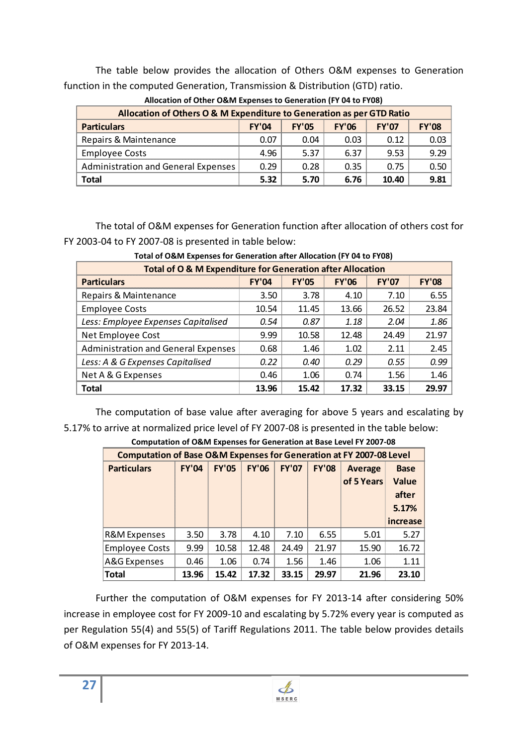The table below provides the allocation of Others O&M expenses to Generation function in the computed Generation, Transmission & Distribution (GTD) ratio.

| Allocation of Others O & M Expenditure to Generation as per GTD Ratio |              |              |              |              |              |  |  |  |
|-----------------------------------------------------------------------|--------------|--------------|--------------|--------------|--------------|--|--|--|
| <b>Particulars</b>                                                    | <b>FY'04</b> | <b>FY'05</b> | <b>FY'06</b> | <b>FY'07</b> | <b>FY'08</b> |  |  |  |
| Repairs & Maintenance                                                 | 0.07         | 0.04         | 0.03         | 0.12         | 0.03         |  |  |  |
| <b>Employee Costs</b>                                                 | 4.96         | 5.37         | 6.37         | 9.53         | 9 29         |  |  |  |
| Administration and General Expenses                                   | 0.29         | 0.28         | 0.35         | 0.75         | 0.50         |  |  |  |
| Total                                                                 | 5.32         | 5.70         | 6.76         | 10.40        | 9.81         |  |  |  |

**Allocation of Other O&M Expenses to Generation (FY 04 to FY08)** 

The total of O&M expenses for Generation function after allocation of others cost for FY 2003-04 to FY 2007-08 is presented in table below:

| Total of O & M Expenditure for Generation after Allocation |              |              |              |              |              |  |  |  |  |
|------------------------------------------------------------|--------------|--------------|--------------|--------------|--------------|--|--|--|--|
| <b>Particulars</b>                                         | <b>FY'04</b> | <b>FY'05</b> | <b>FY'06</b> | <b>FY'07</b> | <b>FY'08</b> |  |  |  |  |
| Repairs & Maintenance                                      | 3.50         | 3.78         | 4.10         | 7.10         | 6.55         |  |  |  |  |
| <b>Employee Costs</b>                                      | 10.54        | 11.45        | 13.66        | 26.52        | 23.84        |  |  |  |  |
| Less: Employee Expenses Capitalised                        | 0.54         | 0.87         | 1.18         | 2.04         | 1.86         |  |  |  |  |
| Net Employee Cost                                          | 9.99         | 10.58        | 12.48        | 24.49        | 21.97        |  |  |  |  |
| <b>Administration and General Expenses</b>                 | 0.68         | 1.46         | 1.02         | 2.11         | 2.45         |  |  |  |  |
| Less: A & G Expenses Capitalised                           | 0.22         | 0.40         | 0.29         | 0.55         | 0.99         |  |  |  |  |
| Net A & G Expenses                                         | 0.46         | 1.06         | 0.74         | 1.56         | 1.46         |  |  |  |  |
| Total                                                      | 13.96        | 15.42        | 17.32        | 33.15        | 29.97        |  |  |  |  |

**Total of O&M Expenses for Generation after Allocation (FY 04 to FY08)** 

The computation of base value after averaging for above 5 years and escalating by 5.17% to arrive at normalized price level of FY 2007-08 is presented in the table below:

| <b>Computation of Base O&amp;M Expenses for Generation at FY 2007-08 Level</b> |              |              |              |              |              |                              |                                                           |  |  |
|--------------------------------------------------------------------------------|--------------|--------------|--------------|--------------|--------------|------------------------------|-----------------------------------------------------------|--|--|
| <b>Particulars</b>                                                             | <b>FY'04</b> | <b>FY'05</b> | <b>FY'06</b> | <b>FY'07</b> | <b>FY'08</b> | <b>Average</b><br>of 5 Years | <b>Base</b><br><b>Value</b><br>after<br>5.17%<br>increase |  |  |
| R&M Expenses                                                                   | 3.50         | 3.78         | 4.10         | 7.10         | 6.55         | 5.01                         | 5.27                                                      |  |  |
| <b>Employee Costs</b>                                                          | 9.99         | 10.58        | 12.48        | 24.49        | 21.97        | 15.90                        | 16.72                                                     |  |  |
| A&G Expenses                                                                   | 0.46         | 1.06         | 0.74         | 1.56         | 1.46         | 1.06                         | 1.11                                                      |  |  |
| <b>Total</b>                                                                   | 13.96        | 15.42        | 17.32        | 33.15        | 29.97        | 21.96                        | 23.10                                                     |  |  |

**Computation of O&M Expenses for Generation at Base Level FY 2007-08** 

Further the computation of O&M expenses for FY 2013-14 after considering 50% increase in employee cost for FY 2009-10 and escalating by 5.72% every year is computed as per Regulation 55(4) and 55(5) of Tariff Regulations 2011. The table below provides details of O&M expenses for FY 2013-14.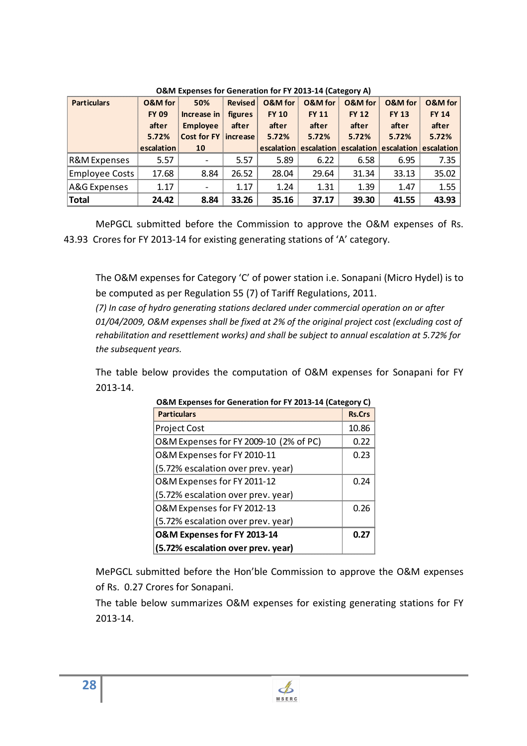| <b>Particulars</b>      | <b>O&amp;M</b> for | 50%                      | <b>Revised</b> | <b>O&amp;M</b> for | <b>O&amp;M</b> for               | O&M for      | <b>O&amp;M</b> for | O&M for               |
|-------------------------|--------------------|--------------------------|----------------|--------------------|----------------------------------|--------------|--------------------|-----------------------|
|                         | <b>FY 09</b>       | Increase in              | figures        | <b>FY 10</b>       | <b>FY 11</b>                     | <b>FY 12</b> | <b>FY 13</b>       | <b>FY 14</b>          |
|                         | after              | <b>Employee</b>          | after          | after              | after                            | after        | after              | after                 |
|                         | 5.72%              | Cost for FY increase     |                | 5.72%              | 5.72%                            | 5.72%        | 5.72%              | 5.72%                 |
|                         | escalation         | 10                       |                |                    | escalation escalation escalation |              |                    | escalation escalation |
| <b>R&amp;M</b> Expenses | 5.57               | $\overline{\phantom{a}}$ | 5.57           | 5.89               | 6.22                             | 6.58         | 6.95               | 7.35                  |
| <b>Employee Costs</b>   | 17.68              | 8.84                     | 26.52          | 28.04              | 29.64                            | 31.34        | 33.13              | 35.02                 |
| A&G Expenses            | 1.17               | $\overline{\phantom{a}}$ | 1.17           | 1.24               | 1.31                             | 1.39         | 1.47               | 1.55                  |
| Total                   | 24.42              | 8.84                     | 33.26          | 35.16              | 37.17                            | 39.30        | 41.55              | 43.93                 |

**O&M Expenses for Generation for FY 2013-14 (Category A)** 

MePGCL submitted before the Commission to approve the O&M expenses of Rs. 43.93 Crores for FY 2013-14 for existing generating stations of 'A' category.

The O&M expenses for Category 'C' of power station i.e. Sonapani (Micro Hydel) is to be computed as per Regulation 55 (7) of Tariff Regulations, 2011.

*(7) In case of hydro generating stations declared under commercial operation on or after 01/04/2009, O&M expenses shall be fixed at 2% of the original project cost (excluding cost of rehabilitation and resettlement works) and shall be subject to annual escalation at 5.72% for the subsequent years.* 

The table below provides the computation of O&M expenses for Sonapani for FY 2013-14.

| O&M Expenses for Generation for FY 2013-14 (Category C) |               |  |  |  |  |
|---------------------------------------------------------|---------------|--|--|--|--|
| <b>Particulars</b>                                      | <b>Rs.Crs</b> |  |  |  |  |
| <b>Project Cost</b>                                     | 10.86         |  |  |  |  |
| O&M Expenses for FY 2009-10 (2% of PC)                  | 0.22          |  |  |  |  |
| O&M Expenses for FY 2010-11                             | 0.23          |  |  |  |  |
| (5.72% escalation over prev. year)                      |               |  |  |  |  |
| O&M Expenses for FY 2011-12                             | 0.24          |  |  |  |  |
| (5.72% escalation over prev. year)                      |               |  |  |  |  |
| O&M Expenses for FY 2012-13                             | 0.26          |  |  |  |  |
| (5.72% escalation over prev. year)                      |               |  |  |  |  |
| O&M Expenses for FY 2013-14                             | 0.27          |  |  |  |  |
| (5.72% escalation over prev. year)                      |               |  |  |  |  |

|  |  | O&M Expenses for Generation for FY 2013-14 (Category C) |
|--|--|---------------------------------------------------------|
|  |  |                                                         |

MePGCL submitted before the Hon'ble Commission to approve the O&M expenses of Rs. 0.27 Crores for Sonapani.

The table below summarizes O&M expenses for existing generating stations for FY 2013-14.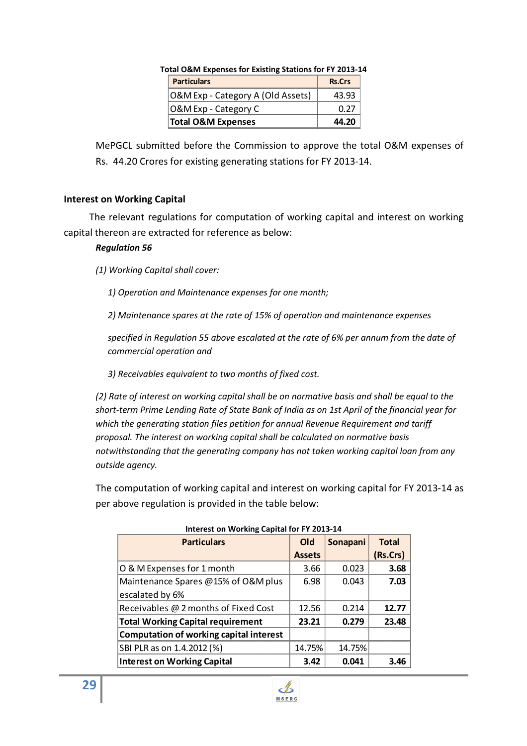| $\,$ otal O&M Expenses for Existing Stations for FY 2013-1. |               |
|-------------------------------------------------------------|---------------|
| <b>Particulars</b>                                          | <b>Rs.Crs</b> |
| O&M Exp - Category A (Old Assets)                           | 43.93         |
| O&M Exp - Category C                                        | በ ን7          |
| <b>Total O&amp;M Expenses</b>                               | 44.20         |

**Total O&M Expenses for Existing Stations for FY 2013-14** 

MePGCL submitted before the Commission to approve the total O&M expenses of Rs. 44.20 Crores for existing generating stations for FY 2013-14.

#### **Interest on Working Capital**

The relevant regulations for computation of working capital and interest on working capital thereon are extracted for reference as below:

#### *Regulation 56*

*(1) Working Capital shall cover:* 

*1) Operation and Maintenance expenses for one month;* 

*2) Maintenance spares at the rate of 15% of operation and maintenance expenses* 

*specified in Regulation 55 above escalated at the rate of 6% per annum from the date of commercial operation and* 

*3) Receivables equivalent to two months of fixed cost.* 

*(2) Rate of interest on working capital shall be on normative basis and shall be equal to the short-term Prime Lending Rate of State Bank of India as on 1st April of the financial year for which the generating station files petition for annual Revenue Requirement and tariff proposal. The interest on working capital shall be calculated on normative basis notwithstanding that the generating company has not taken working capital loan from any outside agency.* 

The computation of working capital and interest on working capital for FY 2013-14 as per above regulation is provided in the table below:

| merest on working capital for FT 2015-14       |               |          |              |  |
|------------------------------------------------|---------------|----------|--------------|--|
| <b>Particulars</b>                             | Old           | Sonapani | <b>Total</b> |  |
|                                                | <b>Assets</b> |          | (Rs.Crs)     |  |
| O & M Expenses for 1 month                     | 3.66          | 0.023    | 3.68         |  |
| Maintenance Spares @15% of O&M plus            | 6.98          | 0.043    | 7.03         |  |
| escalated by 6%                                |               |          |              |  |
| Receivables @ 2 months of Fixed Cost           | 12.56         | 0.214    | 12.77        |  |
| <b>Total Working Capital requirement</b>       | 23.21         | 0.279    | 23.48        |  |
| <b>Computation of working capital interest</b> |               |          |              |  |
| SBI PLR as on 1.4.2012 (%)                     | 14.75%        | 14.75%   |              |  |
| <b>Interest on Working Capital</b>             | 3.42          | 0.041    | 3.46         |  |

#### **Interest on Working Capital for FY 2013-14**

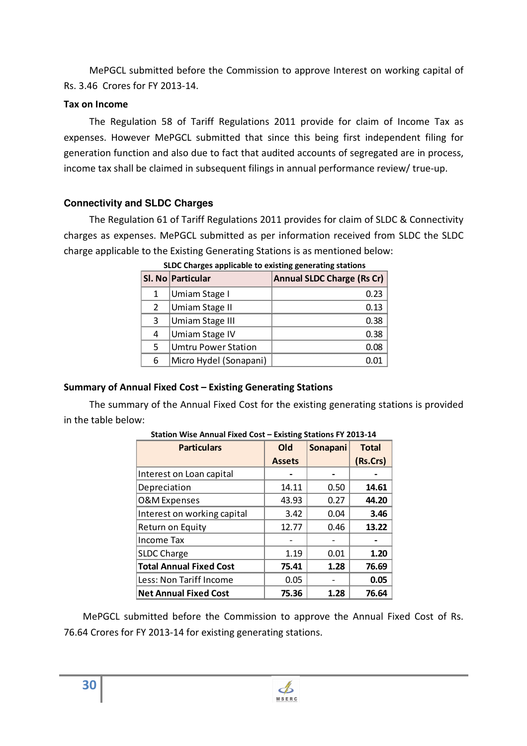MePGCL submitted before the Commission to approve Interest on working capital of Rs. 3.46 Crores for FY 2013-14.

#### **Tax on Income**

The Regulation 58 of Tariff Regulations 2011 provide for claim of Income Tax as expenses. However MePGCL submitted that since this being first independent filing for generation function and also due to fact that audited accounts of segregated are in process, income tax shall be claimed in subsequent filings in annual performance review/ true-up.

## **Connectivity and SLDC Charges**

The Regulation 61 of Tariff Regulations 2011 provides for claim of SLDC & Connectivity charges as expenses. MePGCL submitted as per information received from SLDC the SLDC charge applicable to the Existing Generating Stations is as mentioned below:

| Sl. No Particular           | Annual SLDC Charge (Rs Cr) |
|-----------------------------|----------------------------|
| Umiam Stage I               | በ ን3                       |
| Umiam Stage II              | ก 13                       |
| Umiam Stage III             |                            |
| Umiam Stage IV              |                            |
| <b>IUmtru Power Station</b> |                            |
| Micro Hydel (Sonapani)      |                            |

 **SLDC Charges applicable to existing generating stations** 

## **Summary of Annual Fixed Cost – Existing Generating Stations**

The summary of the Annual Fixed Cost for the existing generating stations is provided in the table below:

| <b>Particulars</b>             | Old           | Sonapani | <b>Total</b> |
|--------------------------------|---------------|----------|--------------|
|                                | <b>Assets</b> |          | (Rs.Crs)     |
| Interest on Loan capital       |               |          |              |
| Depreciation                   | 14.11         | 0.50     | 14.61        |
| O&M Expenses                   | 43.93         | 0.27     | 44.20        |
| Interest on working capital    | 3.42          | 0.04     | 3.46         |
| Return on Equity               | 12.77         | 0.46     | 13.22        |
| <b>Income Tax</b>              |               |          |              |
| <b>SLDC Charge</b>             | 1.19          | 0.01     | 1.20         |
| <b>Total Annual Fixed Cost</b> | 75.41         | 1.28     | 76.69        |
| Less: Non Tariff Income        | 0.05          |          | 0.05         |
| <b>Net Annual Fixed Cost</b>   | 75.36         | 1.28     | 76.64        |

**Station Wise Annual Fixed Cost – Existing Stations FY 2013-14** 

MePGCL submitted before the Commission to approve the Annual Fixed Cost of Rs. 76.64 Crores for FY 2013-14 for existing generating stations.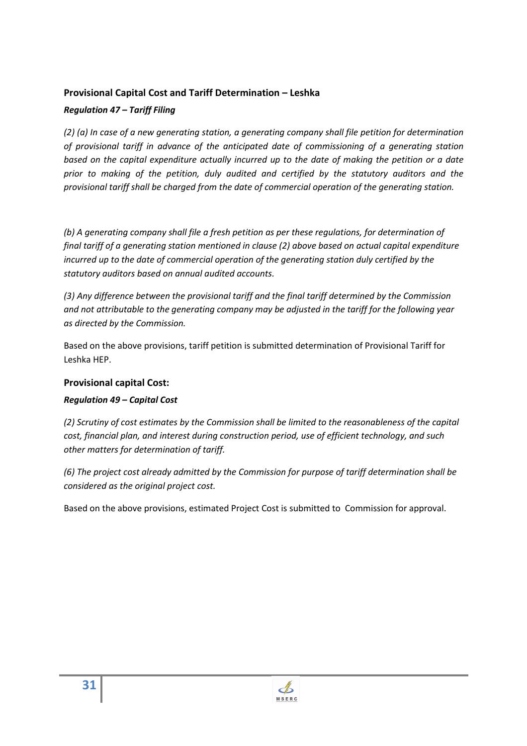### **Provisional Capital Cost and Tariff Determination – Leshka**

#### *Regulation 47 – Tariff Filing*

*(2) (a) In case of a new generating station, a generating company shall file petition for determination of provisional tariff in advance of the anticipated date of commissioning of a generating station based on the capital expenditure actually incurred up to the date of making the petition or a date prior to making of the petition, duly audited and certified by the statutory auditors and the provisional tariff shall be charged from the date of commercial operation of the generating station.* 

*(b) A generating company shall file a fresh petition as per these regulations, for determination of final tariff of a generating station mentioned in clause (2) above based on actual capital expenditure incurred up to the date of commercial operation of the generating station duly certified by the statutory auditors based on annual audited accounts.* 

*(3) Any difference between the provisional tariff and the final tariff determined by the Commission and not attributable to the generating company may be adjusted in the tariff for the following year as directed by the Commission.* 

Based on the above provisions, tariff petition is submitted determination of Provisional Tariff for Leshka HEP.

## **Provisional capital Cost:**

## *Regulation 49 – Capital Cost*

*(2) Scrutiny of cost estimates by the Commission shall be limited to the reasonableness of the capital cost, financial plan, and interest during construction period, use of efficient technology, and such other matters for determination of tariff.* 

*(6) The project cost already admitted by the Commission for purpose of tariff determination shall be considered as the original project cost.* 

Based on the above provisions, estimated Project Cost is submitted to Commission for approval.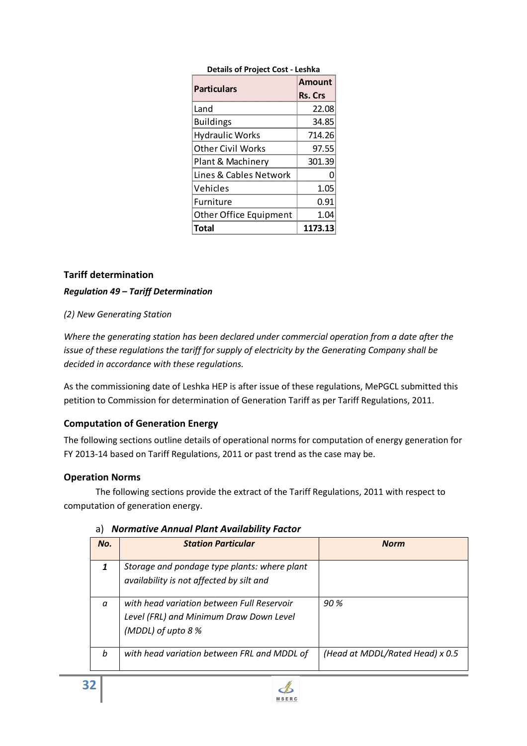| <b>Details of Project Cost - Leshka</b> |                |  |  |
|-----------------------------------------|----------------|--|--|
| <b>Particulars</b>                      | <b>Amount</b>  |  |  |
|                                         | <b>Rs. Crs</b> |  |  |
| Land                                    | 22.08          |  |  |
| <b>Buildings</b>                        | 34.85          |  |  |
| <b>Hydraulic Works</b>                  | 714.26         |  |  |
| <b>Other Civil Works</b>                | 97.55          |  |  |
| Plant & Machinery                       | 301.39         |  |  |
| Lines & Cables Network                  |                |  |  |
| Vehicles                                | 1.05           |  |  |
| <b>Furniture</b>                        | 0.91           |  |  |
| <b>Other Office Equipment</b>           | 1.04           |  |  |
| Total                                   | 1173.13        |  |  |

#### **Tariff determination**

#### *Regulation 49 – Tariff Determination*

#### *(2) New Generating Station*

*Where the generating station has been declared under commercial operation from a date after the issue of these regulations the tariff for supply of electricity by the Generating Company shall be decided in accordance with these regulations.* 

As the commissioning date of Leshka HEP is after issue of these regulations, MePGCL submitted this petition to Commission for determination of Generation Tariff as per Tariff Regulations, 2011.

#### **Computation of Generation Energy**

The following sections outline details of operational norms for computation of energy generation for FY 2013-14 based on Tariff Regulations, 2011 or past trend as the case may be.

#### **Operation Norms**

The following sections provide the extract of the Tariff Regulations, 2011 with respect to computation of generation energy.

| No.      | <b>Station Particular</b>                                                                                   | <b>Norm</b>                     |
|----------|-------------------------------------------------------------------------------------------------------------|---------------------------------|
|          | Storage and pondage type plants: where plant<br>availability is not affected by silt and                    |                                 |
| $\alpha$ | with head variation between Full Reservoir<br>Level (FRL) and Minimum Draw Down Level<br>(MDDL) of upto 8 % | 90%                             |
| b        | with head variation between FRL and MDDL of                                                                 | (Head at MDDL/Rated Head) x 0.5 |

#### a) *Normative Annual Plant Availability Factor*

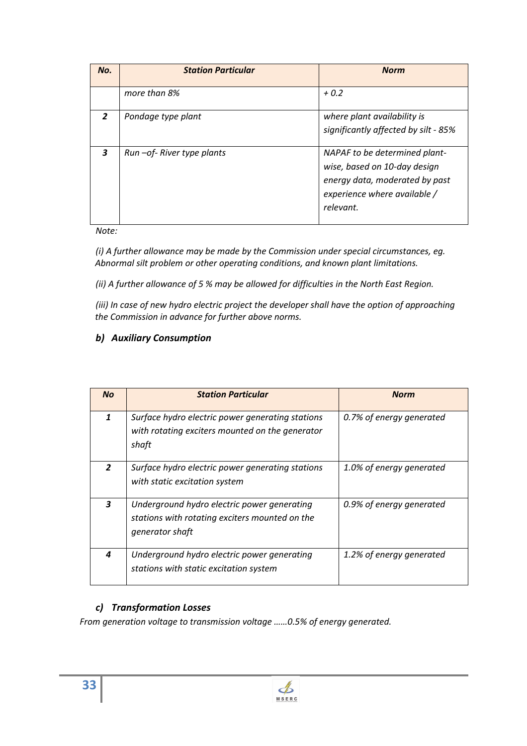| No.            | <b>Station Particular</b>    | <b>Norm</b>                                                                                                                                  |
|----------------|------------------------------|----------------------------------------------------------------------------------------------------------------------------------------------|
|                | more than 8%                 | $+0.2$                                                                                                                                       |
| $\overline{z}$ | Pondage type plant           | where plant availability is<br>significantly affected by silt - 85%                                                                          |
| 3              | Run - of - River type plants | NAPAF to be determined plant-<br>wise, based on 10-day design<br>energy data, moderated by past<br>experience where available /<br>relevant. |

*Note:* 

*(i) A further allowance may be made by the Commission under special circumstances, eg. Abnormal silt problem or other operating conditions, and known plant limitations.* 

*(ii) A further allowance of 5 % may be allowed for difficulties in the North East Region.* 

*(iii) In case of new hydro electric project the developer shall have the option of approaching the Commission in advance for further above norms.* 

# *b) Auxiliary Consumption*

| <b>No</b>      | <b>Station Particular</b>                                                                                        | <b>Norm</b>              |
|----------------|------------------------------------------------------------------------------------------------------------------|--------------------------|
| 1              | Surface hydro electric power generating stations<br>with rotating exciters mounted on the generator<br>shaft     | 0.7% of energy generated |
| $\overline{2}$ | Surface hydro electric power generating stations<br>with static excitation system                                | 1.0% of energy generated |
| 3              | Underground hydro electric power generating<br>stations with rotating exciters mounted on the<br>generator shaft | 0.9% of energy generated |
| 4              | Underground hydro electric power generating<br>stations with static excitation system                            | 1.2% of energy generated |

# *c) Transformation Losses*

*From generation voltage to transmission voltage ……0.5% of energy generated.*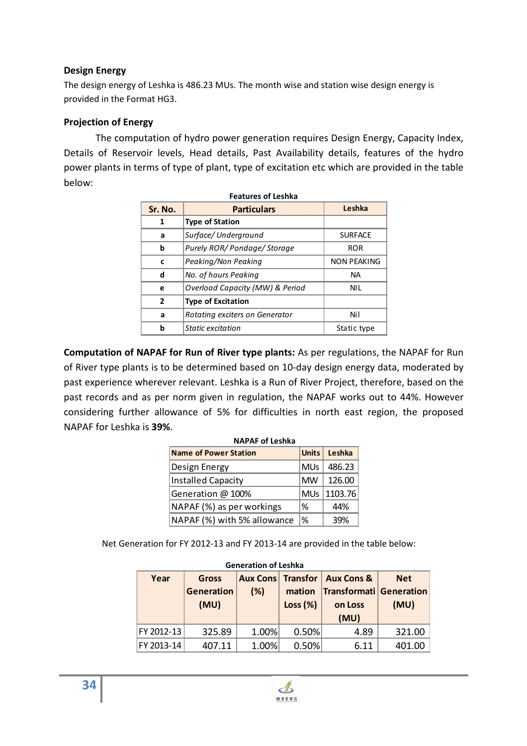### **Design Energy**

The design energy of Leshka is 486.23 MUs. The month wise and station wise design energy is provided in the Format HG3.

#### **Projection of Energy**

The computation of hydro power generation requires Design Energy, Capacity Index, Details of Reservoir levels, Head details, Past Availability details, features of the hydro power plants in terms of type of plant, type of excitation etc which are provided in the table below:

| Sr. No.                              | <b>Particulars</b>             |                |  |  |
|--------------------------------------|--------------------------------|----------------|--|--|
| 1                                    | Type of Station                |                |  |  |
| а                                    | Surface/ Underground           | <b>SURFACE</b> |  |  |
| h                                    | Purely ROR/ Pondage/ Storage   |                |  |  |
| r                                    | Peaking/Non Peaking            |                |  |  |
| d                                    | No. of hours Peaking           |                |  |  |
| Overload Capacity (MW) & Period<br>e |                                | NIL            |  |  |
| 2                                    | <b>Type of Excitation</b>      |                |  |  |
| a                                    | Rotating exciters on Generator | Nil            |  |  |
| h                                    | Static excitation              | Static type    |  |  |

**Computation of NAPAF for Run of River type plants:** As per regulations, the NAPAF for Run of River type plants is to be determined based on 10-day design energy data, moderated by past experience wherever relevant. Leshka is a Run of River Project, therefore, based on the past records and as per norm given in regulation, the NAPAF works out to 44%. However considering further allowance of 5% for difficulties in north east region, the proposed NAPAF for Leshka is **39%**.

| <b>NAPAF of Leshka</b>      |               |                        |
|-----------------------------|---------------|------------------------|
| Name of Power Station       |               | Units Leshka           |
| Design Energy               |               | MU <sub>s</sub> 486.23 |
| Installed Capacity          | MW.           | 126.00                 |
| Generation @ 100%           |               | MUs   1103.76          |
| NAPAF (%) as per workings   | %             | ላለ%                    |
| NAPAF (%) with 5% allowance | $\frac{9}{6}$ |                        |

Net Generation for FY 2012-13 and FY 2013-14 are provided in the table below:

| <b>Generation of Leshka</b> |                             |       |                      |                                                                                           |                    |  |
|-----------------------------|-----------------------------|-------|----------------------|-------------------------------------------------------------------------------------------|--------------------|--|
| Year                        | Gross<br>Generation<br>(MU) | (%)   | mation<br>Loss $(%)$ | <b>Aux Cons   Transfor   Aux Cons &amp;</b><br>Transformati Generation<br>on Loss<br>(MU) | <b>Net</b><br>(MU) |  |
| FY 2012-13                  | 325.89                      | 1.00% | 0.50%                | 4.89                                                                                      | 321.00             |  |
| FY 2013-14                  | 4በ7 11                      | 1.00% | 0.50%                | 6 11                                                                                      |                    |  |

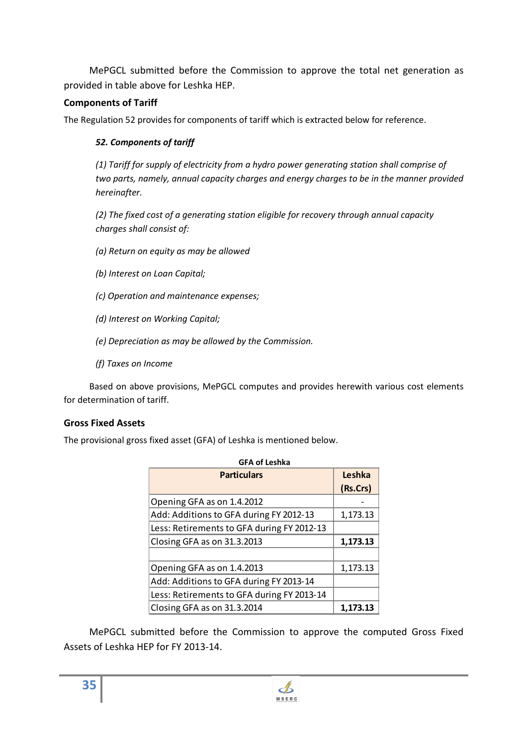MePGCL submitted before the Commission to approve the total net generation as provided in table above for Leshka HEP.

### **Components of Tariff**

The Regulation 52 provides for components of tariff which is extracted below for reference.

#### *52. Components of tariff*

*(1) Tariff for supply of electricity from a hydro power generating station shall comprise of two parts, namely, annual capacity charges and energy charges to be in the manner provided hereinafter.* 

*(2) The fixed cost of a generating station eligible for recovery through annual capacity charges shall consist of:* 

- *(a) Return on equity as may be allowed*
- *(b) Interest on Loan Capital;*
- *(c) Operation and maintenance expenses;*
- *(d) Interest on Working Capital;*
- *(e) Depreciation as may be allowed by the Commission.*
- *(f) Taxes on Income*

Based on above provisions, MePGCL computes and provides herewith various cost elements for determination of tariff.

#### **Gross Fixed Assets**

The provisional gross fixed asset (GFA) of Leshka is mentioned below.

| <b>GFA of Leshka</b>                       |          |  |
|--------------------------------------------|----------|--|
| <b>Particulars</b>                         | Leshka   |  |
|                                            | (Rs.Crs) |  |
| Opening GFA as on 1.4.2012                 |          |  |
| Add: Additions to GFA during FY 2012-13    | 1,173.13 |  |
| Less: Retirements to GFA during FY 2012-13 |          |  |
| Closing GFA as on 31.3.2013                | 1.173.13 |  |
|                                            |          |  |
| Opening GFA as on 1.4.2013                 | 1,173.13 |  |
| Add: Additions to GFA during FY 2013-14    |          |  |
| Less: Retirements to GFA during FY 2013-14 |          |  |
| Closing GFA as on 31.3.2014                | 1.173.13 |  |

MePGCL submitted before the Commission to approve the computed Gross Fixed Assets of Leshka HEP for FY 2013-14.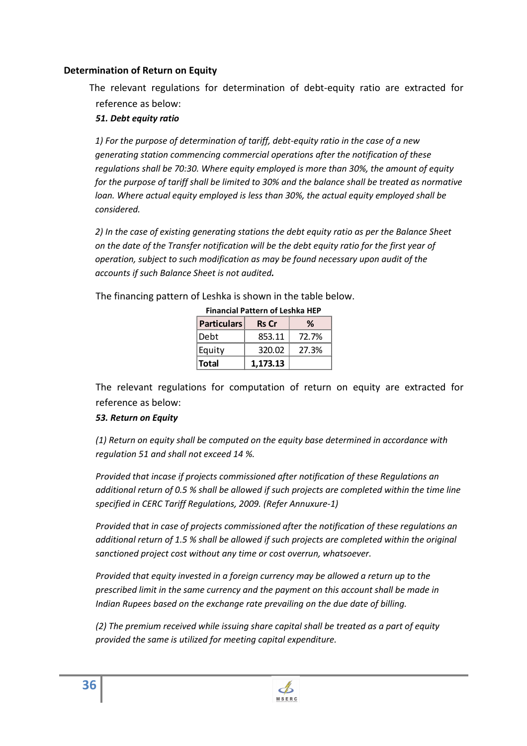#### **Determination of Return on Equity**

The relevant regulations for determination of debt-equity ratio are extracted for reference as below:

#### *51. Debt equity ratio*

*1) For the purpose of determination of tariff, debt-equity ratio in the case of a new generating station commencing commercial operations after the notification of these regulations shall be 70:30. Where equity employed is more than 30%, the amount of equity for the purpose of tariff shall be limited to 30% and the balance shall be treated as normative loan. Where actual equity employed is less than 30%, the actual equity employed shall be considered.* 

*2) In the case of existing generating stations the debt equity ratio as per the Balance Sheet on the date of the Transfer notification will be the debt equity ratio for the first year of operation, subject to such modification as may be found necessary upon audit of the accounts if such Balance Sheet is not audited.* 

The financing pattern of Leshka is shown in the table below.

| <b>Particulars</b> | <b>Rs</b> Cr |       |
|--------------------|--------------|-------|
| Debt               | 853.11       | 72.7% |
| Equity             | 320.02       | 27.3% |
| Total              | 1,173.13     |       |

**Financial Pattern of Leshka HEP** 

The relevant regulations for computation of return on equity are extracted for reference as below:

#### *53. Return on Equity*

*(1) Return on equity shall be computed on the equity base determined in accordance with regulation 51 and shall not exceed 14 %.* 

*Provided that incase if projects commissioned after notification of these Regulations an additional return of 0.5 % shall be allowed if such projects are completed within the time line specified in CERC Tariff Regulations, 2009. (Refer Annuxure-1)* 

*Provided that in case of projects commissioned after the notification of these regulations an additional return of 1.5 % shall be allowed if such projects are completed within the original sanctioned project cost without any time or cost overrun, whatsoever.* 

*Provided that equity invested in a foreign currency may be allowed a return up to the prescribed limit in the same currency and the payment on this account shall be made in Indian Rupees based on the exchange rate prevailing on the due date of billing.* 

*(2) The premium received while issuing share capital shall be treated as a part of equity provided the same is utilized for meeting capital expenditure.*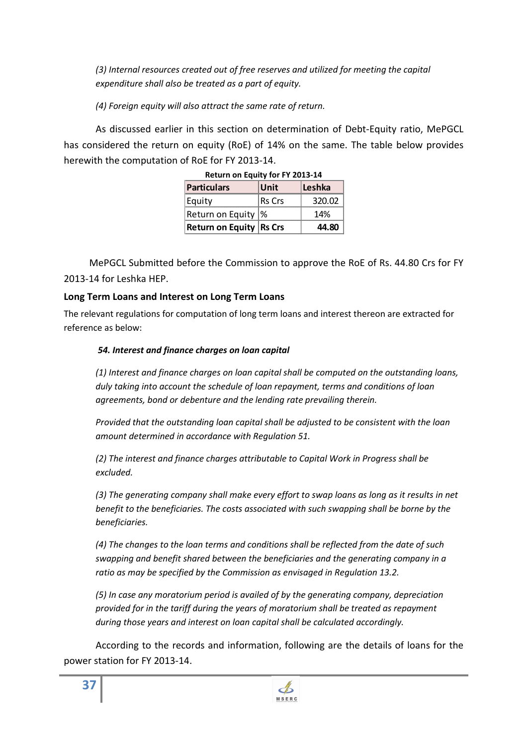*(3) Internal resources created out of free reserves and utilized for meeting the capital expenditure shall also be treated as a part of equity.* 

*(4) Foreign equity will also attract the same rate of return.* 

As discussed earlier in this section on determination of Debt-Equity ratio, MePGCL has considered the return on equity (RoE) of 14% on the same. The table below provides herewith the computation of RoE for FY 2013-14.

| <b>Return on Equity for FY 2013-14</b> |        |        |  |
|----------------------------------------|--------|--------|--|
| Particulars                            | Unit   | Leshka |  |
| Equity                                 | Rs Crs | 320.02 |  |
| Return on Equity  %                    |        | 14%    |  |
| <b>Return on Equity Rs Crs</b>         |        | 44.80  |  |

| Return on Equity for FY 2013-14 |  |  |  |
|---------------------------------|--|--|--|
|                                 |  |  |  |

MePGCL Submitted before the Commission to approve the RoE of Rs. 44.80 Crs for FY 2013-14 for Leshka HEP.

# **Long Term Loans and Interest on Long Term Loans**

The relevant regulations for computation of long term loans and interest thereon are extracted for reference as below:

# *54. Interest and finance charges on loan capital*

*(1) Interest and finance charges on loan capital shall be computed on the outstanding loans, duly taking into account the schedule of loan repayment, terms and conditions of loan agreements, bond or debenture and the lending rate prevailing therein.* 

*Provided that the outstanding loan capital shall be adjusted to be consistent with the loan amount determined in accordance with Regulation 51.*

*(2) The interest and finance charges attributable to Capital Work in Progress shall be excluded.* 

*(3) The generating company shall make every effort to swap loans as long as it results in net benefit to the beneficiaries. The costs associated with such swapping shall be borne by the beneficiaries.* 

*(4) The changes to the loan terms and conditions shall be reflected from the date of such swapping and benefit shared between the beneficiaries and the generating company in a ratio as may be specified by the Commission as envisaged in Regulation 13.2.* 

*(5) In case any moratorium period is availed of by the generating company, depreciation provided for in the tariff during the years of moratorium shall be treated as repayment during those years and interest on loan capital shall be calculated accordingly.* 

According to the records and information, following are the details of loans for the power station for FY 2013-14.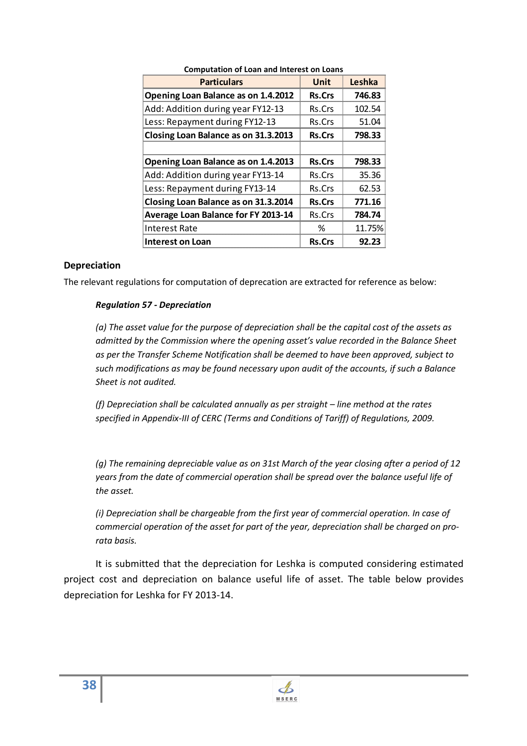| <b>Particulars</b>                   | <b>Unit</b>   | Leshka |
|--------------------------------------|---------------|--------|
| Opening Loan Balance as on 1.4.2012  | <b>Rs.Crs</b> | 746.83 |
| Add: Addition during year FY12-13    | Rs.Crs        | 102.54 |
| Less: Repayment during FY12-13       | Rs.Crs        | 51.04  |
| Closing Loan Balance as on 31.3.2013 | <b>Rs.Crs</b> | 798.33 |
|                                      |               |        |
| Opening Loan Balance as on 1.4.2013  | <b>Rs.Crs</b> | 798.33 |
| Add: Addition during year FY13-14    | Rs.Crs        | 35.36  |
| Less: Repayment during FY13-14       | Rs.Crs        | 62.53  |
| Closing Loan Balance as on 31.3.2014 | <b>Rs.Crs</b> | 771.16 |
| Average Loan Balance for FY 2013-14  | Rs.Crs        | 784.74 |
| <b>Interest Rate</b>                 | ℅             | 11.75% |
| <b>Interest on Loan</b>              | <b>Rs.Crs</b> | 92.23  |

### **Computation of Loan and Interest on Loans**

### **Depreciation**

The relevant regulations for computation of deprecation are extracted for reference as below:

### *Regulation 57 - Depreciation*

*(a) The asset value for the purpose of depreciation shall be the capital cost of the assets as admitted by the Commission where the opening asset's value recorded in the Balance Sheet as per the Transfer Scheme Notification shall be deemed to have been approved, subject to such modifications as may be found necessary upon audit of the accounts, if such a Balance Sheet is not audited.* 

*(f) Depreciation shall be calculated annually as per straight – line method at the rates specified in Appendix-III of CERC (Terms and Conditions of Tariff) of Regulations, 2009.* 

*(g) The remaining depreciable value as on 31st March of the year closing after a period of 12 years from the date of commercial operation shall be spread over the balance useful life of the asset.* 

*(i) Depreciation shall be chargeable from the first year of commercial operation. In case of commercial operation of the asset for part of the year, depreciation shall be charged on prorata basis.* 

It is submitted that the depreciation for Leshka is computed considering estimated project cost and depreciation on balance useful life of asset. The table below provides depreciation for Leshka for FY 2013-14.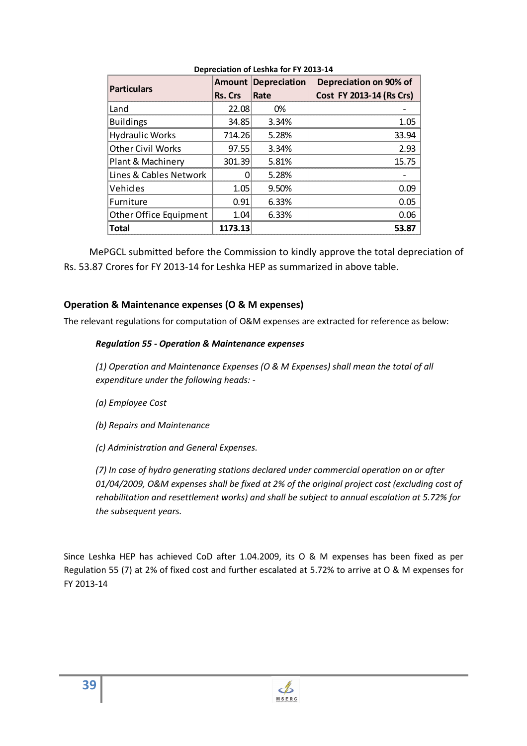| DCDICCIONOII OI ECSIINO IOI I I EUIS IT |               |                     |                          |  |
|-----------------------------------------|---------------|---------------------|--------------------------|--|
| <b>Particulars</b>                      | <b>Amount</b> | <b>Depreciation</b> | Depreciation on 90% of   |  |
|                                         | Rs. Crs       | Rate                | Cost FY 2013-14 (Rs Crs) |  |
| Land                                    | 22.08         | 0%                  |                          |  |
| <b>Buildings</b>                        | 34.85         | 3.34%               | 1.05                     |  |
| <b>Hydraulic Works</b>                  | 714.26        | 5.28%               | 33.94                    |  |
| <b>Other Civil Works</b>                | 97.55         | 3.34%               | 2.93                     |  |
| Plant & Machinery                       | 301.39        | 5.81%               | 15.75                    |  |
| Lines & Cables Network                  |               | 5.28%               |                          |  |
| Vehicles                                | 1.05          | 9.50%               | 0.09                     |  |
| Furniture                               | 0.91          | 6.33%               | 0.05                     |  |
| Other Office Equipment                  | 1.04          | 6.33%               | 0.06                     |  |
| <b>Total</b>                            | 1173.13       |                     | 53.87                    |  |

### **Depreciation of Leshka for FY 2013-14**

MePGCL submitted before the Commission to kindly approve the total depreciation of Rs. 53.87 Crores for FY 2013-14 for Leshka HEP as summarized in above table.

# **Operation & Maintenance expenses (O & M expenses)**

The relevant regulations for computation of O&M expenses are extracted for reference as below:

### *Regulation 55 - Operation & Maintenance expenses*

*(1) Operation and Maintenance Expenses (O & M Expenses) shall mean the total of all expenditure under the following heads: -* 

- *(a) Employee Cost*
- *(b) Repairs and Maintenance*

*(c) Administration and General Expenses.* 

*(7) In case of hydro generating stations declared under commercial operation on or after 01/04/2009, O&M expenses shall be fixed at 2% of the original project cost (excluding cost of rehabilitation and resettlement works) and shall be subject to annual escalation at 5.72% for the subsequent years.*

Since Leshka HEP has achieved CoD after 1.04.2009, its O & M expenses has been fixed as per Regulation 55 (7) at 2% of fixed cost and further escalated at 5.72% to arrive at O & M expenses for FY 2013-14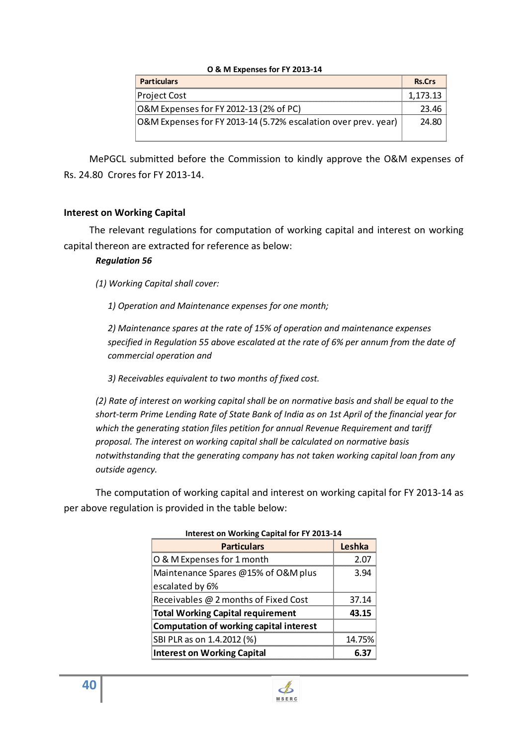| U & IVI EXPEIISES IUI FT ZUIS-I4                               |               |
|----------------------------------------------------------------|---------------|
| <b>Particulars</b>                                             | <b>Rs.Crs</b> |
| <b>Project Cost</b>                                            | 1.173.13      |
| O&M Expenses for FY 2012-13 (2% of PC)                         | 23.46         |
| O&M Expenses for FY 2013-14 (5.72% escalation over prev. year) | 24.80         |

## **O & M Expenses for FY 2013-14**

MePGCL submitted before the Commission to kindly approve the O&M expenses of Rs. 24.80 Crores for FY 2013-14.

# **Interest on Working Capital**

The relevant regulations for computation of working capital and interest on working capital thereon are extracted for reference as below:

# *Regulation 56*

*(1) Working Capital shall cover:* 

*1) Operation and Maintenance expenses for one month;* 

*2) Maintenance spares at the rate of 15% of operation and maintenance expenses specified in Regulation 55 above escalated at the rate of 6% per annum from the date of commercial operation and* 

*3) Receivables equivalent to two months of fixed cost.* 

*(2) Rate of interest on working capital shall be on normative basis and shall be equal to the short-term Prime Lending Rate of State Bank of India as on 1st April of the financial year for which the generating station files petition for annual Revenue Requirement and tariff proposal. The interest on working capital shall be calculated on normative basis notwithstanding that the generating company has not taken working capital loan from any outside agency.* 

The computation of working capital and interest on working capital for FY 2013-14 as per above regulation is provided in the table below:

| $m_{\rm C}$ and $m_{\rm F}$ and $m_{\rm F}$ capital for the EQTS T- |        |  |
|---------------------------------------------------------------------|--------|--|
| <b>Particulars</b>                                                  | Leshka |  |
| O & M Expenses for 1 month                                          | 2.07   |  |
| Maintenance Spares @15% of O&M plus                                 | 3.94   |  |
| escalated by 6%                                                     |        |  |
| Receivables @ 2 months of Fixed Cost                                | 37.14  |  |
| <b>Total Working Capital requirement</b>                            | 43.15  |  |
| Computation of working capital interest                             |        |  |
| SBI PLR as on 1.4.2012 (%)                                          | 14.75% |  |
| <b>Interest on Working Capital</b>                                  |        |  |

### **Interest on Working Capital for FY 2013-14**

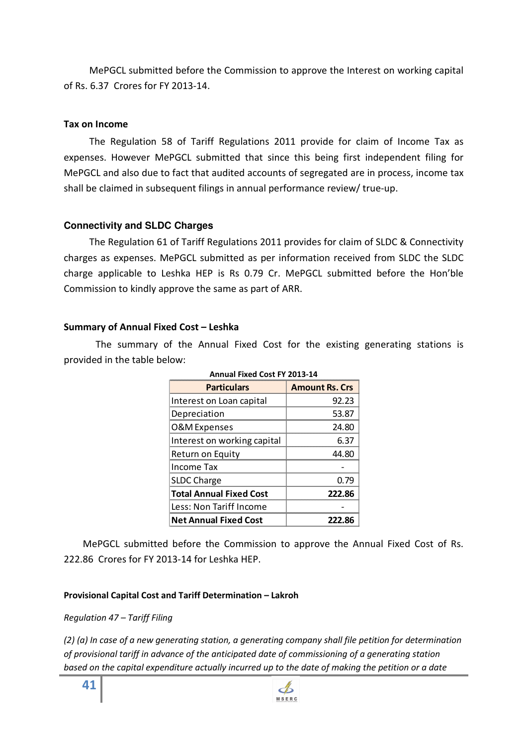MePGCL submitted before the Commission to approve the Interest on working capital of Rs. 6.37 Crores for FY 2013-14.

## **Tax on Income**

The Regulation 58 of Tariff Regulations 2011 provide for claim of Income Tax as expenses. However MePGCL submitted that since this being first independent filing for MePGCL and also due to fact that audited accounts of segregated are in process, income tax shall be claimed in subsequent filings in annual performance review/ true-up.

# **Connectivity and SLDC Charges**

The Regulation 61 of Tariff Regulations 2011 provides for claim of SLDC & Connectivity charges as expenses. MePGCL submitted as per information received from SLDC the SLDC charge applicable to Leshka HEP is Rs 0.79 Cr. MePGCL submitted before the Hon'ble Commission to kindly approve the same as part of ARR.

## **Summary of Annual Fixed Cost – Leshka**

The summary of the Annual Fixed Cost for the existing generating stations is provided in the table below:

| <b>Annual Fixed Cost FY 2013-14</b> |                       |  |
|-------------------------------------|-----------------------|--|
| <b>Particulars</b>                  | <b>Amount Rs. Crs</b> |  |
| Interest on Loan capital            | 92.23                 |  |
| Depreciation                        | 53.87                 |  |
| <b>O&amp;M</b> Expenses             | 24.80                 |  |
| Interest on working capital         | 6.37                  |  |
| Return on Equity                    | 44.80                 |  |
| Income Tax                          |                       |  |
| <b>SLDC Charge</b>                  | 0.79                  |  |
| <b>Total Annual Fixed Cost</b>      | 222.86                |  |
| Less: Non Tariff Income             |                       |  |
| <b>Net Annual Fixed Cost</b>        | 222.86                |  |

MePGCL submitted before the Commission to approve the Annual Fixed Cost of Rs. 222.86 Crores for FY 2013-14 for Leshka HEP.

### **Provisional Capital Cost and Tariff Determination – Lakroh**

### *Regulation 47 – Tariff Filing*

*(2) (a) In case of a new generating station, a generating company shall file petition for determination of provisional tariff in advance of the anticipated date of commissioning of a generating station based on the capital expenditure actually incurred up to the date of making the petition or a date*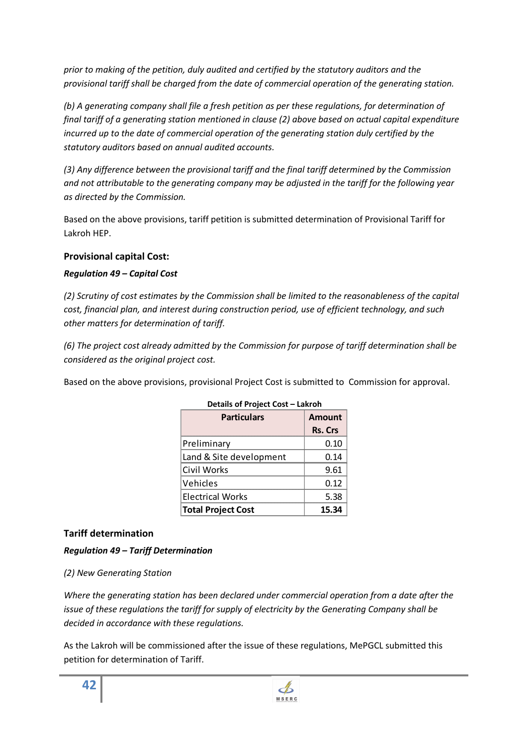*prior to making of the petition, duly audited and certified by the statutory auditors and the provisional tariff shall be charged from the date of commercial operation of the generating station.* 

*(b) A generating company shall file a fresh petition as per these regulations, for determination of final tariff of a generating station mentioned in clause (2) above based on actual capital expenditure incurred up to the date of commercial operation of the generating station duly certified by the statutory auditors based on annual audited accounts.* 

*(3) Any difference between the provisional tariff and the final tariff determined by the Commission and not attributable to the generating company may be adjusted in the tariff for the following year as directed by the Commission.* 

Based on the above provisions, tariff petition is submitted determination of Provisional Tariff for Lakroh HEP.

# **Provisional capital Cost:**

# *Regulation 49 – Capital Cost*

*(2) Scrutiny of cost estimates by the Commission shall be limited to the reasonableness of the capital cost, financial plan, and interest during construction period, use of efficient technology, and such other matters for determination of tariff.* 

*(6) The project cost already admitted by the Commission for purpose of tariff determination shall be considered as the original project cost.* 

Based on the above provisions, provisional Project Cost is submitted to Commission for approval.

| <b>Particulars</b>        | Amount  |
|---------------------------|---------|
|                           | Rs. Crs |
| Preliminary               | 0.10    |
| Land & Site development   | በ 14    |
| Civil Works               | 9.61    |
| Vehicles                  | 0.12    |
| <b>Electrical Works</b>   | 5.38    |
| <b>Total Project Cost</b> | 15 34   |

# **Details of Project Cost – Lakroh**

# **Tariff determination**

# *Regulation 49 – Tariff Determination*

# *(2) New Generating Station*

*Where the generating station has been declared under commercial operation from a date after the issue of these regulations the tariff for supply of electricity by the Generating Company shall be decided in accordance with these regulations.* 

As the Lakroh will be commissioned after the issue of these regulations, MePGCL submitted this petition for determination of Tariff.

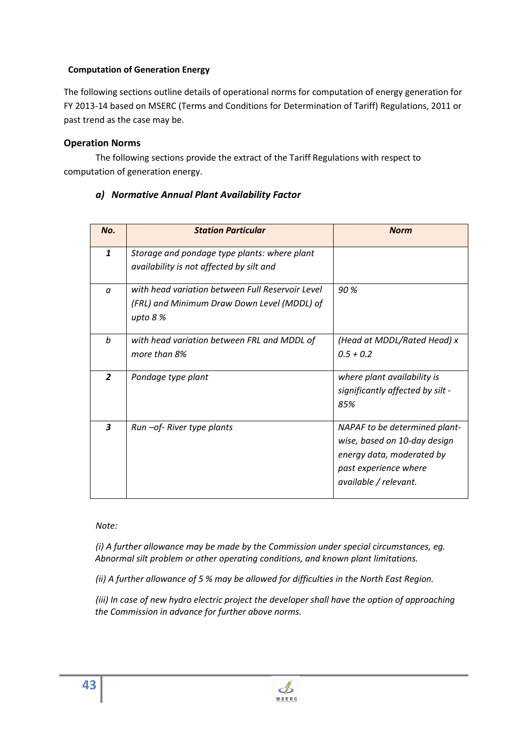# **Computation of Generation Energy**

The following sections outline details of operational norms for computation of energy generation for FY 2013-14 based on MSERC (Terms and Conditions for Determination of Tariff) Regulations, 2011 or past trend as the case may be.

## **Operation Norms**

The following sections provide the extract of the Tariff Regulations with respect to computation of generation energy.

| No.                     | <b>Station Particular</b>                                                                                    | <b>Norm</b>                                                                                                                                  |
|-------------------------|--------------------------------------------------------------------------------------------------------------|----------------------------------------------------------------------------------------------------------------------------------------------|
| $\mathbf{1}$            | Storage and pondage type plants: where plant<br>availability is not affected by silt and                     |                                                                                                                                              |
| $\alpha$                | with head variation between Full Reservoir Level<br>(FRL) and Minimum Draw Down Level (MDDL) of<br>upto $8%$ | 90 %                                                                                                                                         |
| b                       | with head variation between FRL and MDDL of<br>more than 8%                                                  | (Head at MDDL/Rated Head) x<br>$0.5 + 0.2$                                                                                                   |
| $\overline{2}$          | Pondage type plant                                                                                           | where plant availability is<br>significantly affected by silt -<br>85%                                                                       |
| $\overline{\mathbf{3}}$ | Run - of - River type plants                                                                                 | NAPAF to be determined plant-<br>wise, based on 10-day design<br>energy data, moderated by<br>past experience where<br>available / relevant. |

# *a) Normative Annual Plant Availability Factor*

*Note:* 

*(i) A further allowance may be made by the Commission under special circumstances, eg. Abnormal silt problem or other operating conditions, and known plant limitations.* 

*(ii) A further allowance of 5 % may be allowed for difficulties in the North East Region.* 

*(iii) In case of new hydro electric project the developer shall have the option of approaching the Commission in advance for further above norms.*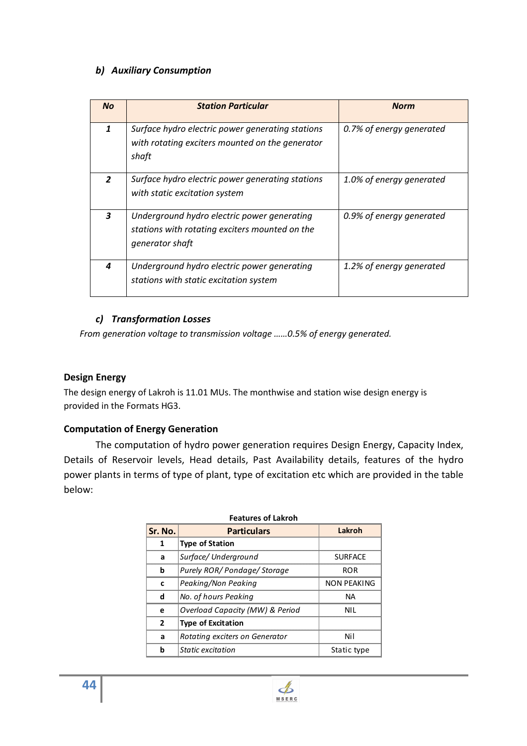# *b) Auxiliary Consumption*

| <b>No</b>    | <b>Station Particular</b>                                                                                        | <b>Norm</b>              |
|--------------|------------------------------------------------------------------------------------------------------------------|--------------------------|
| $\mathbf{1}$ | Surface hydro electric power generating stations<br>with rotating exciters mounted on the generator<br>shaft     | 0.7% of energy generated |
| $\mathbf{z}$ | Surface hydro electric power generating stations<br>with static excitation system                                | 1.0% of energy generated |
| 3            | Underground hydro electric power generating<br>stations with rotating exciters mounted on the<br>generator shaft | 0.9% of energy generated |
| 4            | Underground hydro electric power generating<br>stations with static excitation system                            | 1.2% of energy generated |

# *c) Transformation Losses*

*From generation voltage to transmission voltage ……0.5% of energy generated.* 

# **Design Energy**

The design energy of Lakroh is 11.01 MUs. The monthwise and station wise design energy is provided in the Formats HG3.

# **Computation of Energy Generation**

The computation of hydro power generation requires Design Energy, Capacity Index, Details of Reservoir levels, Head details, Past Availability details, features of the hydro power plants in terms of type of plant, type of excitation etc which are provided in the table below:

|               | I CALUI C3 VI LANI VII          |                |  |  |  |
|---------------|---------------------------------|----------------|--|--|--|
| Sr. No.       | <b>Particulars</b>              | Lakroh         |  |  |  |
| 1             | <b>Type of Station</b>          |                |  |  |  |
| a             | Surface/Underground             | <b>SURFACE</b> |  |  |  |
| b             | Purely ROR/ Pondage/ Storage    | <b>ROR</b>     |  |  |  |
| c             | Peaking/Non Peaking             | NON PEAKING    |  |  |  |
| d             | No. of hours Peaking            | NА             |  |  |  |
| е             | Overload Capacity (MW) & Period | NII.           |  |  |  |
| $\mathfrak z$ | <b>Type of Excitation</b>       |                |  |  |  |
| a             | Rotating exciters on Generator  | Nil            |  |  |  |
| h             | Static excitation               | Static type    |  |  |  |

# **Features of Lakroh**

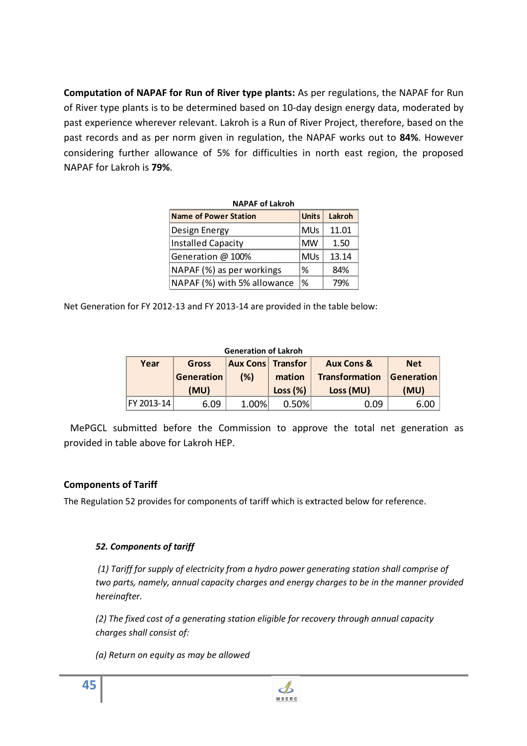**Computation of NAPAF for Run of River type plants:** As per regulations, the NAPAF for Run of River type plants is to be determined based on 10-day design energy data, moderated by past experience wherever relevant. Lakroh is a Run of River Project, therefore, based on the past records and as per norm given in regulation, the NAPAF works out to **84%**. However considering further allowance of 5% for difficulties in north east region, the proposed NAPAF for Lakroh is **79%**.

| <b>NAPAF of Lakroh</b>      |              |        |  |  |
|-----------------------------|--------------|--------|--|--|
| Name of Power Station       | <b>Units</b> | Lakroh |  |  |
| Design Energy               | <b>MUs</b>   | 11.01  |  |  |
| Installed Capacity          | MW           | 1.50   |  |  |
| Generation @ 100%           | <b>MUs</b>   | 13.14  |  |  |
| NAPAF (%) as per workings   | %            | 84%    |  |  |
| NAPAF (%) with 5% allowance | %            | 79%    |  |  |

Net Generation for FY 2012-13 and FY 2013-14 are provided in the table below:

# **Generation of Lakroh**

| Year               | Gross             | <b>Aux Cons Transfor</b> |               | <b>Aux Cons &amp;</b> | <b>Net</b>        |
|--------------------|-------------------|--------------------------|---------------|-----------------------|-------------------|
|                    | <b>Generation</b> | (% )                     | mation        | <b>Transformation</b> | <b>Generation</b> |
|                    | (MU)              |                          | Loss (%)      | Loss (MU)             | (MU)              |
| <b>IFY 2013-14</b> | R N9              | 1 በበ%                    | <u>በ 50% </u> | ገ በዓ                  |                   |

MePGCL submitted before the Commission to approve the total net generation as provided in table above for Lakroh HEP.

# **Components of Tariff**

The Regulation 52 provides for components of tariff which is extracted below for reference.

# *52. Components of tariff*

 *(1) Tariff for supply of electricity from a hydro power generating station shall comprise of two parts, namely, annual capacity charges and energy charges to be in the manner provided hereinafter.* 

*(2) The fixed cost of a generating station eligible for recovery through annual capacity charges shall consist of:* 

*(a) Return on equity as may be allowed*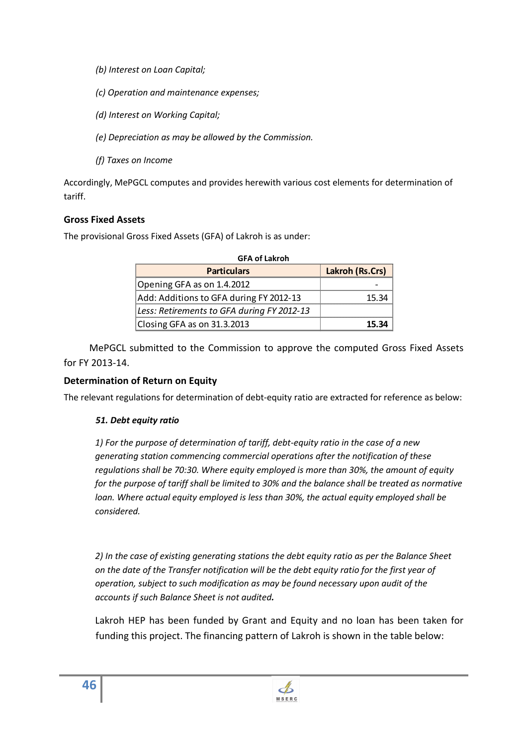- *(b) Interest on Loan Capital;*
- *(c) Operation and maintenance expenses;*
- *(d) Interest on Working Capital;*
- *(e) Depreciation as may be allowed by the Commission.*
- *(f) Taxes on Income*

Accordingly, MePGCL computes and provides herewith various cost elements for determination of tariff.

# **Gross Fixed Assets**

The provisional Gross Fixed Assets (GFA) of Lakroh is as under:

| <b>GFA of Lakroh</b>                       |                        |
|--------------------------------------------|------------------------|
| <b>Particulars</b>                         | <b>Lakroh (Rs.Crs)</b> |
| Opening GFA as on 1.4.2012                 |                        |
| Add: Additions to GFA during FY 2012-13    | 15 34                  |
| Less: Retirements to GFA during FY 2012-13 |                        |
| Closing GFA as on 31.3.2013                | 15 34                  |

MePGCL submitted to the Commission to approve the computed Gross Fixed Assets for FY 2013-14.

# **Determination of Return on Equity**

The relevant regulations for determination of debt-equity ratio are extracted for reference as below:

### *51. Debt equity ratio*

*1) For the purpose of determination of tariff, debt-equity ratio in the case of a new generating station commencing commercial operations after the notification of these regulations shall be 70:30. Where equity employed is more than 30%, the amount of equity for the purpose of tariff shall be limited to 30% and the balance shall be treated as normative loan. Where actual equity employed is less than 30%, the actual equity employed shall be considered.* 

*2) In the case of existing generating stations the debt equity ratio as per the Balance Sheet on the date of the Transfer notification will be the debt equity ratio for the first year of operation, subject to such modification as may be found necessary upon audit of the accounts if such Balance Sheet is not audited.* 

Lakroh HEP has been funded by Grant and Equity and no loan has been taken for funding this project. The financing pattern of Lakroh is shown in the table below:

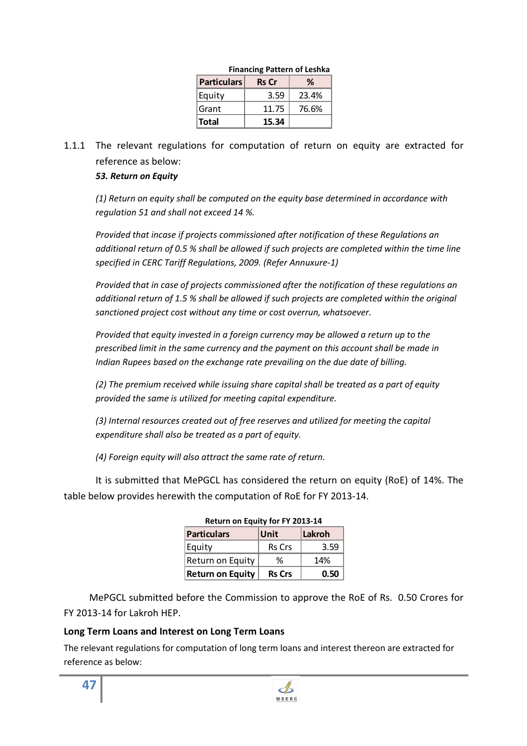| Financing Pattern of Lesnka |              |       |  |  |
|-----------------------------|--------------|-------|--|--|
| <b>Particulars</b>          | <b>Rs</b> Cr | h     |  |  |
| Equity                      | 3.59         | 23.4% |  |  |
| Grant                       | 11.75        | 76.6% |  |  |
| Total                       | 15.34        |       |  |  |

#### **Financing Pattern of Leshka**

1.1.1 The relevant regulations for computation of return on equity are extracted for reference as below:

# *53. Return on Equity*

*(1) Return on equity shall be computed on the equity base determined in accordance with regulation 51 and shall not exceed 14 %.* 

*Provided that incase if projects commissioned after notification of these Regulations an additional return of 0.5 % shall be allowed if such projects are completed within the time line specified in CERC Tariff Regulations, 2009. (Refer Annuxure-1)* 

*Provided that in case of projects commissioned after the notification of these regulations an additional return of 1.5 % shall be allowed if such projects are completed within the original sanctioned project cost without any time or cost overrun, whatsoever.* 

*Provided that equity invested in a foreign currency may be allowed a return up to the prescribed limit in the same currency and the payment on this account shall be made in Indian Rupees based on the exchange rate prevailing on the due date of billing.* 

*(2) The premium received while issuing share capital shall be treated as a part of equity provided the same is utilized for meeting capital expenditure.* 

*(3) Internal resources created out of free reserves and utilized for meeting the capital expenditure shall also be treated as a part of equity.* 

*(4) Foreign equity will also attract the same rate of return.* 

It is submitted that MePGCL has considered the return on equity (RoE) of 14%. The table below provides herewith the computation of RoE for FY 2013-14.

| Return on Equity for FY 2013-14 |               |        |  |  |
|---------------------------------|---------------|--------|--|--|
| Particulars                     | Unit          | Lakroh |  |  |
| Equity                          | <b>Rs</b> Crs | 3.59   |  |  |
| Return on Equity                | ℋ             | 14%    |  |  |
| <b>Return on Equity</b>         | <b>Rs Crs</b> | 0.50   |  |  |

| Return on Equity for FY 2013-14 |  |
|---------------------------------|--|
|---------------------------------|--|

MePGCL submitted before the Commission to approve the RoE of Rs. 0.50 Crores for FY 2013-14 for Lakroh HEP.

# **Long Term Loans and Interest on Long Term Loans**

The relevant regulations for computation of long term loans and interest thereon are extracted for reference as below: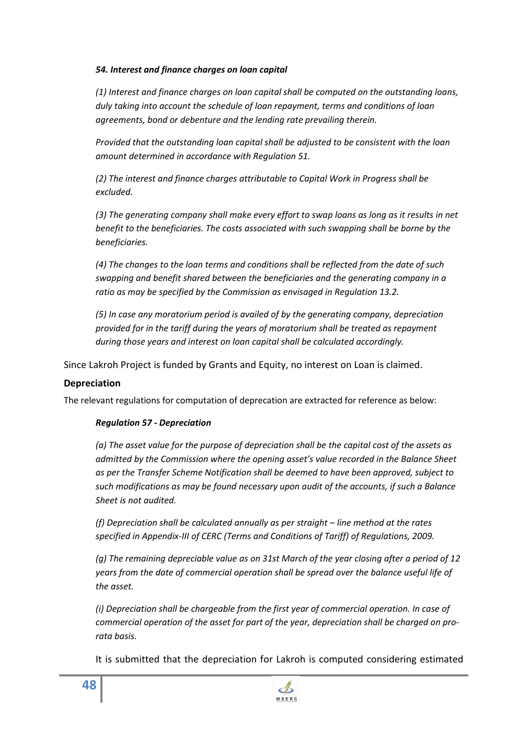## *54. Interest and finance charges on loan capital*

*(1) Interest and finance charges on loan capital shall be computed on the outstanding loans, duly taking into account the schedule of loan repayment, terms and conditions of loan agreements, bond or debenture and the lending rate prevailing therein.* 

*Provided that the outstanding loan capital shall be adjusted to be consistent with the loan amount determined in accordance with Regulation 51.*

*(2) The interest and finance charges attributable to Capital Work in Progress shall be excluded.* 

*(3) The generating company shall make every effort to swap loans as long as it results in net benefit to the beneficiaries. The costs associated with such swapping shall be borne by the beneficiaries.* 

*(4) The changes to the loan terms and conditions shall be reflected from the date of such swapping and benefit shared between the beneficiaries and the generating company in a ratio as may be specified by the Commission as envisaged in Regulation 13.2.* 

*(5) In case any moratorium period is availed of by the generating company, depreciation provided for in the tariff during the years of moratorium shall be treated as repayment during those years and interest on loan capital shall be calculated accordingly.* 

Since Lakroh Project is funded by Grants and Equity, no interest on Loan is claimed.

# **Depreciation**

The relevant regulations for computation of deprecation are extracted for reference as below:

# *Regulation 57 - Depreciation*

*(a) The asset value for the purpose of depreciation shall be the capital cost of the assets as admitted by the Commission where the opening asset's value recorded in the Balance Sheet as per the Transfer Scheme Notification shall be deemed to have been approved, subject to such modifications as may be found necessary upon audit of the accounts, if such a Balance Sheet is not audited.* 

*(f) Depreciation shall be calculated annually as per straight – line method at the rates specified in Appendix-III of CERC (Terms and Conditions of Tariff) of Regulations, 2009.* 

*(g) The remaining depreciable value as on 31st March of the year closing after a period of 12 years from the date of commercial operation shall be spread over the balance useful life of the asset.* 

*(i) Depreciation shall be chargeable from the first year of commercial operation. In case of commercial operation of the asset for part of the year, depreciation shall be charged on prorata basis.* 

It is submitted that the depreciation for Lakroh is computed considering estimated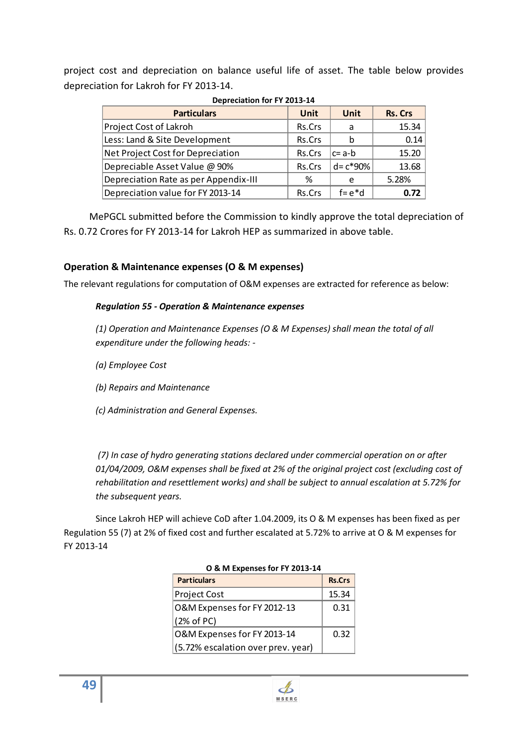project cost and depreciation on balance useful life of asset. The table below provides depreciation for Lakroh for FY 2013-14.

| <b>Depreciation for FY 2013-14</b> |
|------------------------------------|
|                                    |

| <b>Particulars</b>                    | Unit   | Unit          | <b>Rs. Crs</b> |  |  |
|---------------------------------------|--------|---------------|----------------|--|--|
| Project Cost of Lakroh                | Rs.Crs | a             | 15.34          |  |  |
| Less: Land & Site Development         | Rs.Crs |               | 0.14           |  |  |
| Net Project Cost for Depreciation     | Rs.Crs | \c= a-b       | 15.20          |  |  |
| Depreciable Asset Value @ 90%         | Rs.Crs | $ d = c*90% $ | 13.68          |  |  |
| Depreciation Rate as per Appendix-III | %      | e             | 5.28%          |  |  |
| Depreciation value for FY 2013-14     | Rs.Crs | $f = e * d$   |                |  |  |

MePGCL submitted before the Commission to kindly approve the total depreciation of Rs. 0.72 Crores for FY 2013-14 for Lakroh HEP as summarized in above table.

# **Operation & Maintenance expenses (O & M expenses)**

The relevant regulations for computation of O&M expenses are extracted for reference as below:

## *Regulation 55 - Operation & Maintenance expenses*

*(1) Operation and Maintenance Expenses (O & M Expenses) shall mean the total of all expenditure under the following heads: -* 

- *(a) Employee Cost*
- *(b) Repairs and Maintenance*
- *(c) Administration and General Expenses.*

 *(7) In case of hydro generating stations declared under commercial operation on or after 01/04/2009, O&M expenses shall be fixed at 2% of the original project cost (excluding cost of rehabilitation and resettlement works) and shall be subject to annual escalation at 5.72% for the subsequent years.*

Since Lakroh HEP will achieve CoD after 1.04.2009, its O & M expenses has been fixed as per Regulation 55 (7) at 2% of fixed cost and further escalated at 5.72% to arrive at O & M expenses for FY 2013-14

| O & IVI EXPEISES IOI FT ZU13-14    |               |  |  |  |
|------------------------------------|---------------|--|--|--|
| <b>Particulars</b>                 | <b>Rs.Crs</b> |  |  |  |
| <b>Project Cost</b>                | 15.34         |  |  |  |
| O&M Expenses for FY 2012-13        | 0.31          |  |  |  |
| (2% of PC)                         |               |  |  |  |
| O&M Expenses for FY 2013-14        | 0.32          |  |  |  |
| (5.72% escalation over prev. year) |               |  |  |  |

## **O & M Expenses for FY 2013-14**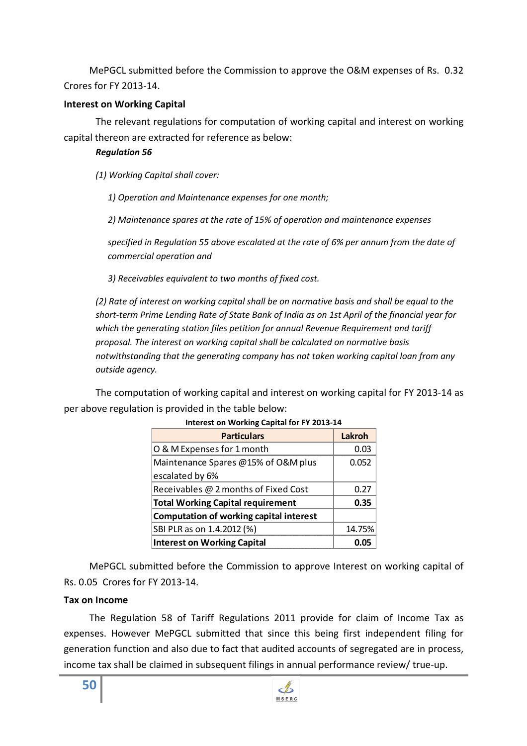MePGCL submitted before the Commission to approve the O&M expenses of Rs. 0.32 Crores for FY 2013-14.

# **Interest on Working Capital**

The relevant regulations for computation of working capital and interest on working capital thereon are extracted for reference as below:

# *Regulation 56*

*(1) Working Capital shall cover:* 

*1) Operation and Maintenance expenses for one month;* 

*2) Maintenance spares at the rate of 15% of operation and maintenance expenses* 

*specified in Regulation 55 above escalated at the rate of 6% per annum from the date of commercial operation and* 

*3) Receivables equivalent to two months of fixed cost.* 

*(2) Rate of interest on working capital shall be on normative basis and shall be equal to the short-term Prime Lending Rate of State Bank of India as on 1st April of the financial year for which the generating station files petition for annual Revenue Requirement and tariff proposal. The interest on working capital shall be calculated on normative basis notwithstanding that the generating company has not taken working capital loan from any outside agency.* 

The computation of working capital and interest on working capital for FY 2013-14 as per above regulation is provided in the table below:

| <b>Particulars</b>                       | Lakroh |  |  |  |  |
|------------------------------------------|--------|--|--|--|--|
| O & M Expenses for 1 month               | ר מ    |  |  |  |  |
| Maintenance Spares @15% of O&M plus      | 0.052  |  |  |  |  |
| escalated by 6%                          |        |  |  |  |  |
| Receivables @ 2 months of Fixed Cost     | በ ን7   |  |  |  |  |
| <b>Total Working Capital requirement</b> | በ.35   |  |  |  |  |
| Computation of working capital interest  |        |  |  |  |  |
| SBI PLR as on 1.4.2012 (%)               | 14.75% |  |  |  |  |
| <b>Interest on Working Capital</b>       |        |  |  |  |  |

### **Interest on Working Capital for FY 2013-14**

MePGCL submitted before the Commission to approve Interest on working capital of Rs. 0.05 Crores for FY 2013-14.

# **Tax on Income**

The Regulation 58 of Tariff Regulations 2011 provide for claim of Income Tax as expenses. However MePGCL submitted that since this being first independent filing for generation function and also due to fact that audited accounts of segregated are in process, income tax shall be claimed in subsequent filings in annual performance review/ true-up.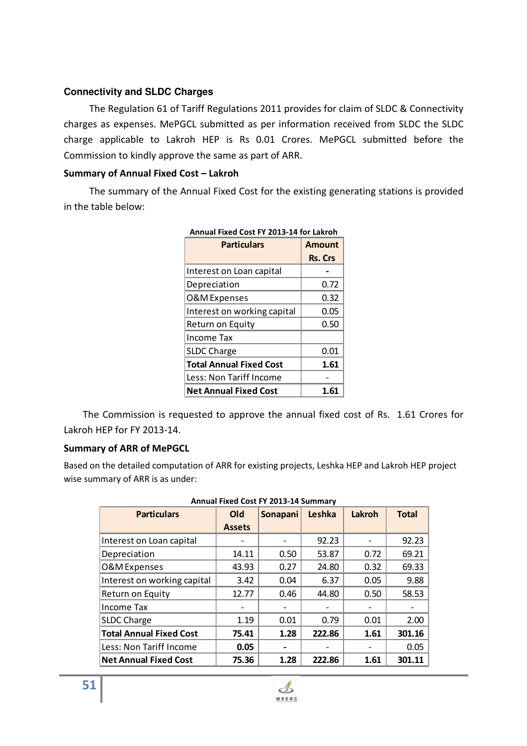# **Connectivity and SLDC Charges**

The Regulation 61 of Tariff Regulations 2011 provides for claim of SLDC & Connectivity charges as expenses. MePGCL submitted as per information received from SLDC the SLDC charge applicable to Lakroh HEP is Rs 0.01 Crores. MePGCL submitted before the Commission to kindly approve the same as part of ARR.

## **Summary of Annual Fixed Cost – Lakroh**

The summary of the Annual Fixed Cost for the existing generating stations is provided in the table below:

| <b>Particulars</b>             | <b>Amount</b>  |
|--------------------------------|----------------|
|                                | <b>Rs. Crs</b> |
| Interest on Loan capital       |                |
| Depreciation                   | 0.72           |
| <b>O&amp;M</b> Expenses        | 0.32           |
| Interest on working capital    | 0.05           |
| Return on Equity               | 0.50           |
| Income Tax                     |                |
| <b>SLDC Charge</b>             | 0.01           |
| <b>Total Annual Fixed Cost</b> | 1.61           |
| Less: Non Tariff Income        |                |
| <b>Net Annual Fixed Cost</b>   | 1.61           |

**Annual Fixed Cost FY 2013-14 for Lakroh** 

The Commission is requested to approve the annual fixed cost of Rs. 1.61 Crores for Lakroh HEP for FY 2013-14.

# **Summary of ARR of MePGCL**

Based on the detailed computation of ARR for existing projects, Leshka HEP and Lakroh HEP project wise summary of ARR is as under:

| Alliudi I IACU COSCI I ZOID-IT JUILIIII V |               |                 |        |        |              |  |  |  |
|-------------------------------------------|---------------|-----------------|--------|--------|--------------|--|--|--|
| <b>Particulars</b>                        | <b>Old</b>    | <b>Sonapani</b> | Leshka | Lakroh | <b>Total</b> |  |  |  |
|                                           | <b>Assets</b> |                 |        |        |              |  |  |  |
| Interest on Loan capital                  |               |                 | 92.23  |        | 92.23        |  |  |  |
| Depreciation                              | 14.11         | 0.50            | 53.87  | 0.72   | 69.21        |  |  |  |
| O&M Expenses                              | 43.93         | 0.27            | 24.80  | 0.32   | 69.33        |  |  |  |
| Interest on working capital               | 3.42          | 0.04            | 6.37   | 0.05   | 9.88         |  |  |  |
| Return on Equity                          | 12.77         | 0.46            | 44.80  | 0.50   | 58.53        |  |  |  |
| Income Tax                                |               |                 |        |        |              |  |  |  |
| <b>SLDC Charge</b>                        | 1.19          | 0.01            | 0.79   | 0.01   | 2.00         |  |  |  |
| Total Annual Fixed Cost                   | 75.41         | 1.28            | 222.86 | 1.61   | 301.16       |  |  |  |
| Less: Non Tariff Income                   | 0.05          |                 |        |        | 0.05         |  |  |  |
| <b>Net Annual Fixed Cost</b>              | 75.36         | 1.28            | 222.86 | 1.61   | 301.11       |  |  |  |

| Annual Fixed Cost FY 2013-14 Summary |  |  |  |  |  |  |  |
|--------------------------------------|--|--|--|--|--|--|--|
|--------------------------------------|--|--|--|--|--|--|--|

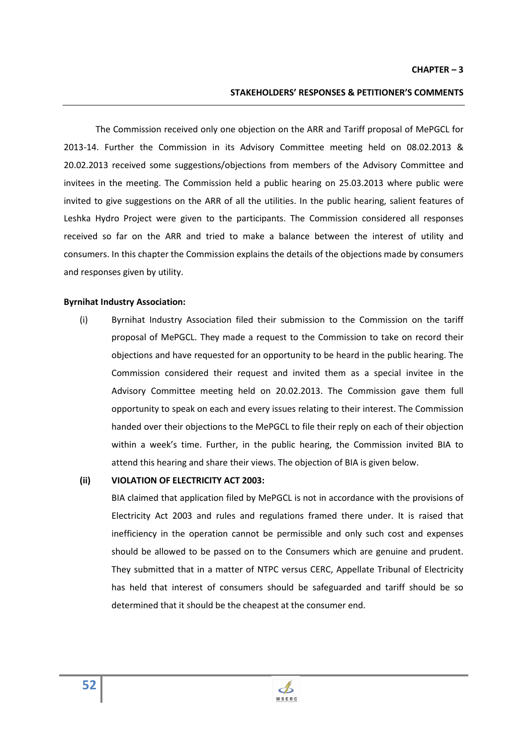### **STAKEHOLDERS' RESPONSES & PETITIONER'S COMMENTS**

The Commission received only one objection on the ARR and Tariff proposal of MePGCL for 2013-14. Further the Commission in its Advisory Committee meeting held on 08.02.2013 & 20.02.2013 received some suggestions/objections from members of the Advisory Committee and invitees in the meeting. The Commission held a public hearing on 25.03.2013 where public were invited to give suggestions on the ARR of all the utilities. In the public hearing, salient features of Leshka Hydro Project were given to the participants. The Commission considered all responses received so far on the ARR and tried to make a balance between the interest of utility and consumers. In this chapter the Commission explains the details of the objections made by consumers and responses given by utility.

#### **Byrnihat Industry Association:**

(i) Byrnihat Industry Association filed their submission to the Commission on the tariff proposal of MePGCL. They made a request to the Commission to take on record their objections and have requested for an opportunity to be heard in the public hearing. The Commission considered their request and invited them as a special invitee in the Advisory Committee meeting held on 20.02.2013. The Commission gave them full opportunity to speak on each and every issues relating to their interest. The Commission handed over their objections to the MePGCL to file their reply on each of their objection within a week's time. Further, in the public hearing, the Commission invited BIA to attend this hearing and share their views. The objection of BIA is given below.

### **(ii) VIOLATION OF ELECTRICITY ACT 2003:**

BIA claimed that application filed by MePGCL is not in accordance with the provisions of Electricity Act 2003 and rules and regulations framed there under. It is raised that inefficiency in the operation cannot be permissible and only such cost and expenses should be allowed to be passed on to the Consumers which are genuine and prudent. They submitted that in a matter of NTPC versus CERC, Appellate Tribunal of Electricity has held that interest of consumers should be safeguarded and tariff should be so determined that it should be the cheapest at the consumer end.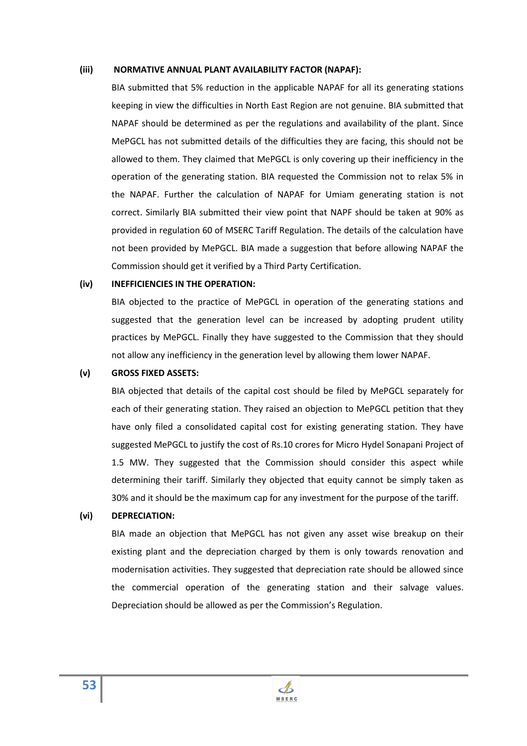#### **(iii) NORMATIVE ANNUAL PLANT AVAILABILITY FACTOR (NAPAF):**

BIA submitted that 5% reduction in the applicable NAPAF for all its generating stations keeping in view the difficulties in North East Region are not genuine. BIA submitted that NAPAF should be determined as per the regulations and availability of the plant. Since MePGCL has not submitted details of the difficulties they are facing, this should not be allowed to them. They claimed that MePGCL is only covering up their inefficiency in the operation of the generating station. BIA requested the Commission not to relax 5% in the NAPAF. Further the calculation of NAPAF for Umiam generating station is not correct. Similarly BIA submitted their view point that NAPF should be taken at 90% as provided in regulation 60 of MSERC Tariff Regulation. The details of the calculation have not been provided by MePGCL. BIA made a suggestion that before allowing NAPAF the Commission should get it verified by a Third Party Certification.

#### **(iv) INEFFICIENCIES IN THE OPERATION:**

BIA objected to the practice of MePGCL in operation of the generating stations and suggested that the generation level can be increased by adopting prudent utility practices by MePGCL. Finally they have suggested to the Commission that they should not allow any inefficiency in the generation level by allowing them lower NAPAF.

#### **(v) GROSS FIXED ASSETS:**

BIA objected that details of the capital cost should be filed by MePGCL separately for each of their generating station. They raised an objection to MePGCL petition that they have only filed a consolidated capital cost for existing generating station. They have suggested MePGCL to justify the cost of Rs.10 crores for Micro Hydel Sonapani Project of 1.5 MW. They suggested that the Commission should consider this aspect while determining their tariff. Similarly they objected that equity cannot be simply taken as 30% and it should be the maximum cap for any investment for the purpose of the tariff.

#### **(vi) DEPRECIATION:**

BIA made an objection that MePGCL has not given any asset wise breakup on their existing plant and the depreciation charged by them is only towards renovation and modernisation activities. They suggested that depreciation rate should be allowed since the commercial operation of the generating station and their salvage values. Depreciation should be allowed as per the Commission's Regulation.

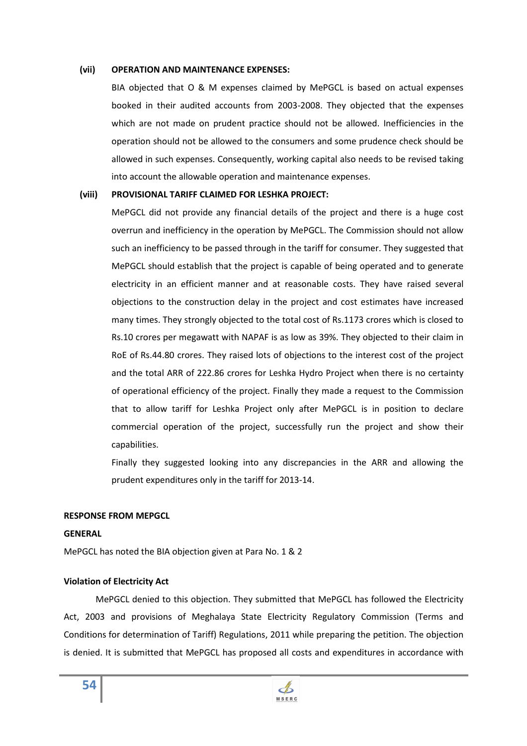#### **(vii) OPERATION AND MAINTENANCE EXPENSES:**

BIA objected that O & M expenses claimed by MePGCL is based on actual expenses booked in their audited accounts from 2003-2008. They objected that the expenses which are not made on prudent practice should not be allowed. Inefficiencies in the operation should not be allowed to the consumers and some prudence check should be allowed in such expenses. Consequently, working capital also needs to be revised taking into account the allowable operation and maintenance expenses.

### **(viii) PROVISIONAL TARIFF CLAIMED FOR LESHKA PROJECT:**

MePGCL did not provide any financial details of the project and there is a huge cost overrun and inefficiency in the operation by MePGCL. The Commission should not allow such an inefficiency to be passed through in the tariff for consumer. They suggested that MePGCL should establish that the project is capable of being operated and to generate electricity in an efficient manner and at reasonable costs. They have raised several objections to the construction delay in the project and cost estimates have increased many times. They strongly objected to the total cost of Rs.1173 crores which is closed to Rs.10 crores per megawatt with NAPAF is as low as 39%. They objected to their claim in RoE of Rs.44.80 crores. They raised lots of objections to the interest cost of the project and the total ARR of 222.86 crores for Leshka Hydro Project when there is no certainty of operational efficiency of the project. Finally they made a request to the Commission that to allow tariff for Leshka Project only after MePGCL is in position to declare commercial operation of the project, successfully run the project and show their capabilities.

Finally they suggested looking into any discrepancies in the ARR and allowing the prudent expenditures only in the tariff for 2013-14.

### **RESPONSE FROM MEPGCL**

### **GENERAL**

MePGCL has noted the BIA objection given at Para No. 1 & 2

### **Violation of Electricity Act**

MePGCL denied to this objection. They submitted that MePGCL has followed the Electricity Act, 2003 and provisions of Meghalaya State Electricity Regulatory Commission (Terms and Conditions for determination of Tariff) Regulations, 2011 while preparing the petition. The objection is denied. It is submitted that MePGCL has proposed all costs and expenditures in accordance with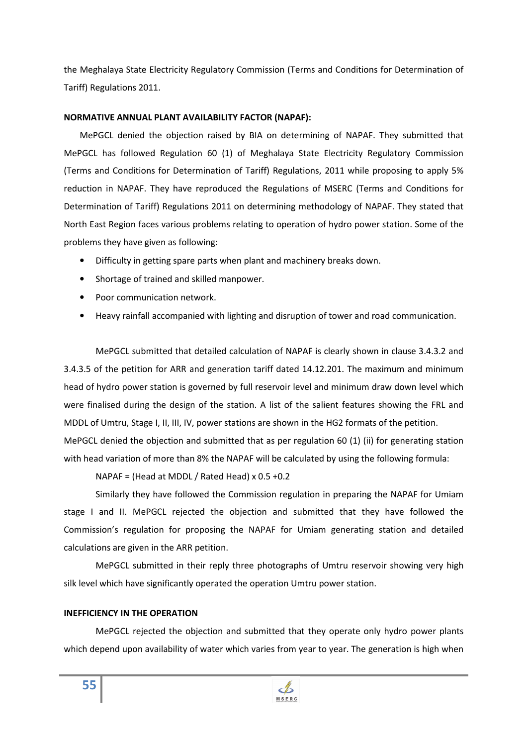the Meghalaya State Electricity Regulatory Commission (Terms and Conditions for Determination of Tariff) Regulations 2011.

### **NORMATIVE ANNUAL PLANT AVAILABILITY FACTOR (NAPAF):**

MePGCL denied the objection raised by BIA on determining of NAPAF. They submitted that MePGCL has followed Regulation 60 (1) of Meghalaya State Electricity Regulatory Commission (Terms and Conditions for Determination of Tariff) Regulations, 2011 while proposing to apply 5% reduction in NAPAF. They have reproduced the Regulations of MSERC (Terms and Conditions for Determination of Tariff) Regulations 2011 on determining methodology of NAPAF. They stated that North East Region faces various problems relating to operation of hydro power station. Some of the problems they have given as following:

- Difficulty in getting spare parts when plant and machinery breaks down.
- Shortage of trained and skilled manpower.
- Poor communication network.
- Heavy rainfall accompanied with lighting and disruption of tower and road communication.

MePGCL submitted that detailed calculation of NAPAF is clearly shown in clause 3.4.3.2 and 3.4.3.5 of the petition for ARR and generation tariff dated 14.12.201. The maximum and minimum head of hydro power station is governed by full reservoir level and minimum draw down level which were finalised during the design of the station. A list of the salient features showing the FRL and MDDL of Umtru, Stage I, II, III, IV, power stations are shown in the HG2 formats of the petition.

MePGCL denied the objection and submitted that as per regulation 60 (1) (ii) for generating station with head variation of more than 8% the NAPAF will be calculated by using the following formula:

NAPAF = (Head at MDDL / Rated Head) x 0.5 +0.2

Similarly they have followed the Commission regulation in preparing the NAPAF for Umiam stage I and II. MePGCL rejected the objection and submitted that they have followed the Commission's regulation for proposing the NAPAF for Umiam generating station and detailed calculations are given in the ARR petition.

MePGCL submitted in their reply three photographs of Umtru reservoir showing very high silk level which have significantly operated the operation Umtru power station.

### **INEFFICIENCY IN THE OPERATION**

MePGCL rejected the objection and submitted that they operate only hydro power plants which depend upon availability of water which varies from year to year. The generation is high when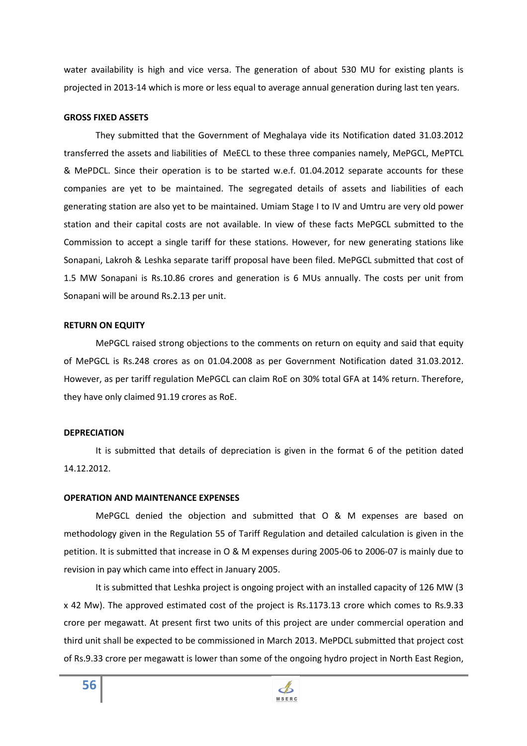water availability is high and vice versa. The generation of about 530 MU for existing plants is projected in 2013-14 which is more or less equal to average annual generation during last ten years.

#### **GROSS FIXED ASSETS**

They submitted that the Government of Meghalaya vide its Notification dated 31.03.2012 transferred the assets and liabilities of MeECL to these three companies namely, MePGCL, MePTCL & MePDCL. Since their operation is to be started w.e.f. 01.04.2012 separate accounts for these companies are yet to be maintained. The segregated details of assets and liabilities of each generating station are also yet to be maintained. Umiam Stage I to IV and Umtru are very old power station and their capital costs are not available. In view of these facts MePGCL submitted to the Commission to accept a single tariff for these stations. However, for new generating stations like Sonapani, Lakroh & Leshka separate tariff proposal have been filed. MePGCL submitted that cost of 1.5 MW Sonapani is Rs.10.86 crores and generation is 6 MUs annually. The costs per unit from Sonapani will be around Rs.2.13 per unit.

### **RETURN ON EQUITY**

MePGCL raised strong objections to the comments on return on equity and said that equity of MePGCL is Rs.248 crores as on 01.04.2008 as per Government Notification dated 31.03.2012. However, as per tariff regulation MePGCL can claim RoE on 30% total GFA at 14% return. Therefore, they have only claimed 91.19 crores as RoE.

### **DEPRECIATION**

It is submitted that details of depreciation is given in the format 6 of the petition dated 14.12.2012.

### **OPERATION AND MAINTENANCE EXPENSES**

MePGCL denied the objection and submitted that O & M expenses are based on methodology given in the Regulation 55 of Tariff Regulation and detailed calculation is given in the petition. It is submitted that increase in O & M expenses during 2005-06 to 2006-07 is mainly due to revision in pay which came into effect in January 2005.

It is submitted that Leshka project is ongoing project with an installed capacity of 126 MW (3 x 42 Mw). The approved estimated cost of the project is Rs.1173.13 crore which comes to Rs.9.33 crore per megawatt. At present first two units of this project are under commercial operation and third unit shall be expected to be commissioned in March 2013. MePDCL submitted that project cost of Rs.9.33 crore per megawatt is lower than some of the ongoing hydro project in North East Region,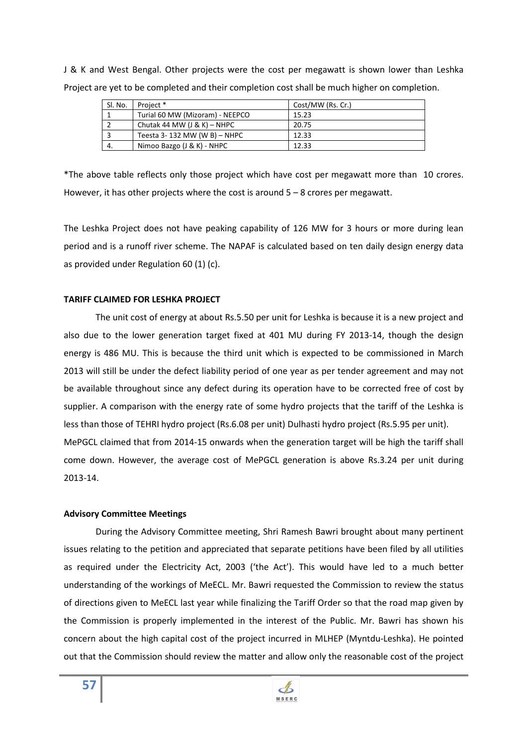J & K and West Bengal. Other projects were the cost per megawatt is shown lower than Leshka Project are yet to be completed and their completion cost shall be much higher on completion.

| Sl. No. | Project *                       | Cost/MW (Rs. Cr.) |
|---------|---------------------------------|-------------------|
|         | Turial 60 MW (Mizoram) - NEEPCO | 15.23             |
|         | Chutak 44 MW $(J & K)$ – NHPC   | 20.75             |
|         | Teesta 3-132 MW (W B) - NHPC    | 12.33             |
| 4.      | Nimoo Bazgo (J & K) - NHPC      | 12.33             |

\*The above table reflects only those project which have cost per megawatt more than 10 crores. However, it has other projects where the cost is around  $5 - 8$  crores per megawatt.

The Leshka Project does not have peaking capability of 126 MW for 3 hours or more during lean period and is a runoff river scheme. The NAPAF is calculated based on ten daily design energy data as provided under Regulation 60 (1) (c).

### **TARIFF CLAIMED FOR LESHKA PROJECT**

The unit cost of energy at about Rs.5.50 per unit for Leshka is because it is a new project and also due to the lower generation target fixed at 401 MU during FY 2013-14, though the design energy is 486 MU. This is because the third unit which is expected to be commissioned in March 2013 will still be under the defect liability period of one year as per tender agreement and may not be available throughout since any defect during its operation have to be corrected free of cost by supplier. A comparison with the energy rate of some hydro projects that the tariff of the Leshka is less than those of TEHRI hydro project (Rs.6.08 per unit) Dulhasti hydro project (Rs.5.95 per unit). MePGCL claimed that from 2014-15 onwards when the generation target will be high the tariff shall come down. However, the average cost of MePGCL generation is above Rs.3.24 per unit during 2013-14.

### **Advisory Committee Meetings**

**57**

During the Advisory Committee meeting, Shri Ramesh Bawri brought about many pertinent issues relating to the petition and appreciated that separate petitions have been filed by all utilities as required under the Electricity Act, 2003 ('the Act'). This would have led to a much better understanding of the workings of MeECL. Mr. Bawri requested the Commission to review the status of directions given to MeECL last year while finalizing the Tariff Order so that the road map given by the Commission is properly implemented in the interest of the Public. Mr. Bawri has shown his concern about the high capital cost of the project incurred in MLHEP (Myntdu-Leshka). He pointed out that the Commission should review the matter and allow only the reasonable cost of the project

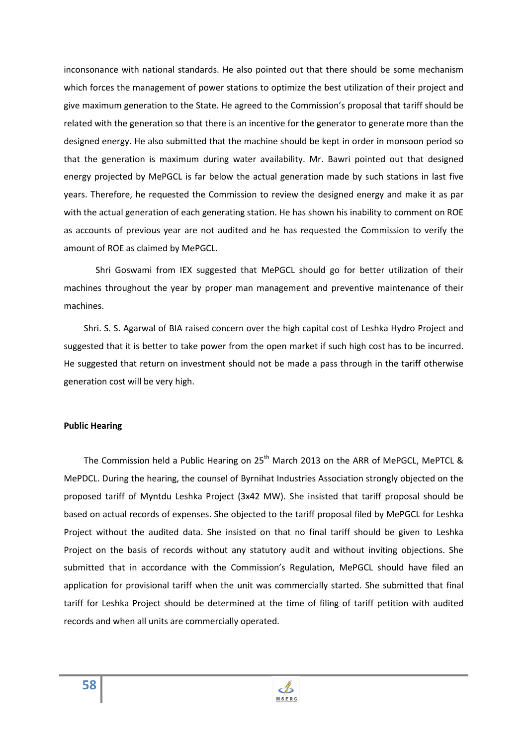inconsonance with national standards. He also pointed out that there should be some mechanism which forces the management of power stations to optimize the best utilization of their project and give maximum generation to the State. He agreed to the Commission's proposal that tariff should be related with the generation so that there is an incentive for the generator to generate more than the designed energy. He also submitted that the machine should be kept in order in monsoon period so that the generation is maximum during water availability. Mr. Bawri pointed out that designed energy projected by MePGCL is far below the actual generation made by such stations in last five years. Therefore, he requested the Commission to review the designed energy and make it as par with the actual generation of each generating station. He has shown his inability to comment on ROE as accounts of previous year are not audited and he has requested the Commission to verify the amount of ROE as claimed by MePGCL.

 Shri Goswami from IEX suggested that MePGCL should go for better utilization of their machines throughout the year by proper man management and preventive maintenance of their machines.

 Shri. S. S. Agarwal of BIA raised concern over the high capital cost of Leshka Hydro Project and suggested that it is better to take power from the open market if such high cost has to be incurred. He suggested that return on investment should not be made a pass through in the tariff otherwise generation cost will be very high.

### **Public Hearing**

The Commission held a Public Hearing on 25<sup>th</sup> March 2013 on the ARR of MePGCL, MePTCL & MePDCL. During the hearing, the counsel of Byrnihat Industries Association strongly objected on the proposed tariff of Myntdu Leshka Project (3x42 MW). She insisted that tariff proposal should be based on actual records of expenses. She objected to the tariff proposal filed by MePGCL for Leshka Project without the audited data. She insisted on that no final tariff should be given to Leshka Project on the basis of records without any statutory audit and without inviting objections. She submitted that in accordance with the Commission's Regulation, MePGCL should have filed an application for provisional tariff when the unit was commercially started. She submitted that final tariff for Leshka Project should be determined at the time of filing of tariff petition with audited records and when all units are commercially operated.



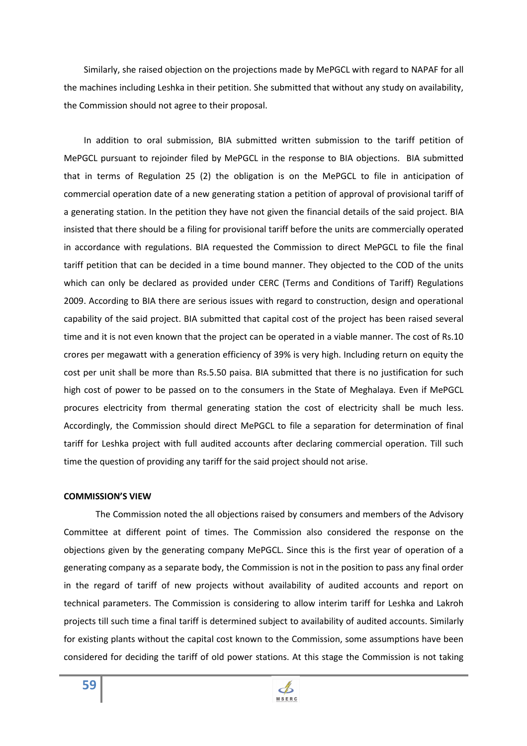Similarly, she raised objection on the projections made by MePGCL with regard to NAPAF for all the machines including Leshka in their petition. She submitted that without any study on availability, the Commission should not agree to their proposal.

 In addition to oral submission, BIA submitted written submission to the tariff petition of MePGCL pursuant to rejoinder filed by MePGCL in the response to BIA objections. BIA submitted that in terms of Regulation 25 (2) the obligation is on the MePGCL to file in anticipation of commercial operation date of a new generating station a petition of approval of provisional tariff of a generating station. In the petition they have not given the financial details of the said project. BIA insisted that there should be a filing for provisional tariff before the units are commercially operated in accordance with regulations. BIA requested the Commission to direct MePGCL to file the final tariff petition that can be decided in a time bound manner. They objected to the COD of the units which can only be declared as provided under CERC (Terms and Conditions of Tariff) Regulations 2009. According to BIA there are serious issues with regard to construction, design and operational capability of the said project. BIA submitted that capital cost of the project has been raised several time and it is not even known that the project can be operated in a viable manner. The cost of Rs.10 crores per megawatt with a generation efficiency of 39% is very high. Including return on equity the cost per unit shall be more than Rs.5.50 paisa. BIA submitted that there is no justification for such high cost of power to be passed on to the consumers in the State of Meghalaya. Even if MePGCL procures electricity from thermal generating station the cost of electricity shall be much less. Accordingly, the Commission should direct MePGCL to file a separation for determination of final tariff for Leshka project with full audited accounts after declaring commercial operation. Till such time the question of providing any tariff for the said project should not arise.

#### **COMMISSION'S VIEW**

The Commission noted the all objections raised by consumers and members of the Advisory Committee at different point of times. The Commission also considered the response on the objections given by the generating company MePGCL. Since this is the first year of operation of a generating company as a separate body, the Commission is not in the position to pass any final order in the regard of tariff of new projects without availability of audited accounts and report on technical parameters. The Commission is considering to allow interim tariff for Leshka and Lakroh projects till such time a final tariff is determined subject to availability of audited accounts. Similarly for existing plants without the capital cost known to the Commission, some assumptions have been considered for deciding the tariff of old power stations. At this stage the Commission is not taking

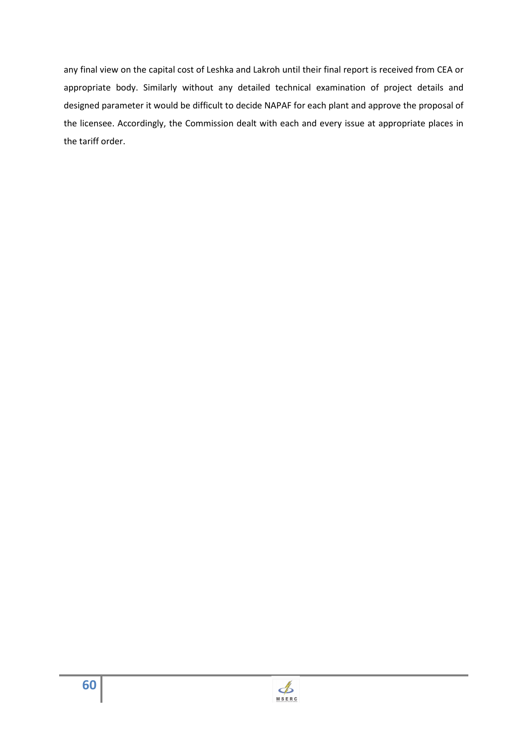any final view on the capital cost of Leshka and Lakroh until their final report is received from CEA or appropriate body. Similarly without any detailed technical examination of project details and designed parameter it would be difficult to decide NAPAF for each plant and approve the proposal of the licensee. Accordingly, the Commission dealt with each and every issue at appropriate places in the tariff order.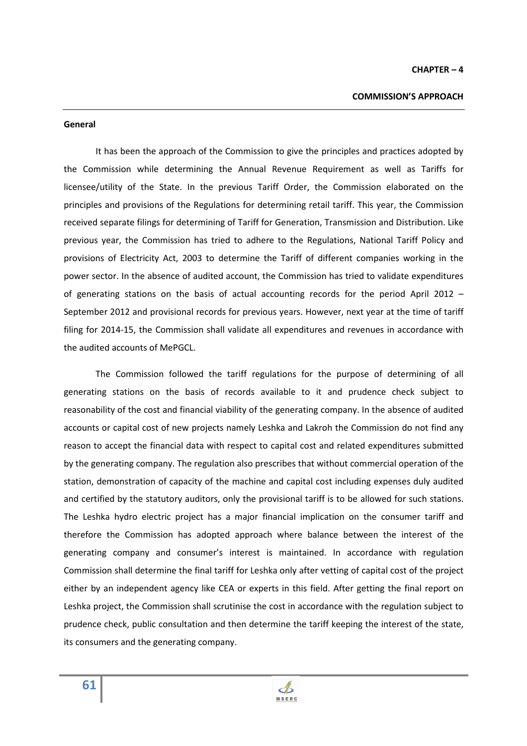#### **General**

It has been the approach of the Commission to give the principles and practices adopted by the Commission while determining the Annual Revenue Requirement as well as Tariffs for licensee/utility of the State. In the previous Tariff Order, the Commission elaborated on the principles and provisions of the Regulations for determining retail tariff. This year, the Commission received separate filings for determining of Tariff for Generation, Transmission and Distribution. Like previous year, the Commission has tried to adhere to the Regulations, National Tariff Policy and provisions of Electricity Act, 2003 to determine the Tariff of different companies working in the power sector. In the absence of audited account, the Commission has tried to validate expenditures of generating stations on the basis of actual accounting records for the period April 2012 – September 2012 and provisional records for previous years. However, next year at the time of tariff filing for 2014-15, the Commission shall validate all expenditures and revenues in accordance with the audited accounts of MePGCL.

The Commission followed the tariff regulations for the purpose of determining of all generating stations on the basis of records available to it and prudence check subject to reasonability of the cost and financial viability of the generating company. In the absence of audited accounts or capital cost of new projects namely Leshka and Lakroh the Commission do not find any reason to accept the financial data with respect to capital cost and related expenditures submitted by the generating company. The regulation also prescribes that without commercial operation of the station, demonstration of capacity of the machine and capital cost including expenses duly audited and certified by the statutory auditors, only the provisional tariff is to be allowed for such stations. The Leshka hydro electric project has a major financial implication on the consumer tariff and therefore the Commission has adopted approach where balance between the interest of the generating company and consumer's interest is maintained. In accordance with regulation Commission shall determine the final tariff for Leshka only after vetting of capital cost of the project either by an independent agency like CEA or experts in this field. After getting the final report on Leshka project, the Commission shall scrutinise the cost in accordance with the regulation subject to prudence check, public consultation and then determine the tariff keeping the interest of the state, its consumers and the generating company.

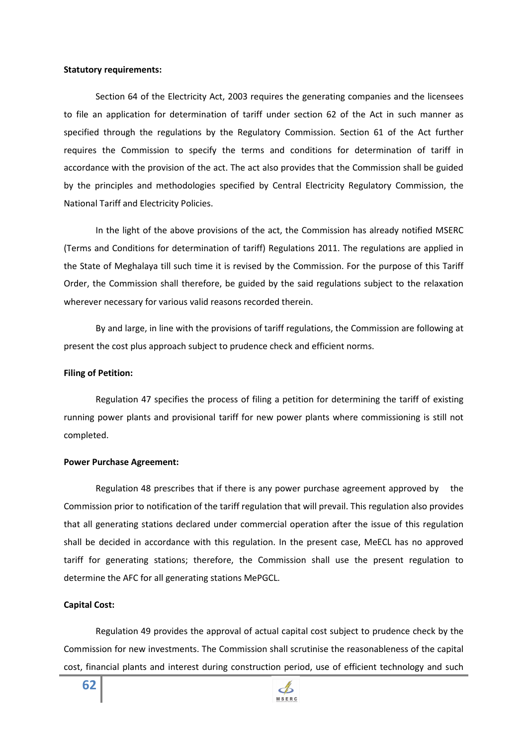#### **Statutory requirements:**

Section 64 of the Electricity Act, 2003 requires the generating companies and the licensees to file an application for determination of tariff under section 62 of the Act in such manner as specified through the regulations by the Regulatory Commission. Section 61 of the Act further requires the Commission to specify the terms and conditions for determination of tariff in accordance with the provision of the act. The act also provides that the Commission shall be guided by the principles and methodologies specified by Central Electricity Regulatory Commission, the National Tariff and Electricity Policies.

In the light of the above provisions of the act, the Commission has already notified MSERC (Terms and Conditions for determination of tariff) Regulations 2011. The regulations are applied in the State of Meghalaya till such time it is revised by the Commission. For the purpose of this Tariff Order, the Commission shall therefore, be guided by the said regulations subject to the relaxation wherever necessary for various valid reasons recorded therein.

By and large, in line with the provisions of tariff regulations, the Commission are following at present the cost plus approach subject to prudence check and efficient norms.

#### **Filing of Petition:**

Regulation 47 specifies the process of filing a petition for determining the tariff of existing running power plants and provisional tariff for new power plants where commissioning is still not completed.

#### **Power Purchase Agreement:**

Regulation 48 prescribes that if there is any power purchase agreement approved by the Commission prior to notification of the tariff regulation that will prevail. This regulation also provides that all generating stations declared under commercial operation after the issue of this regulation shall be decided in accordance with this regulation. In the present case, MeECL has no approved tariff for generating stations; therefore, the Commission shall use the present regulation to determine the AFC for all generating stations MePGCL.

#### **Capital Cost:**

Regulation 49 provides the approval of actual capital cost subject to prudence check by the Commission for new investments. The Commission shall scrutinise the reasonableness of the capital cost, financial plants and interest during construction period, use of efficient technology and such

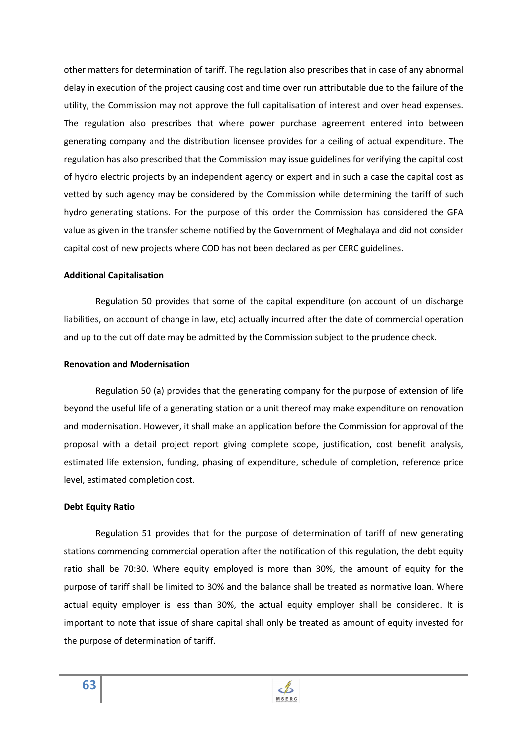other matters for determination of tariff. The regulation also prescribes that in case of any abnormal delay in execution of the project causing cost and time over run attributable due to the failure of the utility, the Commission may not approve the full capitalisation of interest and over head expenses. The regulation also prescribes that where power purchase agreement entered into between generating company and the distribution licensee provides for a ceiling of actual expenditure. The regulation has also prescribed that the Commission may issue guidelines for verifying the capital cost of hydro electric projects by an independent agency or expert and in such a case the capital cost as vetted by such agency may be considered by the Commission while determining the tariff of such hydro generating stations. For the purpose of this order the Commission has considered the GFA value as given in the transfer scheme notified by the Government of Meghalaya and did not consider capital cost of new projects where COD has not been declared as per CERC guidelines.

#### **Additional Capitalisation**

Regulation 50 provides that some of the capital expenditure (on account of un discharge liabilities, on account of change in law, etc) actually incurred after the date of commercial operation and up to the cut off date may be admitted by the Commission subject to the prudence check.

### **Renovation and Modernisation**

Regulation 50 (a) provides that the generating company for the purpose of extension of life beyond the useful life of a generating station or a unit thereof may make expenditure on renovation and modernisation. However, it shall make an application before the Commission for approval of the proposal with a detail project report giving complete scope, justification, cost benefit analysis, estimated life extension, funding, phasing of expenditure, schedule of completion, reference price level, estimated completion cost.

### **Debt Equity Ratio**

Regulation 51 provides that for the purpose of determination of tariff of new generating stations commencing commercial operation after the notification of this regulation, the debt equity ratio shall be 70:30. Where equity employed is more than 30%, the amount of equity for the purpose of tariff shall be limited to 30% and the balance shall be treated as normative loan. Where actual equity employer is less than 30%, the actual equity employer shall be considered. It is important to note that issue of share capital shall only be treated as amount of equity invested for the purpose of determination of tariff.

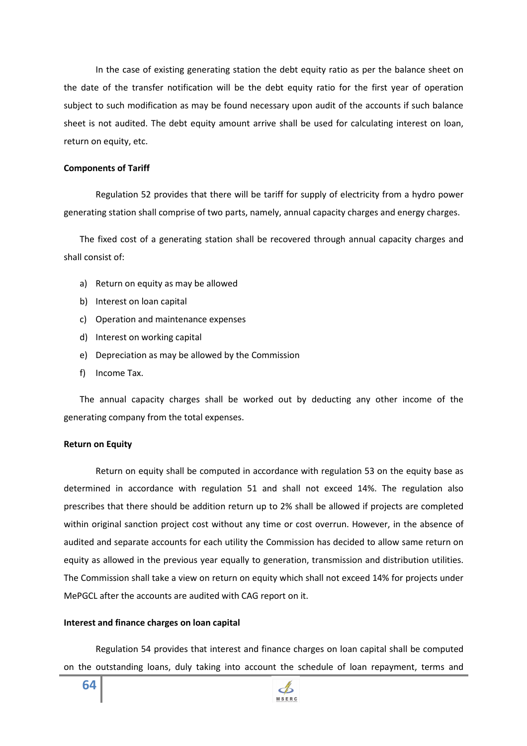In the case of existing generating station the debt equity ratio as per the balance sheet on the date of the transfer notification will be the debt equity ratio for the first year of operation subject to such modification as may be found necessary upon audit of the accounts if such balance sheet is not audited. The debt equity amount arrive shall be used for calculating interest on loan, return on equity, etc.

### **Components of Tariff**

Regulation 52 provides that there will be tariff for supply of electricity from a hydro power generating station shall comprise of two parts, namely, annual capacity charges and energy charges.

The fixed cost of a generating station shall be recovered through annual capacity charges and shall consist of:

- a) Return on equity as may be allowed
- b) Interest on loan capital
- c) Operation and maintenance expenses
- d) Interest on working capital
- e) Depreciation as may be allowed by the Commission
- f) Income Tax.

The annual capacity charges shall be worked out by deducting any other income of the generating company from the total expenses.

#### **Return on Equity**

Return on equity shall be computed in accordance with regulation 53 on the equity base as determined in accordance with regulation 51 and shall not exceed 14%. The regulation also prescribes that there should be addition return up to 2% shall be allowed if projects are completed within original sanction project cost without any time or cost overrun. However, in the absence of audited and separate accounts for each utility the Commission has decided to allow same return on equity as allowed in the previous year equally to generation, transmission and distribution utilities. The Commission shall take a view on return on equity which shall not exceed 14% for projects under MePGCL after the accounts are audited with CAG report on it.

### **Interest and finance charges on loan capital**

Regulation 54 provides that interest and finance charges on loan capital shall be computed on the outstanding loans, duly taking into account the schedule of loan repayment, terms and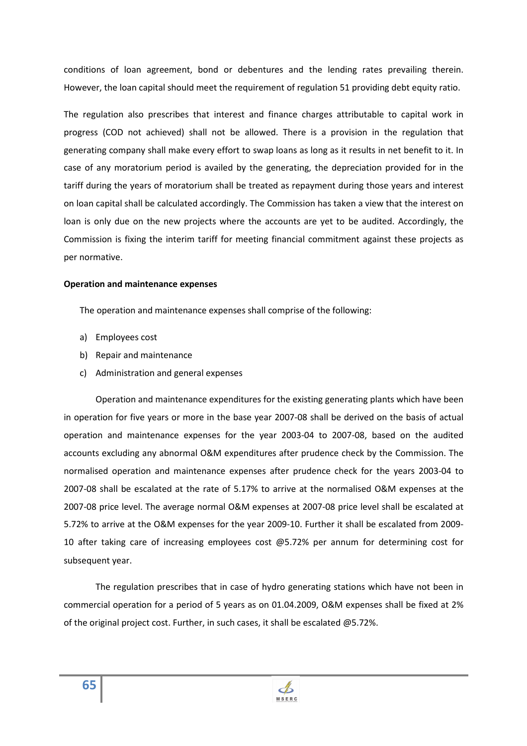conditions of loan agreement, bond or debentures and the lending rates prevailing therein. However, the loan capital should meet the requirement of regulation 51 providing debt equity ratio.

The regulation also prescribes that interest and finance charges attributable to capital work in progress (COD not achieved) shall not be allowed. There is a provision in the regulation that generating company shall make every effort to swap loans as long as it results in net benefit to it. In case of any moratorium period is availed by the generating, the depreciation provided for in the tariff during the years of moratorium shall be treated as repayment during those years and interest on loan capital shall be calculated accordingly. The Commission has taken a view that the interest on loan is only due on the new projects where the accounts are yet to be audited. Accordingly, the Commission is fixing the interim tariff for meeting financial commitment against these projects as per normative.

### **Operation and maintenance expenses**

The operation and maintenance expenses shall comprise of the following:

- a) Employees cost
- b) Repair and maintenance
- c) Administration and general expenses

Operation and maintenance expenditures for the existing generating plants which have been in operation for five years or more in the base year 2007-08 shall be derived on the basis of actual operation and maintenance expenses for the year 2003-04 to 2007-08, based on the audited accounts excluding any abnormal O&M expenditures after prudence check by the Commission. The normalised operation and maintenance expenses after prudence check for the years 2003-04 to 2007-08 shall be escalated at the rate of 5.17% to arrive at the normalised O&M expenses at the 2007-08 price level. The average normal O&M expenses at 2007-08 price level shall be escalated at 5.72% to arrive at the O&M expenses for the year 2009-10. Further it shall be escalated from 2009- 10 after taking care of increasing employees cost @5.72% per annum for determining cost for subsequent year.

The regulation prescribes that in case of hydro generating stations which have not been in commercial operation for a period of 5 years as on 01.04.2009, O&M expenses shall be fixed at 2% of the original project cost. Further, in such cases, it shall be escalated @5.72%.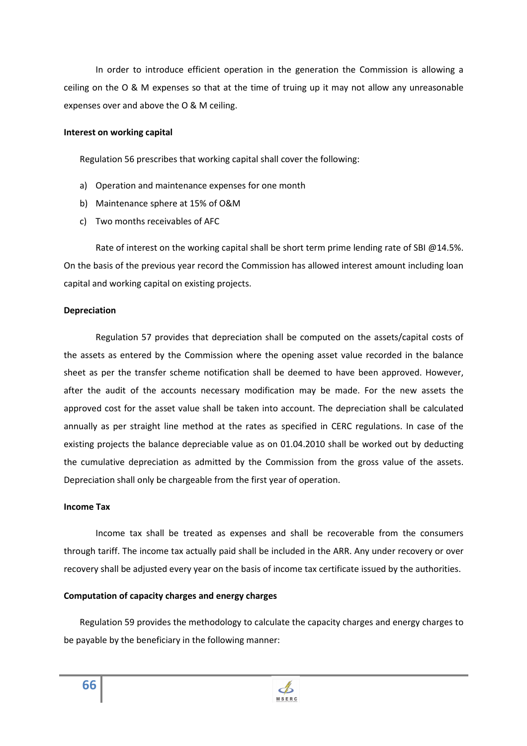In order to introduce efficient operation in the generation the Commission is allowing a ceiling on the O & M expenses so that at the time of truing up it may not allow any unreasonable expenses over and above the O & M ceiling.

#### **Interest on working capital**

Regulation 56 prescribes that working capital shall cover the following:

- a) Operation and maintenance expenses for one month
- b) Maintenance sphere at 15% of O&M
- c) Two months receivables of AFC

Rate of interest on the working capital shall be short term prime lending rate of SBI  $@14.5\%$ . On the basis of the previous year record the Commission has allowed interest amount including loan capital and working capital on existing projects.

### **Depreciation**

Regulation 57 provides that depreciation shall be computed on the assets/capital costs of the assets as entered by the Commission where the opening asset value recorded in the balance sheet as per the transfer scheme notification shall be deemed to have been approved. However, after the audit of the accounts necessary modification may be made. For the new assets the approved cost for the asset value shall be taken into account. The depreciation shall be calculated annually as per straight line method at the rates as specified in CERC regulations. In case of the existing projects the balance depreciable value as on 01.04.2010 shall be worked out by deducting the cumulative depreciation as admitted by the Commission from the gross value of the assets. Depreciation shall only be chargeable from the first year of operation.

### **Income Tax**

**66**

Income tax shall be treated as expenses and shall be recoverable from the consumers through tariff. The income tax actually paid shall be included in the ARR. Any under recovery or over recovery shall be adjusted every year on the basis of income tax certificate issued by the authorities.

### **Computation of capacity charges and energy charges**

Regulation 59 provides the methodology to calculate the capacity charges and energy charges to be payable by the beneficiary in the following manner: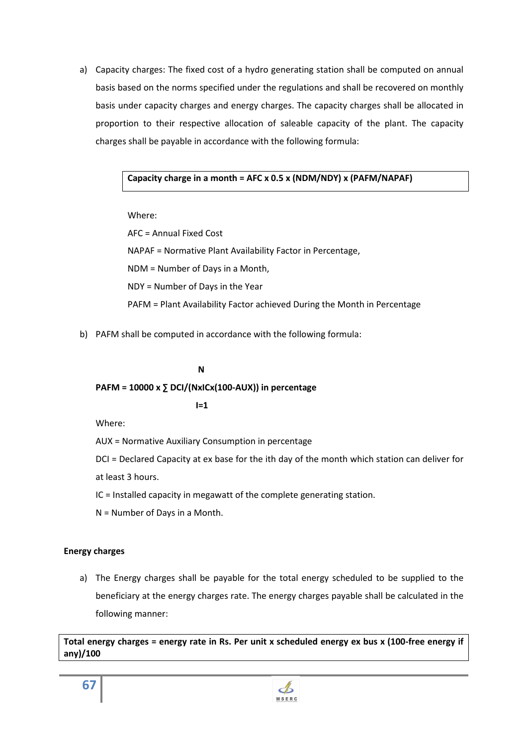a) Capacity charges: The fixed cost of a hydro generating station shall be computed on annual basis based on the norms specified under the regulations and shall be recovered on monthly basis under capacity charges and energy charges. The capacity charges shall be allocated in proportion to their respective allocation of saleable capacity of the plant. The capacity charges shall be payable in accordance with the following formula:

## **Capacity charge in a month = AFC x 0.5 x (NDM/NDY) x (PAFM/NAPAF)**

Where:

AFC = Annual Fixed Cost NAPAF = Normative Plant Availability Factor in Percentage, NDM = Number of Days in a Month, NDY = Number of Days in the Year PAFM = Plant Availability Factor achieved During the Month in Percentage

b) PAFM shall be computed in accordance with the following formula:

## **N**

# **PAFM = 10000 x ∑ DCI/(NxICx(100-AUX)) in percentage**

**I=1** 

Where:

AUX = Normative Auxiliary Consumption in percentage

DCI = Declared Capacity at ex base for the ith day of the month which station can deliver for at least 3 hours.

IC = Installed capacity in megawatt of the complete generating station.

N = Number of Days in a Month.

# **Energy charges**

a) The Energy charges shall be payable for the total energy scheduled to be supplied to the beneficiary at the energy charges rate. The energy charges payable shall be calculated in the following manner:

**Total energy charges = energy rate in Rs. Per unit x scheduled energy ex bus x (100-free energy if any)/100**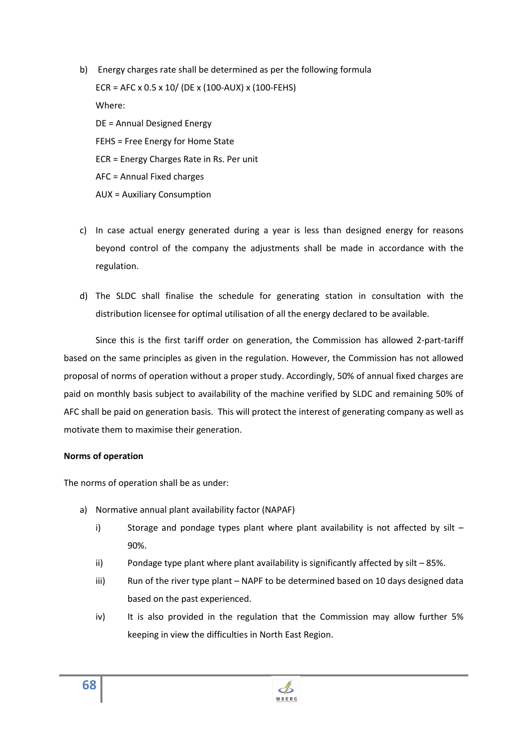- b) Energy charges rate shall be determined as per the following formula ECR = AFC x 0.5 x 10/ (DE x (100-AUX) x (100-FEHS) Where: DE = Annual Designed Energy FEHS = Free Energy for Home State ECR = Energy Charges Rate in Rs. Per unit AFC = Annual Fixed charges AUX = Auxiliary Consumption
- c) In case actual energy generated during a year is less than designed energy for reasons beyond control of the company the adjustments shall be made in accordance with the regulation.
- d) The SLDC shall finalise the schedule for generating station in consultation with the distribution licensee for optimal utilisation of all the energy declared to be available.

Since this is the first tariff order on generation, the Commission has allowed 2-part-tariff based on the same principles as given in the regulation. However, the Commission has not allowed proposal of norms of operation without a proper study. Accordingly, 50% of annual fixed charges are paid on monthly basis subject to availability of the machine verified by SLDC and remaining 50% of AFC shall be paid on generation basis. This will protect the interest of generating company as well as motivate them to maximise their generation.

### **Norms of operation**

The norms of operation shall be as under:

- a) Normative annual plant availability factor (NAPAF)
	- i) Storage and pondage types plant where plant availability is not affected by silt 90%.
	- ii) Pondage type plant where plant availability is significantly affected by silt 85%.
	- iii) Run of the river type plant NAPF to be determined based on 10 days designed data based on the past experienced.
	- iv) It is also provided in the regulation that the Commission may allow further 5% keeping in view the difficulties in North East Region.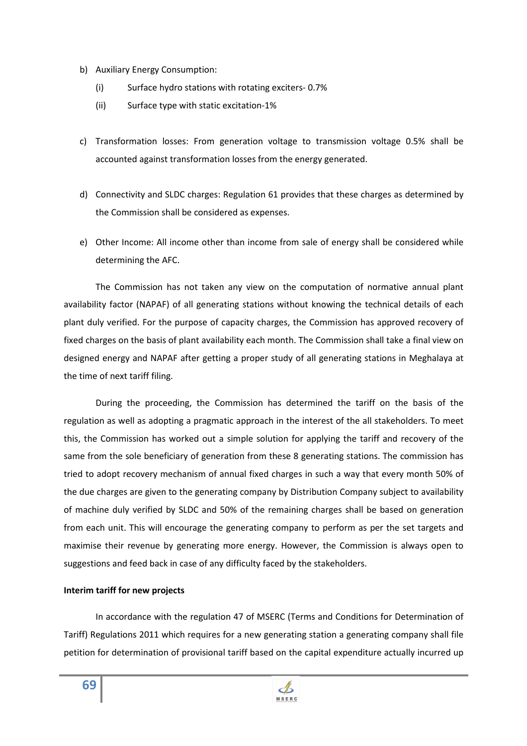- b) Auxiliary Energy Consumption:
	- (i) Surface hydro stations with rotating exciters- 0.7%
	- (ii) Surface type with static excitation-1%
- c) Transformation losses: From generation voltage to transmission voltage 0.5% shall be accounted against transformation losses from the energy generated.
- d) Connectivity and SLDC charges: Regulation 61 provides that these charges as determined by the Commission shall be considered as expenses.
- e) Other Income: All income other than income from sale of energy shall be considered while determining the AFC.

The Commission has not taken any view on the computation of normative annual plant availability factor (NAPAF) of all generating stations without knowing the technical details of each plant duly verified. For the purpose of capacity charges, the Commission has approved recovery of fixed charges on the basis of plant availability each month. The Commission shall take a final view on designed energy and NAPAF after getting a proper study of all generating stations in Meghalaya at the time of next tariff filing.

During the proceeding, the Commission has determined the tariff on the basis of the regulation as well as adopting a pragmatic approach in the interest of the all stakeholders. To meet this, the Commission has worked out a simple solution for applying the tariff and recovery of the same from the sole beneficiary of generation from these 8 generating stations. The commission has tried to adopt recovery mechanism of annual fixed charges in such a way that every month 50% of the due charges are given to the generating company by Distribution Company subject to availability of machine duly verified by SLDC and 50% of the remaining charges shall be based on generation from each unit. This will encourage the generating company to perform as per the set targets and maximise their revenue by generating more energy. However, the Commission is always open to suggestions and feed back in case of any difficulty faced by the stakeholders.

### **Interim tariff for new projects**

In accordance with the regulation 47 of MSERC (Terms and Conditions for Determination of Tariff) Regulations 2011 which requires for a new generating station a generating company shall file petition for determination of provisional tariff based on the capital expenditure actually incurred up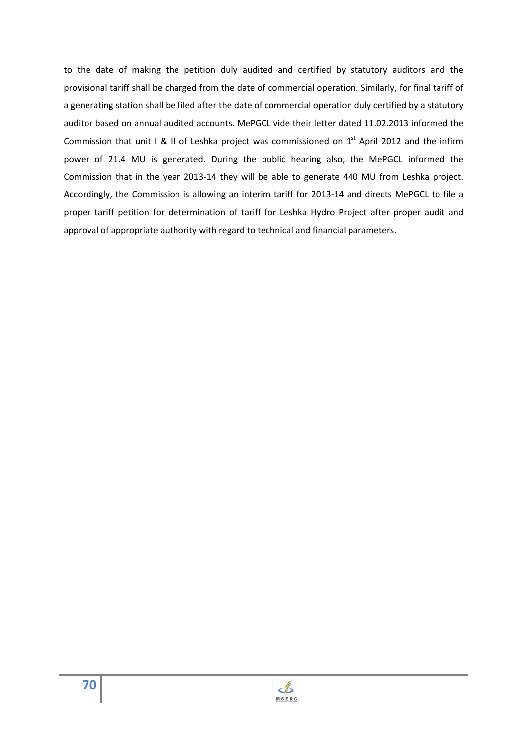to the date of making the petition duly audited and certified by statutory auditors and the provisional tariff shall be charged from the date of commercial operation. Similarly, for final tariff of a generating station shall be filed after the date of commercial operation duly certified by a statutory auditor based on annual audited accounts. MePGCL vide their letter dated 11.02.2013 informed the Commission that unit I & II of Leshka project was commissioned on  $1<sup>st</sup>$  April 2012 and the infirm power of 21.4 MU is generated. During the public hearing also, the MePGCL informed the Commission that in the year 2013-14 they will be able to generate 440 MU from Leshka project. Accordingly, the Commission is allowing an interim tariff for 2013-14 and directs MePGCL to file a proper tariff petition for determination of tariff for Leshka Hydro Project after proper audit and approval of appropriate authority with regard to technical and financial parameters.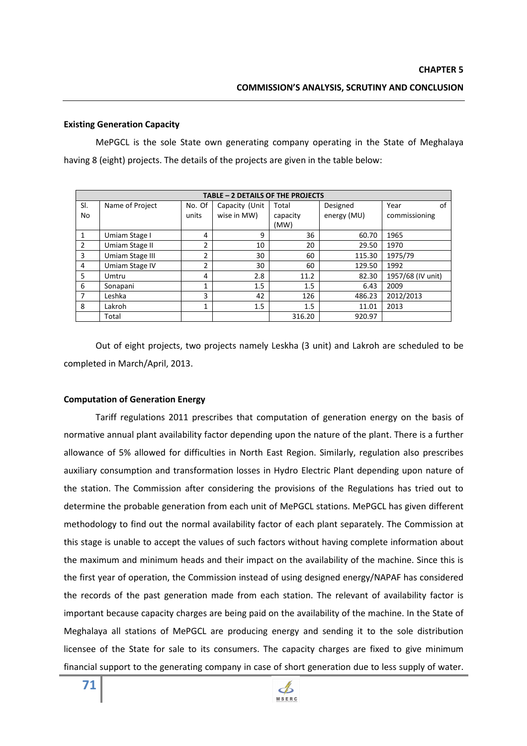### **Existing Generation Capacity**

 MePGCL is the sole State own generating company operating in the State of Meghalaya having 8 (eight) projects. The details of the projects are given in the table below:

| TABLE - 2 DETAILS OF THE PROJECTS |                 |        |                |                   |             |                   |  |  |  |
|-----------------------------------|-----------------|--------|----------------|-------------------|-------------|-------------------|--|--|--|
| SI.                               | Name of Project | No. Of | Capacity (Unit | Total<br>Designed |             | Year<br>of        |  |  |  |
| No                                |                 | units  | wise in MW)    | capacity          | energy (MU) | commissioning     |  |  |  |
|                                   |                 |        |                | (MW)              |             |                   |  |  |  |
| $\mathbf{1}$                      | Umiam Stage I   | 4      | 9              | 36                | 60.70       | 1965              |  |  |  |
| $\overline{2}$                    | Umiam Stage II  | 2      | 10             | 20                | 29.50       | 1970              |  |  |  |
| 3                                 | Umiam Stage III | 2      | 30             | 60                | 115.30      | 1975/79           |  |  |  |
| 4                                 | Umiam Stage IV  | 2      | 30             | 60                | 129.50      | 1992              |  |  |  |
| 5                                 | Umtru           | 4      | 2.8            | 11.2              | 82.30       | 1957/68 (IV unit) |  |  |  |
| 6                                 | Sonapani        | 1      | 1.5            | 1.5               | 6.43        | 2009              |  |  |  |
| 7                                 | Leshka          | 3      | 42             | 126               | 486.23      | 2012/2013         |  |  |  |
| 8                                 | Lakroh          | 1      | 1.5            | 1.5               | 11.01       | 2013              |  |  |  |
|                                   | Total           |        |                | 316.20            | 920.97      |                   |  |  |  |

 Out of eight projects, two projects namely Leskha (3 unit) and Lakroh are scheduled to be completed in March/April, 2013.

#### **Computation of Generation Energy**

 Tariff regulations 2011 prescribes that computation of generation energy on the basis of normative annual plant availability factor depending upon the nature of the plant. There is a further allowance of 5% allowed for difficulties in North East Region. Similarly, regulation also prescribes auxiliary consumption and transformation losses in Hydro Electric Plant depending upon nature of the station. The Commission after considering the provisions of the Regulations has tried out to determine the probable generation from each unit of MePGCL stations. MePGCL has given different methodology to find out the normal availability factor of each plant separately. The Commission at this stage is unable to accept the values of such factors without having complete information about the maximum and minimum heads and their impact on the availability of the machine. Since this is the first year of operation, the Commission instead of using designed energy/NAPAF has considered the records of the past generation made from each station. The relevant of availability factor is important because capacity charges are being paid on the availability of the machine. In the State of Meghalaya all stations of MePGCL are producing energy and sending it to the sole distribution licensee of the State for sale to its consumers. The capacity charges are fixed to give minimum financial support to the generating company in case of short generation due to less supply of water.

**71**

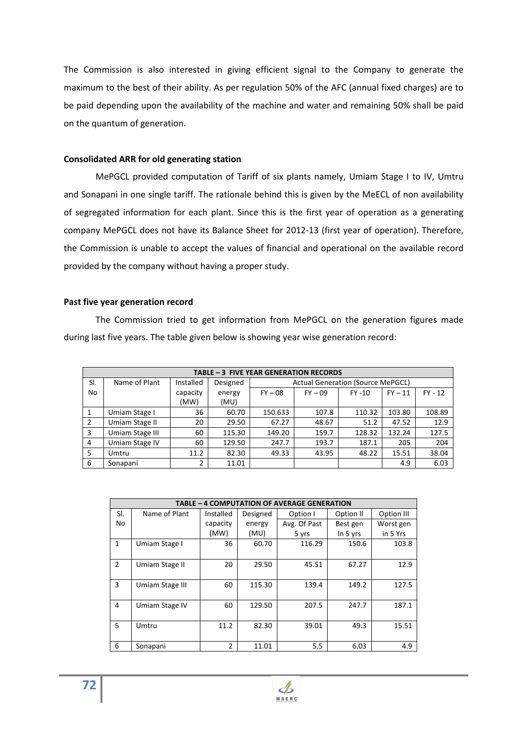The Commission is also interested in giving efficient signal to the Company to generate the maximum to the best of their ability. As per regulation 50% of the AFC (annual fixed charges) are to be paid depending upon the availability of the machine and water and remaining 50% shall be paid on the quantum of generation.

### **Consolidated ARR for old generating station**

 MePGCL provided computation of Tariff of six plants namely, Umiam Stage I to IV, Umtru and Sonapani in one single tariff. The rationale behind this is given by the MeECL of non availability of segregated information for each plant. Since this is the first year of operation as a generating company MePGCL does not have its Balance Sheet for 2012-13 (first year of operation). Therefore, the Commission is unable to accept the values of financial and operational on the available record provided by the company without having a proper study.

### **Past five year generation record**

 The Commission tried to get information from MePGCL on the generation figures made during last five years. The table given below is showing year wise generation record:

| TABLE - 3 FIVE YEAR GENERATION RECORDS |                 |           |          |                                          |           |           |           |           |  |
|----------------------------------------|-----------------|-----------|----------|------------------------------------------|-----------|-----------|-----------|-----------|--|
| SI.                                    | Name of Plant   | Installed | Designed | <b>Actual Generation (Source MePGCL)</b> |           |           |           |           |  |
| No                                     |                 | capacity  | energy   | $FY - 08$                                | $FY - 09$ | $FY - 10$ | $FY - 11$ | $FY - 12$ |  |
|                                        |                 | (MW)      | (MU)     |                                          |           |           |           |           |  |
| 1                                      | Umiam Stage I   | 36        | 60.70    | 150.633                                  | 107.8     | 110.32    | 103.80    | 108.89    |  |
| 2                                      | Umiam Stage II  | 20        | 29.50    | 67.27                                    | 48.67     | 51.2      | 47.52     | 12.9      |  |
| 3                                      | Umiam Stage III | 60        | 115.30   | 149.20                                   | 159.7     | 128.32    | 132.24    | 127.5     |  |
| $\overline{4}$                         | Umiam Stage IV  | 60        | 129.50   | 247.7                                    | 193.7     | 187.1     | 205       | 204       |  |
| 5                                      | Umtru           | 11.2      | 82.30    | 49.33                                    | 43.95     | 48.22     | 15.51     | 38.04     |  |
| 6                                      | Sonapani        | 2         | 11.01    |                                          |           |           | 4.9       | 6.03      |  |

| <b>TABLE - 4 COMPUTATION OF AVERAGE GENERATION</b> |                 |                |          |              |            |            |  |  |
|----------------------------------------------------|-----------------|----------------|----------|--------------|------------|------------|--|--|
| SI.                                                | Name of Plant   | Installed      | Designed | Option I     | Option II  | Option III |  |  |
| No                                                 |                 | capacity       | energy   | Avg. Of Past | Best gen   | Worst gen  |  |  |
|                                                    |                 | (MW)           | (MU)     | 5 yrs        | In $5$ yrs | in 5 Yrs   |  |  |
| $\mathbf{1}$                                       | Umiam Stage I   | 36             | 60.70    | 116.29       | 150.6      | 103.8      |  |  |
| $\overline{2}$                                     | Umiam Stage II  | 20             | 29.50    | 45.51        | 67.27      | 12.9       |  |  |
| 3                                                  | Umiam Stage III | 60             | 115.30   | 139.4        | 149.2      | 127.5      |  |  |
| 4                                                  | Umiam Stage IV  | 60             | 129.50   | 207.5        | 247.7      | 187.1      |  |  |
| 5.                                                 | Umtru           | 11.2           | 82.30    | 39.01        | 49.3       | 15.51      |  |  |
| 6                                                  | Sonapani        | $\overline{2}$ | 11.01    | 5.5          | 6.03       | 4.9        |  |  |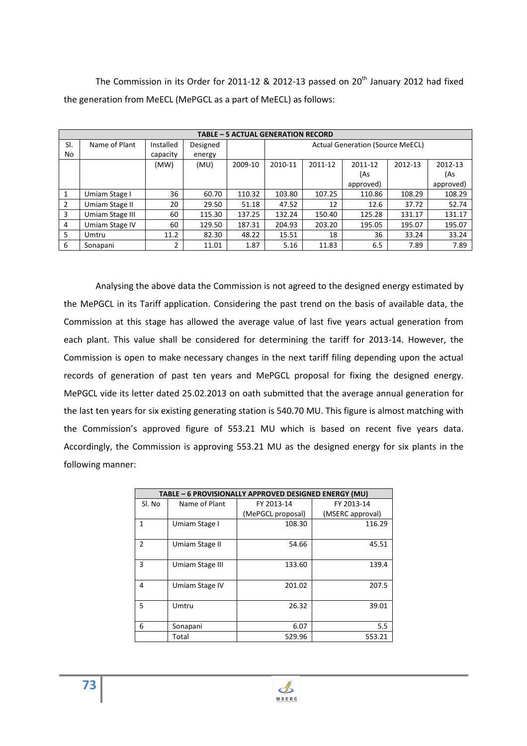The Commission in its Order for 2011-12 & 2012-13 passed on  $20<sup>th</sup>$  January 2012 had fixed the generation from MeECL (MePGCL as a part of MeECL) as follows:

|               | <b>TABLE - 5 ACTUAL GENERATION RECORD</b> |           |          |         |                                                     |        |           |        |           |
|---------------|-------------------------------------------|-----------|----------|---------|-----------------------------------------------------|--------|-----------|--------|-----------|
| SI.           | Name of Plant                             | Installed | Designed |         | <b>Actual Generation (Source MeECL)</b>             |        |           |        |           |
| No            |                                           | capacity  | energy   |         |                                                     |        |           |        |           |
|               |                                           | (MW)      | (MU)     | 2009-10 | 2010-11<br>2012-13<br>2011-12<br>2011-12<br>2012-13 |        |           |        |           |
|               |                                           |           |          |         | (As<br>(As                                          |        |           |        |           |
|               |                                           |           |          |         |                                                     |        | approved) |        | approved) |
| 1             | Umiam Stage I                             | 36        | 60.70    | 110.32  | 103.80                                              | 107.25 | 110.86    | 108.29 | 108.29    |
| $\mathcal{P}$ | Umiam Stage II                            | 20        | 29.50    | 51.18   | 47.52                                               | 12     | 12.6      | 37.72  | 52.74     |
| 3             | Umiam Stage III                           | 60        | 115.30   | 137.25  | 132.24                                              | 150.40 | 125.28    | 131.17 | 131.17    |
| 4             | Umiam Stage IV                            | 60        | 129.50   | 187.31  | 204.93                                              | 203.20 | 195.05    | 195.07 | 195.07    |
| 5.            | Umtru                                     | 11.2      | 82.30    | 48.22   | 15.51                                               | 18     | 36        | 33.24  | 33.24     |
| 6             | Sonapani                                  |           | 11.01    | 1.87    | 5.16                                                | 11.83  | 6.5       | 7.89   | 7.89      |

 Analysing the above data the Commission is not agreed to the designed energy estimated by the MePGCL in its Tariff application. Considering the past trend on the basis of available data, the Commission at this stage has allowed the average value of last five years actual generation from each plant. This value shall be considered for determining the tariff for 2013-14. However, the Commission is open to make necessary changes in the next tariff filing depending upon the actual records of generation of past ten years and MePGCL proposal for fixing the designed energy. MePGCL vide its letter dated 25.02.2013 on oath submitted that the average annual generation for the last ten years for six existing generating station is 540.70 MU. This figure is almost matching with the Commission's approved figure of 553.21 MU which is based on recent five years data. Accordingly, the Commission is approving 553.21 MU as the designed energy for six plants in the following manner:

|                | TABLE - 6 PROVISIONALLY APPROVED DESIGNED ENERGY (MU) |                   |                  |  |  |  |  |
|----------------|-------------------------------------------------------|-------------------|------------------|--|--|--|--|
| Sl. No         | Name of Plant                                         | FY 2013-14        | FY 2013-14       |  |  |  |  |
|                |                                                       | (MePGCL proposal) | (MSERC approval) |  |  |  |  |
| 1              | Umiam Stage I                                         | 108.30            | 116.29           |  |  |  |  |
|                |                                                       |                   |                  |  |  |  |  |
| $\mathfrak{p}$ | Umiam Stage II                                        | 54.66             | 45.51            |  |  |  |  |
|                |                                                       |                   |                  |  |  |  |  |
| 3              | Umiam Stage III                                       | 133.60            | 139.4            |  |  |  |  |
|                |                                                       |                   |                  |  |  |  |  |
| 4              | Umiam Stage IV                                        | 201.02            | 207.5            |  |  |  |  |
|                |                                                       |                   |                  |  |  |  |  |
| 5              | Umtru                                                 | 26.32             | 39.01            |  |  |  |  |
|                |                                                       |                   |                  |  |  |  |  |
| 6              | Sonapani                                              | 6.07              | 5.5              |  |  |  |  |
|                | Total                                                 | 529.96            | 553.21           |  |  |  |  |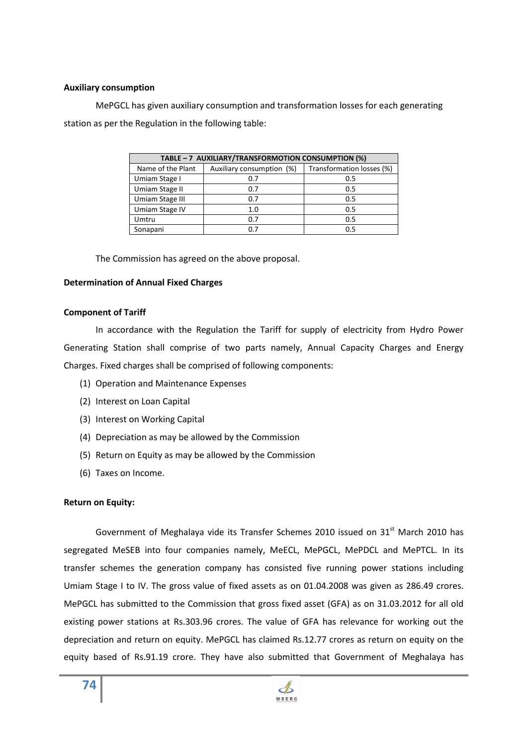### **Auxiliary consumption**

 MePGCL has given auxiliary consumption and transformation losses for each generating station as per the Regulation in the following table:

| TABLE - 7 AUXILIARY/TRANSFORMOTION CONSUMPTION (%) |                           |                           |  |  |  |  |
|----------------------------------------------------|---------------------------|---------------------------|--|--|--|--|
| Name of the Plant                                  | Auxiliary consumption (%) | Transformation losses (%) |  |  |  |  |
| Umiam Stage I                                      | 0.7                       | 0.5                       |  |  |  |  |
| Umiam Stage II                                     | 0.7                       | 0.5                       |  |  |  |  |
| Umiam Stage III                                    | 0.7                       | 0.5                       |  |  |  |  |
| Umiam Stage IV                                     | 1.0                       | 0.5                       |  |  |  |  |
| Umtru                                              | 0.7                       | 0.5                       |  |  |  |  |
| Sonapani                                           | በ 7                       | 0.5                       |  |  |  |  |

The Commission has agreed on the above proposal.

## **Determination of Annual Fixed Charges**

## **Component of Tariff**

 In accordance with the Regulation the Tariff for supply of electricity from Hydro Power Generating Station shall comprise of two parts namely, Annual Capacity Charges and Energy Charges. Fixed charges shall be comprised of following components:

- (1) Operation and Maintenance Expenses
- (2) Interest on Loan Capital
- (3) Interest on Working Capital
- (4) Depreciation as may be allowed by the Commission
- (5) Return on Equity as may be allowed by the Commission
- (6) Taxes on Income.

# **Return on Equity:**

Government of Meghalaya vide its Transfer Schemes 2010 issued on 31<sup>st</sup> March 2010 has segregated MeSEB into four companies namely, MeECL, MePGCL, MePDCL and MePTCL. In its transfer schemes the generation company has consisted five running power stations including Umiam Stage I to IV. The gross value of fixed assets as on 01.04.2008 was given as 286.49 crores. MePGCL has submitted to the Commission that gross fixed asset (GFA) as on 31.03.2012 for all old existing power stations at Rs.303.96 crores. The value of GFA has relevance for working out the depreciation and return on equity. MePGCL has claimed Rs.12.77 crores as return on equity on the equity based of Rs.91.19 crore. They have also submitted that Government of Meghalaya has

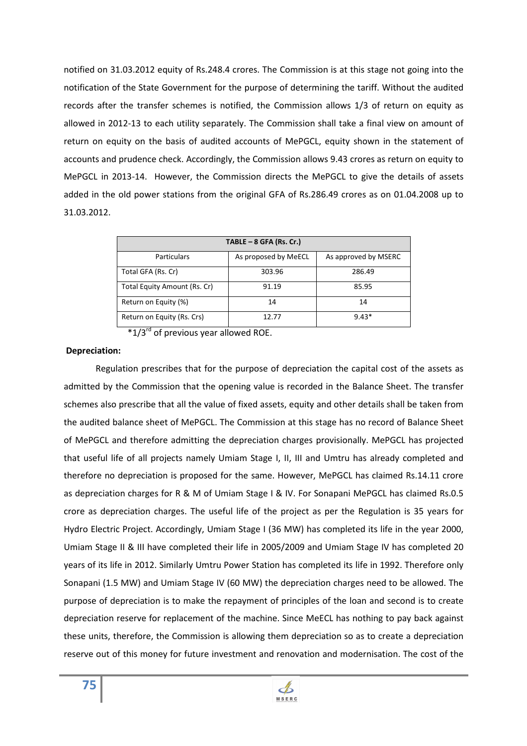notified on 31.03.2012 equity of Rs.248.4 crores. The Commission is at this stage not going into the notification of the State Government for the purpose of determining the tariff. Without the audited records after the transfer schemes is notified, the Commission allows 1/3 of return on equity as allowed in 2012-13 to each utility separately. The Commission shall take a final view on amount of return on equity on the basis of audited accounts of MePGCL, equity shown in the statement of accounts and prudence check. Accordingly, the Commission allows 9.43 crores as return on equity to MePGCL in 2013-14. However, the Commission directs the MePGCL to give the details of assets added in the old power stations from the original GFA of Rs.286.49 crores as on 01.04.2008 up to 31.03.2012.

| TABLE $-8$ GFA (Rs. Cr.)     |                      |                      |  |  |  |
|------------------------------|----------------------|----------------------|--|--|--|
| <b>Particulars</b>           | As proposed by MeECL | As approved by MSERC |  |  |  |
| Total GFA (Rs. Cr)           | 303.96               | 286.49               |  |  |  |
| Total Equity Amount (Rs. Cr) | 91.19                | 85.95                |  |  |  |
| Return on Equity (%)         | 14                   | 14                   |  |  |  |
| Return on Equity (Rs. Crs)   | 12.77                | $9.43*$              |  |  |  |

 $*1/3<sup>rd</sup>$  of previous year allowed ROE.

#### **Depreciation:**

 Regulation prescribes that for the purpose of depreciation the capital cost of the assets as admitted by the Commission that the opening value is recorded in the Balance Sheet. The transfer schemes also prescribe that all the value of fixed assets, equity and other details shall be taken from the audited balance sheet of MePGCL. The Commission at this stage has no record of Balance Sheet of MePGCL and therefore admitting the depreciation charges provisionally. MePGCL has projected that useful life of all projects namely Umiam Stage I, II, III and Umtru has already completed and therefore no depreciation is proposed for the same. However, MePGCL has claimed Rs.14.11 crore as depreciation charges for R & M of Umiam Stage I & IV. For Sonapani MePGCL has claimed Rs.0.5 crore as depreciation charges. The useful life of the project as per the Regulation is 35 years for Hydro Electric Project. Accordingly, Umiam Stage I (36 MW) has completed its life in the year 2000, Umiam Stage II & III have completed their life in 2005/2009 and Umiam Stage IV has completed 20 years of its life in 2012. Similarly Umtru Power Station has completed its life in 1992. Therefore only Sonapani (1.5 MW) and Umiam Stage IV (60 MW) the depreciation charges need to be allowed. The purpose of depreciation is to make the repayment of principles of the loan and second is to create depreciation reserve for replacement of the machine. Since MeECL has nothing to pay back against these units, therefore, the Commission is allowing them depreciation so as to create a depreciation reserve out of this money for future investment and renovation and modernisation. The cost of the

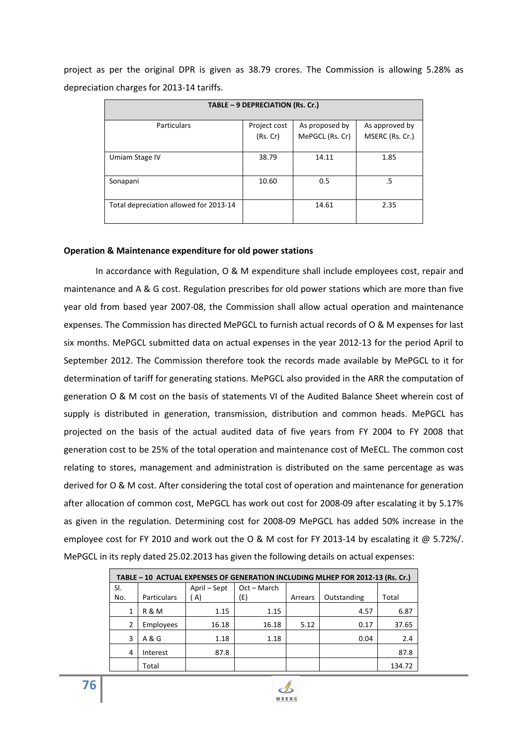project as per the original DPR is given as 38.79 crores. The Commission is allowing 5.28% as depreciation charges for 2013-14 tariffs.

| TABLE - 9 DEPRECIATION (Rs. Cr.)       |              |                 |                 |  |  |
|----------------------------------------|--------------|-----------------|-----------------|--|--|
| <b>Particulars</b>                     | Project cost | As proposed by  | As approved by  |  |  |
|                                        | (Rs.Cr)      | MePGCL (Rs. Cr) | MSERC (Rs. Cr.) |  |  |
| Umiam Stage IV                         | 38.79        | 14.11           | 1.85            |  |  |
| Sonapani                               | 10.60        | 0.5             | .5              |  |  |
| Total depreciation allowed for 2013-14 |              | 14.61           | 2.35            |  |  |

# **Operation & Maintenance expenditure for old power stations**

 In accordance with Regulation, O & M expenditure shall include employees cost, repair and maintenance and A & G cost. Regulation prescribes for old power stations which are more than five year old from based year 2007-08, the Commission shall allow actual operation and maintenance expenses. The Commission has directed MePGCL to furnish actual records of O & M expenses for last six months. MePGCL submitted data on actual expenses in the year 2012-13 for the period April to September 2012. The Commission therefore took the records made available by MePGCL to it for determination of tariff for generating stations. MePGCL also provided in the ARR the computation of generation O & M cost on the basis of statements VI of the Audited Balance Sheet wherein cost of supply is distributed in generation, transmission, distribution and common heads. MePGCL has projected on the basis of the actual audited data of five years from FY 2004 to FY 2008 that generation cost to be 25% of the total operation and maintenance cost of MeECL. The common cost relating to stores, management and administration is distributed on the same percentage as was derived for O & M cost. After considering the total cost of operation and maintenance for generation after allocation of common cost, MePGCL has work out cost for 2008-09 after escalating it by 5.17% as given in the regulation. Determining cost for 2008-09 MePGCL has added 50% increase in the employee cost for FY 2010 and work out the O & M cost for FY 2013-14 by escalating it @ 5.72%/. MePGCL in its reply dated 25.02.2013 has given the following details on actual expenses:

| TABLE - 10 ACTUAL EXPENSES OF GENERATION INCLUDING MLHEP FOR 2012-13 (Rs. Cr.) |                    |              |             |         |             |        |  |
|--------------------------------------------------------------------------------|--------------------|--------------|-------------|---------|-------------|--------|--|
| SI.                                                                            |                    | April – Sept | Oct - March |         |             |        |  |
| No.                                                                            | <b>Particulars</b> | A)           | (E)         | Arrears | Outstanding | Total  |  |
| 1                                                                              | R & M              | 1.15         | 1.15        |         | 4.57        | 6.87   |  |
| 2                                                                              | Employees          | 16.18        | 16.18       | 5.12    | 0.17        | 37.65  |  |
| 3                                                                              | A & G              | 1.18         | 1.18        |         | 0.04        | 2.4    |  |
| 4                                                                              | Interest           | 87.8         |             |         |             | 87.8   |  |
|                                                                                | Total              |              |             |         |             | 134.72 |  |

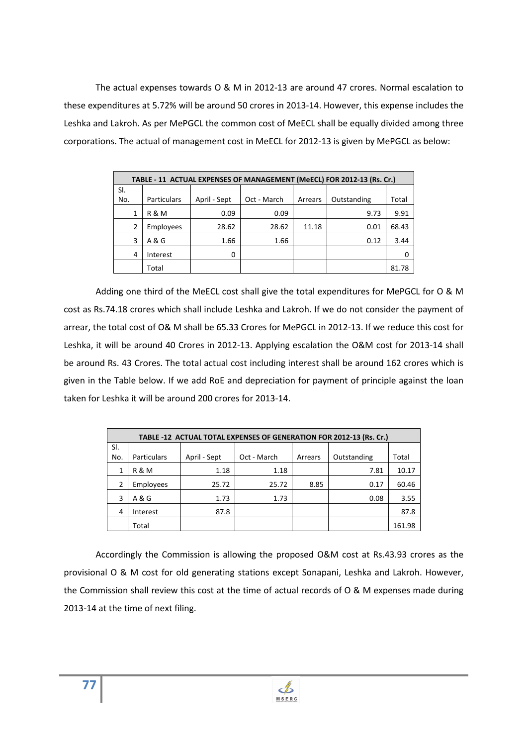The actual expenses towards O & M in 2012-13 are around 47 crores. Normal escalation to these expenditures at 5.72% will be around 50 crores in 2013-14. However, this expense includes the Leshka and Lakroh. As per MePGCL the common cost of MeECL shall be equally divided among three corporations. The actual of management cost in MeECL for 2012-13 is given by MePGCL as below:

| TABLE - 11 ACTUAL EXPENSES OF MANAGEMENT (MeECL) FOR 2012-13 (Rs. Cr.) |                    |              |             |         |             |       |  |  |
|------------------------------------------------------------------------|--------------------|--------------|-------------|---------|-------------|-------|--|--|
| SI.                                                                    |                    |              |             |         |             |       |  |  |
| No.                                                                    | <b>Particulars</b> | April - Sept | Oct - March | Arrears | Outstanding | Total |  |  |
| 1                                                                      | R & M              | 0.09         | 0.09        |         | 9.73        | 9.91  |  |  |
| 2                                                                      | Employees          | 28.62        | 28.62       | 11.18   | 0.01        | 68.43 |  |  |
| 3                                                                      | A & G              | 1.66         | 1.66        |         | 0.12        | 3.44  |  |  |
| 4                                                                      | Interest           | 0            |             |         |             |       |  |  |
|                                                                        | Total              |              |             |         |             | 81.78 |  |  |

 Adding one third of the MeECL cost shall give the total expenditures for MePGCL for O & M cost as Rs.74.18 crores which shall include Leshka and Lakroh. If we do not consider the payment of arrear, the total cost of O& M shall be 65.33 Crores for MePGCL in 2012-13. If we reduce this cost for Leshka, it will be around 40 Crores in 2012-13. Applying escalation the O&M cost for 2013-14 shall be around Rs. 43 Crores. The total actual cost including interest shall be around 162 crores which is given in the Table below. If we add RoE and depreciation for payment of principle against the loan taken for Leshka it will be around 200 crores for 2013-14.

|     | TABLE -12 ACTUAL TOTAL EXPENSES OF GENERATION FOR 2012-13 (Rs. Cr.) |              |             |         |             |        |  |  |
|-----|---------------------------------------------------------------------|--------------|-------------|---------|-------------|--------|--|--|
| SI. |                                                                     |              |             |         |             |        |  |  |
| No. | <b>Particulars</b>                                                  | April - Sept | Oct - March | Arrears | Outstanding | Total  |  |  |
| 1   | <b>R&amp;M</b>                                                      | 1.18         | 1.18        |         | 7.81        | 10.17  |  |  |
| 2   | Employees                                                           | 25.72        | 25.72       | 8.85    | 0.17        | 60.46  |  |  |
| 3   | A & G                                                               | 1.73         | 1.73        |         | 0.08        | 3.55   |  |  |
| 4   | Interest                                                            | 87.8         |             |         |             | 87.8   |  |  |
|     | Total                                                               |              |             |         |             | 161.98 |  |  |

Accordingly the Commission is allowing the proposed O&M cost at Rs.43.93 crores as the provisional O & M cost for old generating stations except Sonapani, Leshka and Lakroh. However, the Commission shall review this cost at the time of actual records of O & M expenses made during 2013-14 at the time of next filing.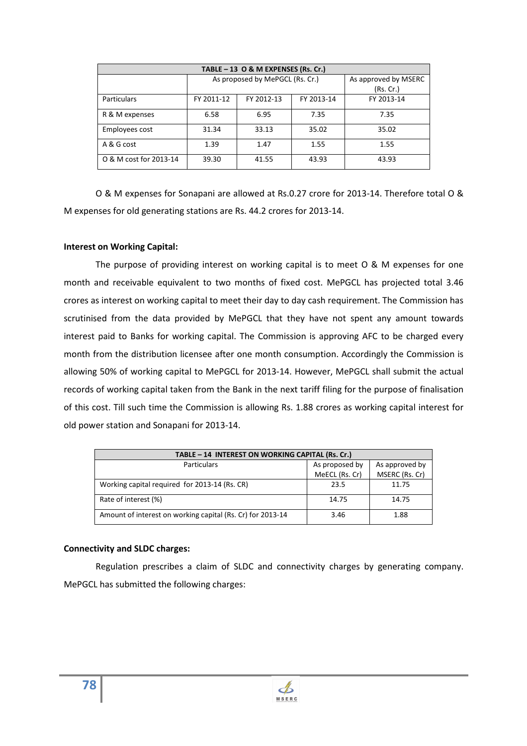| TABLE - 13 O & M EXPENSES (Rs. Cr.) |            |                                 |            |                      |  |  |
|-------------------------------------|------------|---------------------------------|------------|----------------------|--|--|
|                                     |            | As proposed by MePGCL (Rs. Cr.) |            | As approved by MSERC |  |  |
|                                     |            |                                 |            | (Rs. Cr.)            |  |  |
| <b>Particulars</b>                  | FY 2011-12 | FY 2012-13                      | FY 2013-14 | FY 2013-14           |  |  |
| R & M expenses                      | 6.58       | 6.95                            | 7.35       | 7.35                 |  |  |
| Employees cost                      | 31.34      | 33.13                           | 35.02      | 35.02                |  |  |
| A & G cost                          | 1.39       | 1.47                            | 1.55       | 1.55                 |  |  |
| O & M cost for 2013-14              | 39.30      | 41.55                           | 43.93      | 43.93                |  |  |

O & M expenses for Sonapani are allowed at Rs.0.27 crore for 2013-14. Therefore total O & M expenses for old generating stations are Rs. 44.2 crores for 2013-14.

## **Interest on Working Capital:**

 The purpose of providing interest on working capital is to meet O & M expenses for one month and receivable equivalent to two months of fixed cost. MePGCL has projected total 3.46 crores as interest on working capital to meet their day to day cash requirement. The Commission has scrutinised from the data provided by MePGCL that they have not spent any amount towards interest paid to Banks for working capital. The Commission is approving AFC to be charged every month from the distribution licensee after one month consumption. Accordingly the Commission is allowing 50% of working capital to MePGCL for 2013-14. However, MePGCL shall submit the actual records of working capital taken from the Bank in the next tariff filing for the purpose of finalisation of this cost. Till such time the Commission is allowing Rs. 1.88 crores as working capital interest for old power station and Sonapani for 2013-14.

| TABLE - 14 INTEREST ON WORKING CAPITAL (Rs. Cr.)           |                                  |                                  |  |  |  |
|------------------------------------------------------------|----------------------------------|----------------------------------|--|--|--|
| <b>Particulars</b>                                         | As proposed by<br>MeECL (Rs. Cr) | As approved by<br>MSERC (Rs. Cr) |  |  |  |
| Working capital required for 2013-14 (Rs. CR)              | 23.5                             | 11.75                            |  |  |  |
| Rate of interest (%)                                       | 14.75                            | 14.75                            |  |  |  |
| Amount of interest on working capital (Rs. Cr) for 2013-14 | 3.46                             | 1.88                             |  |  |  |

#### **Connectivity and SLDC charges:**

 Regulation prescribes a claim of SLDC and connectivity charges by generating company. MePGCL has submitted the following charges: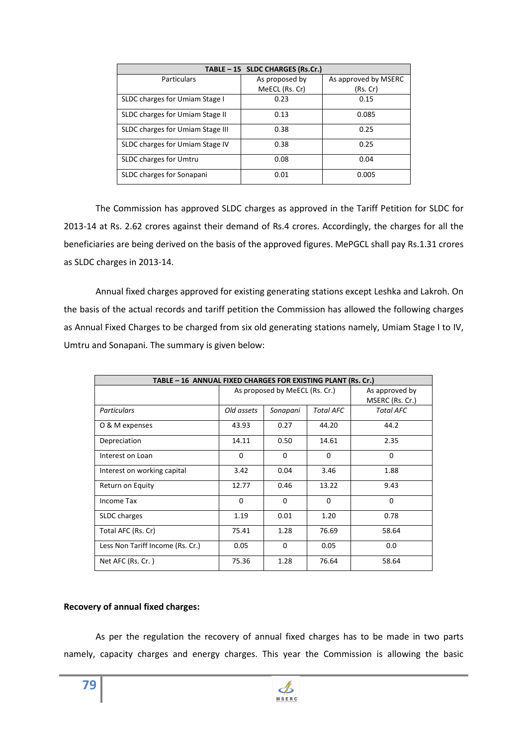| TABLE - 15 SLDC CHARGES (Rs.Cr.) |                |                      |  |  |  |  |
|----------------------------------|----------------|----------------------|--|--|--|--|
| <b>Particulars</b>               | As proposed by | As approved by MSERC |  |  |  |  |
|                                  | MeECL (Rs. Cr) | (Rs. Cr)             |  |  |  |  |
| SLDC charges for Umiam Stage I   | 0.23           | 0.15                 |  |  |  |  |
| SLDC charges for Umiam Stage II  | 0.13           | 0.085                |  |  |  |  |
| SLDC charges for Umiam Stage III | 0.38           | 0.25                 |  |  |  |  |
| SLDC charges for Umiam Stage IV  | 0.38           | 0.25                 |  |  |  |  |
| <b>SLDC</b> charges for Umtru    | 0.08           | 0.04                 |  |  |  |  |
| SLDC charges for Sonapani        | 0.01           | 0.005                |  |  |  |  |

 The Commission has approved SLDC charges as approved in the Tariff Petition for SLDC for 2013-14 at Rs. 2.62 crores against their demand of Rs.4 crores. Accordingly, the charges for all the beneficiaries are being derived on the basis of the approved figures. MePGCL shall pay Rs.1.31 crores as SLDC charges in 2013-14.

Annual fixed charges approved for existing generating stations except Leshka and Lakroh. On the basis of the actual records and tariff petition the Commission has allowed the following charges as Annual Fixed Charges to be charged from six old generating stations namely, Umiam Stage I to IV, Umtru and Sonapani. The summary is given below:

| TABLE - 16 ANNUAL FIXED CHARGES FOR EXISTING PLANT (Rs. Cr.) |            |                                |                                   |                  |  |  |  |  |
|--------------------------------------------------------------|------------|--------------------------------|-----------------------------------|------------------|--|--|--|--|
|                                                              |            | As proposed by MeECL (Rs. Cr.) | As approved by<br>MSERC (Rs. Cr.) |                  |  |  |  |  |
| <b>Particulars</b>                                           | Old assets | Sonapani                       | <b>Total AFC</b>                  | <b>Total AFC</b> |  |  |  |  |
| O & M expenses                                               | 43.93      | 0.27                           | 44.20                             | 44.2             |  |  |  |  |
| Depreciation                                                 | 14.11      | 0.50                           | 14.61                             | 2.35             |  |  |  |  |
| Interest on Loan                                             | 0          | $\Omega$                       | $\Omega$                          | 0                |  |  |  |  |
| Interest on working capital                                  | 3.42       | 0.04                           | 3.46                              | 1.88             |  |  |  |  |
| Return on Equity                                             | 12.77      | 0.46                           | 13.22                             | 9.43             |  |  |  |  |
| Income Tax                                                   | $\Omega$   | $\Omega$                       | $\Omega$                          | 0                |  |  |  |  |
| SLDC charges                                                 | 1.19       | 0.01                           | 1.20                              | 0.78             |  |  |  |  |
| Total AFC (Rs. Cr)                                           | 75.41      | 1.28                           | 76.69                             | 58.64            |  |  |  |  |
| Less Non Tariff Income (Rs. Cr.)                             | 0.05       | $\Omega$                       | 0.05                              | 0.0              |  |  |  |  |
| Net AFC (Rs. Cr.)                                            | 75.36      | 1.28                           | 76.64                             | 58.64            |  |  |  |  |

# **Recovery of annual fixed charges:**

 As per the regulation the recovery of annual fixed charges has to be made in two parts namely, capacity charges and energy charges. This year the Commission is allowing the basic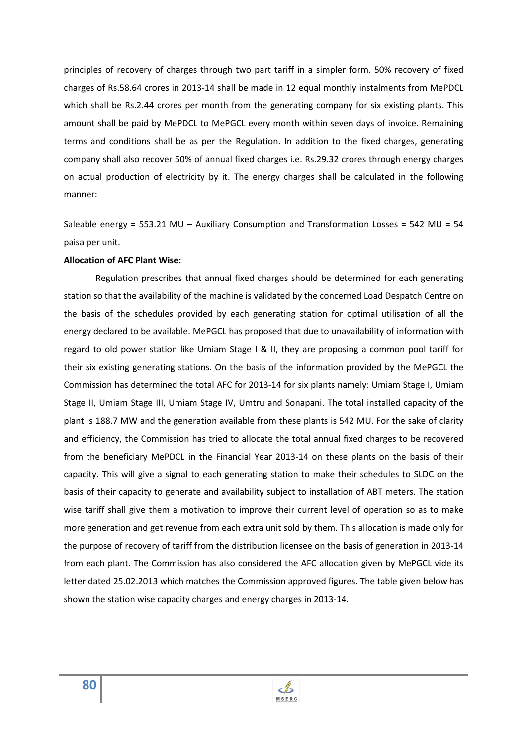principles of recovery of charges through two part tariff in a simpler form. 50% recovery of fixed charges of Rs.58.64 crores in 2013-14 shall be made in 12 equal monthly instalments from MePDCL which shall be Rs.2.44 crores per month from the generating company for six existing plants. This amount shall be paid by MePDCL to MePGCL every month within seven days of invoice. Remaining terms and conditions shall be as per the Regulation. In addition to the fixed charges, generating company shall also recover 50% of annual fixed charges i.e. Rs.29.32 crores through energy charges on actual production of electricity by it. The energy charges shall be calculated in the following manner:

Saleable energy = 553.21 MU – Auxiliary Consumption and Transformation Losses = 542 MU = 54 paisa per unit.

#### **Allocation of AFC Plant Wise:**

 Regulation prescribes that annual fixed charges should be determined for each generating station so that the availability of the machine is validated by the concerned Load Despatch Centre on the basis of the schedules provided by each generating station for optimal utilisation of all the energy declared to be available. MePGCL has proposed that due to unavailability of information with regard to old power station like Umiam Stage I & II, they are proposing a common pool tariff for their six existing generating stations. On the basis of the information provided by the MePGCL the Commission has determined the total AFC for 2013-14 for six plants namely: Umiam Stage I, Umiam Stage II, Umiam Stage III, Umiam Stage IV, Umtru and Sonapani. The total installed capacity of the plant is 188.7 MW and the generation available from these plants is 542 MU. For the sake of clarity and efficiency, the Commission has tried to allocate the total annual fixed charges to be recovered from the beneficiary MePDCL in the Financial Year 2013-14 on these plants on the basis of their capacity. This will give a signal to each generating station to make their schedules to SLDC on the basis of their capacity to generate and availability subject to installation of ABT meters. The station wise tariff shall give them a motivation to improve their current level of operation so as to make more generation and get revenue from each extra unit sold by them. This allocation is made only for the purpose of recovery of tariff from the distribution licensee on the basis of generation in 2013-14 from each plant. The Commission has also considered the AFC allocation given by MePGCL vide its letter dated 25.02.2013 which matches the Commission approved figures. The table given below has shown the station wise capacity charges and energy charges in 2013-14.

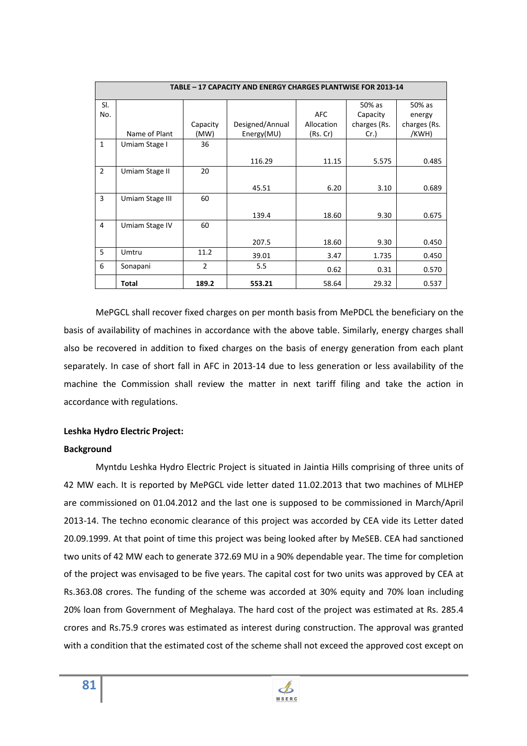| TABLE - 17 CAPACITY AND ENERGY CHARGES PLANTWISE FOR 2013-14 |                 |                |                 |            |              |              |
|--------------------------------------------------------------|-----------------|----------------|-----------------|------------|--------------|--------------|
| SI.                                                          |                 |                |                 |            | 50% as       | 50% as       |
| No.                                                          |                 |                |                 | <b>AFC</b> | Capacity     | energy       |
|                                                              |                 | Capacity       | Designed/Annual | Allocation | charges (Rs. | charges (Rs. |
|                                                              | Name of Plant   | (MW)           | Energy(MU)      | (Rs.Cr)    | Cr.          | /KWH)        |
| $\mathbf{1}$                                                 | Umiam Stage I   | 36             |                 |            |              |              |
|                                                              |                 |                | 116.29          | 11.15      | 5.575        | 0.485        |
| $\overline{2}$                                               | Umiam Stage II  | 20             |                 |            |              |              |
|                                                              |                 |                | 45.51           | 6.20       | 3.10         | 0.689        |
| $\overline{3}$                                               | Umiam Stage III | 60             |                 |            |              |              |
|                                                              |                 |                | 139.4           | 18.60      | 9.30         | 0.675        |
| 4                                                            | Umiam Stage IV  | 60             |                 |            |              |              |
|                                                              |                 |                | 207.5           | 18.60      | 9.30         | 0.450        |
| 5                                                            | Umtru           | 11.2           | 39.01           | 3.47       | 1.735        | 0.450        |
| 6                                                            | Sonapani        | $\overline{2}$ | 5.5             | 0.62       | 0.31         | 0.570        |
|                                                              | Total           | 189.2          | 553.21          | 58.64      | 29.32        | 0.537        |

 MePGCL shall recover fixed charges on per month basis from MePDCL the beneficiary on the basis of availability of machines in accordance with the above table. Similarly, energy charges shall also be recovered in addition to fixed charges on the basis of energy generation from each plant separately. In case of short fall in AFC in 2013-14 due to less generation or less availability of the machine the Commission shall review the matter in next tariff filing and take the action in accordance with regulations.

## **Leshka Hydro Electric Project:**

#### **Background**

 Myntdu Leshka Hydro Electric Project is situated in Jaintia Hills comprising of three units of 42 MW each. It is reported by MePGCL vide letter dated 11.02.2013 that two machines of MLHEP are commissioned on 01.04.2012 and the last one is supposed to be commissioned in March/April 2013-14. The techno economic clearance of this project was accorded by CEA vide its Letter dated 20.09.1999. At that point of time this project was being looked after by MeSEB. CEA had sanctioned two units of 42 MW each to generate 372.69 MU in a 90% dependable year. The time for completion of the project was envisaged to be five years. The capital cost for two units was approved by CEA at Rs.363.08 crores. The funding of the scheme was accorded at 30% equity and 70% loan including 20% loan from Government of Meghalaya. The hard cost of the project was estimated at Rs. 285.4 crores and Rs.75.9 crores was estimated as interest during construction. The approval was granted with a condition that the estimated cost of the scheme shall not exceed the approved cost except on

**MSERC**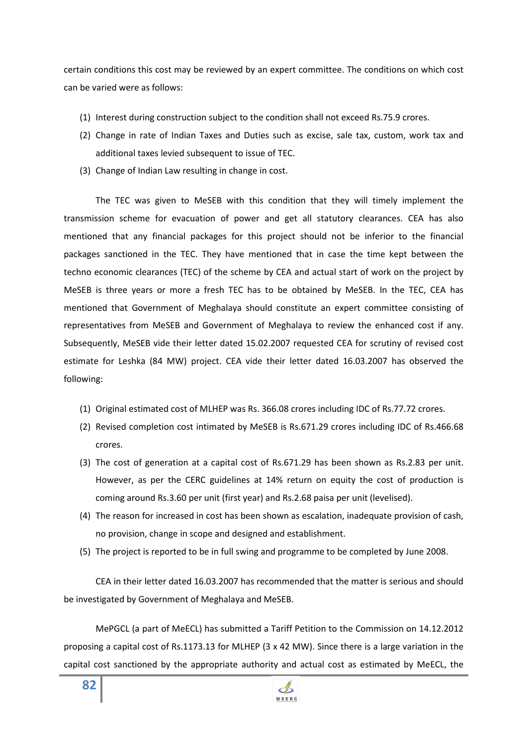certain conditions this cost may be reviewed by an expert committee. The conditions on which cost can be varied were as follows:

- (1) Interest during construction subject to the condition shall not exceed Rs.75.9 crores.
- (2) Change in rate of Indian Taxes and Duties such as excise, sale tax, custom, work tax and additional taxes levied subsequent to issue of TEC.
- (3) Change of Indian Law resulting in change in cost.

The TEC was given to MeSEB with this condition that they will timely implement the transmission scheme for evacuation of power and get all statutory clearances. CEA has also mentioned that any financial packages for this project should not be inferior to the financial packages sanctioned in the TEC. They have mentioned that in case the time kept between the techno economic clearances (TEC) of the scheme by CEA and actual start of work on the project by MeSEB is three years or more a fresh TEC has to be obtained by MeSEB. In the TEC, CEA has mentioned that Government of Meghalaya should constitute an expert committee consisting of representatives from MeSEB and Government of Meghalaya to review the enhanced cost if any. Subsequently, MeSEB vide their letter dated 15.02.2007 requested CEA for scrutiny of revised cost estimate for Leshka (84 MW) project. CEA vide their letter dated 16.03.2007 has observed the following:

- (1) Original estimated cost of MLHEP was Rs. 366.08 crores including IDC of Rs.77.72 crores.
- (2) Revised completion cost intimated by MeSEB is Rs.671.29 crores including IDC of Rs.466.68 crores.
- (3) The cost of generation at a capital cost of Rs.671.29 has been shown as Rs.2.83 per unit. However, as per the CERC guidelines at 14% return on equity the cost of production is coming around Rs.3.60 per unit (first year) and Rs.2.68 paisa per unit (levelised).
- (4) The reason for increased in cost has been shown as escalation, inadequate provision of cash, no provision, change in scope and designed and establishment.
- (5) The project is reported to be in full swing and programme to be completed by June 2008.

CEA in their letter dated 16.03.2007 has recommended that the matter is serious and should be investigated by Government of Meghalaya and MeSEB.

MePGCL (a part of MeECL) has submitted a Tariff Petition to the Commission on 14.12.2012 proposing a capital cost of Rs.1173.13 for MLHEP (3 x 42 MW). Since there is a large variation in the capital cost sanctioned by the appropriate authority and actual cost as estimated by MeECL, the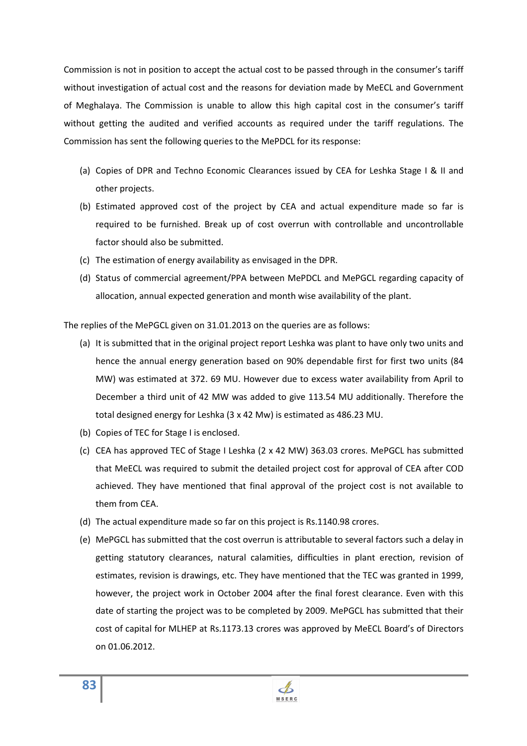Commission is not in position to accept the actual cost to be passed through in the consumer's tariff without investigation of actual cost and the reasons for deviation made by MeECL and Government of Meghalaya. The Commission is unable to allow this high capital cost in the consumer's tariff without getting the audited and verified accounts as required under the tariff regulations. The Commission has sent the following queries to the MePDCL for its response:

- (a) Copies of DPR and Techno Economic Clearances issued by CEA for Leshka Stage I & II and other projects.
- (b) Estimated approved cost of the project by CEA and actual expenditure made so far is required to be furnished. Break up of cost overrun with controllable and uncontrollable factor should also be submitted.
- (c) The estimation of energy availability as envisaged in the DPR.
- (d) Status of commercial agreement/PPA between MePDCL and MePGCL regarding capacity of allocation, annual expected generation and month wise availability of the plant.

The replies of the MePGCL given on 31.01.2013 on the queries are as follows:

- (a) It is submitted that in the original project report Leshka was plant to have only two units and hence the annual energy generation based on 90% dependable first for first two units (84 MW) was estimated at 372. 69 MU. However due to excess water availability from April to December a third unit of 42 MW was added to give 113.54 MU additionally. Therefore the total designed energy for Leshka (3 x 42 Mw) is estimated as 486.23 MU.
- (b) Copies of TEC for Stage I is enclosed.
- (c) CEA has approved TEC of Stage I Leshka (2 x 42 MW) 363.03 crores. MePGCL has submitted that MeECL was required to submit the detailed project cost for approval of CEA after COD achieved. They have mentioned that final approval of the project cost is not available to them from CEA.
- (d) The actual expenditure made so far on this project is Rs.1140.98 crores.
- (e) MePGCL has submitted that the cost overrun is attributable to several factors such a delay in getting statutory clearances, natural calamities, difficulties in plant erection, revision of estimates, revision is drawings, etc. They have mentioned that the TEC was granted in 1999, however, the project work in October 2004 after the final forest clearance. Even with this date of starting the project was to be completed by 2009. MePGCL has submitted that their cost of capital for MLHEP at Rs.1173.13 crores was approved by MeECL Board's of Directors on 01.06.2012.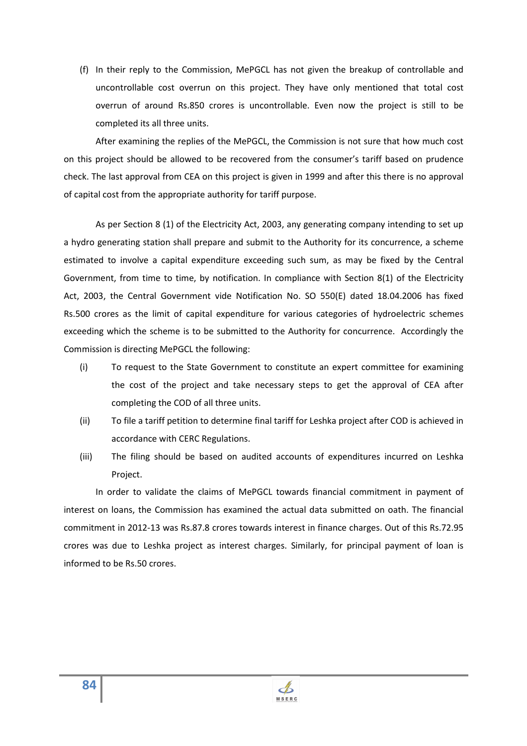(f) In their reply to the Commission, MePGCL has not given the breakup of controllable and uncontrollable cost overrun on this project. They have only mentioned that total cost overrun of around Rs.850 crores is uncontrollable. Even now the project is still to be completed its all three units.

After examining the replies of the MePGCL, the Commission is not sure that how much cost on this project should be allowed to be recovered from the consumer's tariff based on prudence check. The last approval from CEA on this project is given in 1999 and after this there is no approval of capital cost from the appropriate authority for tariff purpose.

As per Section 8 (1) of the Electricity Act, 2003, any generating company intending to set up a hydro generating station shall prepare and submit to the Authority for its concurrence, a scheme estimated to involve a capital expenditure exceeding such sum, as may be fixed by the Central Government, from time to time, by notification. In compliance with Section 8(1) of the Electricity Act, 2003, the Central Government vide Notification No. SO 550(E) dated 18.04.2006 has fixed Rs.500 crores as the limit of capital expenditure for various categories of hydroelectric schemes exceeding which the scheme is to be submitted to the Authority for concurrence. Accordingly the Commission is directing MePGCL the following:

- (i) To request to the State Government to constitute an expert committee for examining the cost of the project and take necessary steps to get the approval of CEA after completing the COD of all three units.
- (ii) To file a tariff petition to determine final tariff for Leshka project after COD is achieved in accordance with CERC Regulations.
- (iii) The filing should be based on audited accounts of expenditures incurred on Leshka Project.

In order to validate the claims of MePGCL towards financial commitment in payment of interest on loans, the Commission has examined the actual data submitted on oath. The financial commitment in 2012-13 was Rs.87.8 crores towards interest in finance charges. Out of this Rs.72.95 crores was due to Leshka project as interest charges. Similarly, for principal payment of loan is informed to be Rs.50 crores.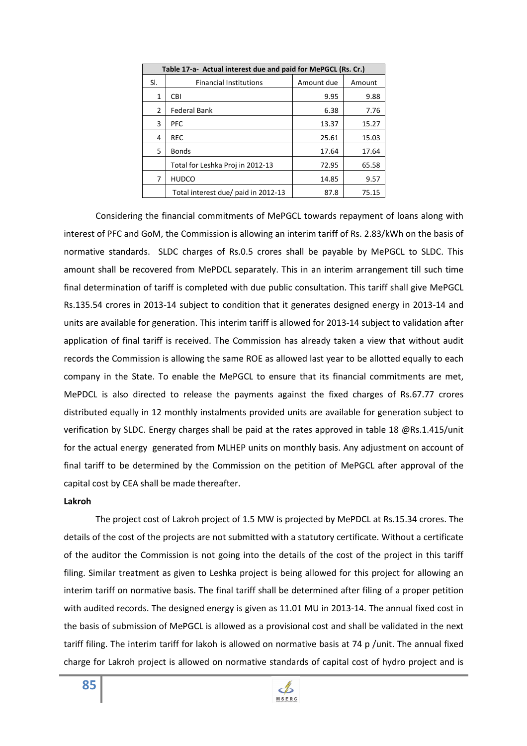| Table 17-a- Actual interest due and paid for MePGCL (Rs. Cr.) |                                     |            |        |  |
|---------------------------------------------------------------|-------------------------------------|------------|--------|--|
| SI.                                                           | <b>Financial Institutions</b>       | Amount due | Amount |  |
| 1                                                             | CBI                                 | 9.95       | 9.88   |  |
| 2                                                             | <b>Federal Bank</b>                 | 6.38       | 7.76   |  |
| 3                                                             | <b>PFC</b>                          | 13.37      | 15.27  |  |
| 4                                                             | <b>REC</b>                          | 25.61      | 15.03  |  |
| 5                                                             | <b>Bonds</b>                        | 17.64      | 17.64  |  |
|                                                               | Total for Leshka Proj in 2012-13    | 72.95      | 65.58  |  |
| 7                                                             | <b>HUDCO</b>                        | 14.85      | 9.57   |  |
|                                                               | Total interest due/ paid in 2012-13 | 87.8       | 75.15  |  |

Considering the financial commitments of MePGCL towards repayment of loans along with interest of PFC and GoM, the Commission is allowing an interim tariff of Rs. 2.83/kWh on the basis of normative standards. SLDC charges of Rs.0.5 crores shall be payable by MePGCL to SLDC. This amount shall be recovered from MePDCL separately. This in an interim arrangement till such time final determination of tariff is completed with due public consultation. This tariff shall give MePGCL Rs.135.54 crores in 2013-14 subject to condition that it generates designed energy in 2013-14 and units are available for generation. This interim tariff is allowed for 2013-14 subject to validation after application of final tariff is received. The Commission has already taken a view that without audit records the Commission is allowing the same ROE as allowed last year to be allotted equally to each company in the State. To enable the MePGCL to ensure that its financial commitments are met, MePDCL is also directed to release the payments against the fixed charges of Rs.67.77 crores distributed equally in 12 monthly instalments provided units are available for generation subject to verification by SLDC. Energy charges shall be paid at the rates approved in table 18 @Rs.1.415/unit for the actual energy generated from MLHEP units on monthly basis. Any adjustment on account of final tariff to be determined by the Commission on the petition of MePGCL after approval of the capital cost by CEA shall be made thereafter.

#### **Lakroh**

 The project cost of Lakroh project of 1.5 MW is projected by MePDCL at Rs.15.34 crores. The details of the cost of the projects are not submitted with a statutory certificate. Without a certificate of the auditor the Commission is not going into the details of the cost of the project in this tariff filing. Similar treatment as given to Leshka project is being allowed for this project for allowing an interim tariff on normative basis. The final tariff shall be determined after filing of a proper petition with audited records. The designed energy is given as 11.01 MU in 2013-14. The annual fixed cost in the basis of submission of MePGCL is allowed as a provisional cost and shall be validated in the next tariff filing. The interim tariff for lakoh is allowed on normative basis at 74 p /unit. The annual fixed charge for Lakroh project is allowed on normative standards of capital cost of hydro project and is

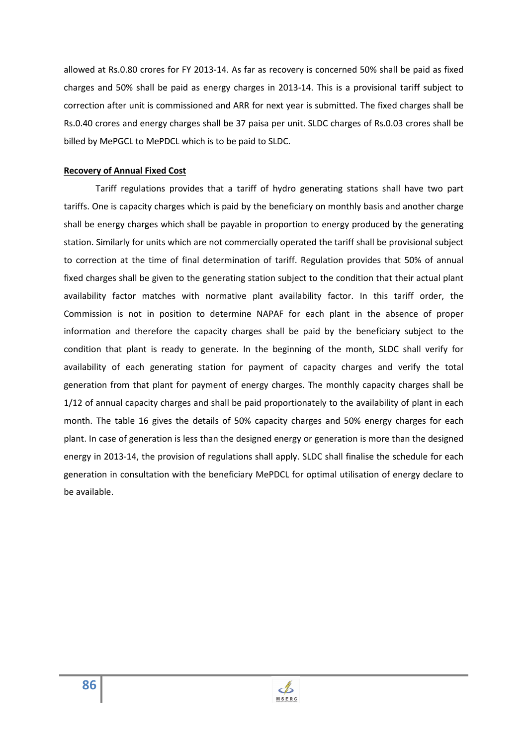allowed at Rs.0.80 crores for FY 2013-14. As far as recovery is concerned 50% shall be paid as fixed charges and 50% shall be paid as energy charges in 2013-14. This is a provisional tariff subject to correction after unit is commissioned and ARR for next year is submitted. The fixed charges shall be Rs.0.40 crores and energy charges shall be 37 paisa per unit. SLDC charges of Rs.0.03 crores shall be billed by MePGCL to MePDCL which is to be paid to SLDC.

#### **Recovery of Annual Fixed Cost**

 Tariff regulations provides that a tariff of hydro generating stations shall have two part tariffs. One is capacity charges which is paid by the beneficiary on monthly basis and another charge shall be energy charges which shall be payable in proportion to energy produced by the generating station. Similarly for units which are not commercially operated the tariff shall be provisional subject to correction at the time of final determination of tariff. Regulation provides that 50% of annual fixed charges shall be given to the generating station subject to the condition that their actual plant availability factor matches with normative plant availability factor. In this tariff order, the Commission is not in position to determine NAPAF for each plant in the absence of proper information and therefore the capacity charges shall be paid by the beneficiary subject to the condition that plant is ready to generate. In the beginning of the month, SLDC shall verify for availability of each generating station for payment of capacity charges and verify the total generation from that plant for payment of energy charges. The monthly capacity charges shall be 1/12 of annual capacity charges and shall be paid proportionately to the availability of plant in each month. The table 16 gives the details of 50% capacity charges and 50% energy charges for each plant. In case of generation is less than the designed energy or generation is more than the designed energy in 2013-14, the provision of regulations shall apply. SLDC shall finalise the schedule for each generation in consultation with the beneficiary MePDCL for optimal utilisation of energy declare to be available.

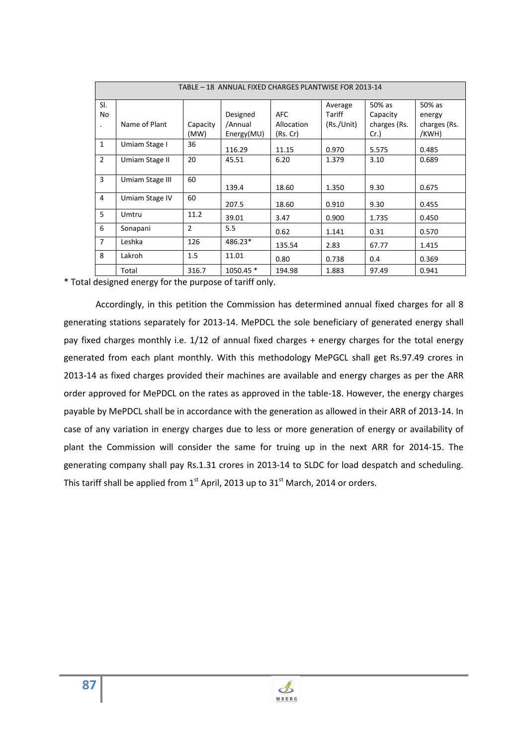| TABLE - 18 ANNUAL FIXED CHARGES PLANTWISE FOR 2013-14 |                 |                  |                       |                        |                   |                     |                       |
|-------------------------------------------------------|-----------------|------------------|-----------------------|------------------------|-------------------|---------------------|-----------------------|
| SI.<br>No                                             |                 |                  | Designed              | <b>AFC</b>             | Average<br>Tariff | 50% as<br>Capacity  | 50% as<br>energy      |
|                                                       | Name of Plant   | Capacity<br>(MW) | /Annual<br>Energy(MU) | Allocation<br>(Rs. Cr) | (Rs./Unit)        | charges (Rs.<br>Cr. | charges (Rs.<br>/KWH) |
| $\mathbf{1}$                                          | Umiam Stage I   | 36               | 116.29                | 11.15                  | 0.970             | 5.575               | 0.485                 |
| $\overline{2}$                                        | Umiam Stage II  | 20               | 45.51                 | 6.20                   | 1.379             | 3.10                | 0.689                 |
| 3                                                     | Umiam Stage III | 60               | 139.4                 | 18.60                  | 1.350             | 9.30                | 0.675                 |
| 4                                                     | Umiam Stage IV  | 60               | 207.5                 | 18.60                  | 0.910             | 9.30                | 0.455                 |
| 5                                                     | Umtru           | 11.2             | 39.01                 | 3.47                   | 0.900             | 1.735               | 0.450                 |
| 6                                                     | Sonapani        | $\overline{2}$   | 5.5                   | 0.62                   | 1.141             | 0.31                | 0.570                 |
| $\overline{7}$                                        | Leshka          | 126              | 486.23*               | 135.54                 | 2.83              | 67.77               | 1.415                 |
| 8                                                     | Lakroh          | 1.5              | 11.01                 | 0.80                   | 0.738             | 0.4                 | 0.369                 |
|                                                       | Total           | 316.7            | 1050.45 *             | 194.98                 | 1.883             | 97.49               | 0.941                 |

\* Total designed energy for the purpose of tariff only.

Accordingly, in this petition the Commission has determined annual fixed charges for all 8 generating stations separately for 2013-14. MePDCL the sole beneficiary of generated energy shall pay fixed charges monthly i.e. 1/12 of annual fixed charges + energy charges for the total energy generated from each plant monthly. With this methodology MePGCL shall get Rs.97.49 crores in 2013-14 as fixed charges provided their machines are available and energy charges as per the ARR order approved for MePDCL on the rates as approved in the table-18. However, the energy charges payable by MePDCL shall be in accordance with the generation as allowed in their ARR of 2013-14. In case of any variation in energy charges due to less or more generation of energy or availability of plant the Commission will consider the same for truing up in the next ARR for 2014-15. The generating company shall pay Rs.1.31 crores in 2013-14 to SLDC for load despatch and scheduling. This tariff shall be applied from  $1<sup>st</sup>$  April, 2013 up to 31 $<sup>st</sup>$  March, 2014 or orders.</sup>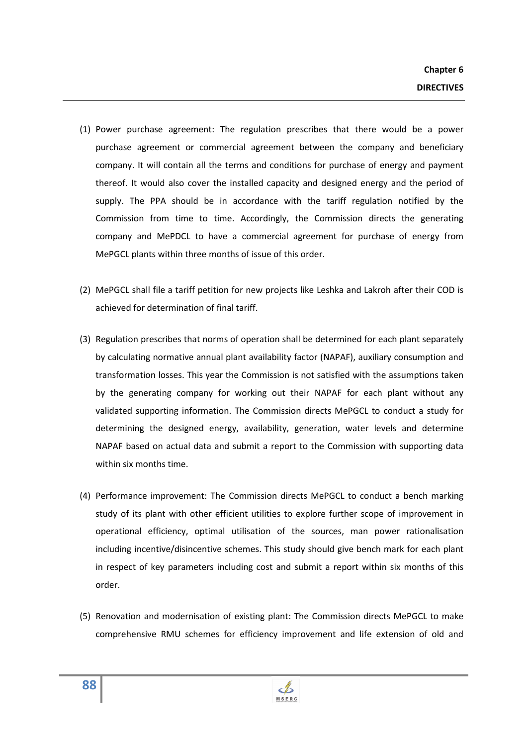- (1) Power purchase agreement: The regulation prescribes that there would be a power purchase agreement or commercial agreement between the company and beneficiary company. It will contain all the terms and conditions for purchase of energy and payment thereof. It would also cover the installed capacity and designed energy and the period of supply. The PPA should be in accordance with the tariff regulation notified by the Commission from time to time. Accordingly, the Commission directs the generating company and MePDCL to have a commercial agreement for purchase of energy from MePGCL plants within three months of issue of this order.
- (2) MePGCL shall file a tariff petition for new projects like Leshka and Lakroh after their COD is achieved for determination of final tariff.
- (3) Regulation prescribes that norms of operation shall be determined for each plant separately by calculating normative annual plant availability factor (NAPAF), auxiliary consumption and transformation losses. This year the Commission is not satisfied with the assumptions taken by the generating company for working out their NAPAF for each plant without any validated supporting information. The Commission directs MePGCL to conduct a study for determining the designed energy, availability, generation, water levels and determine NAPAF based on actual data and submit a report to the Commission with supporting data within six months time.
- (4) Performance improvement: The Commission directs MePGCL to conduct a bench marking study of its plant with other efficient utilities to explore further scope of improvement in operational efficiency, optimal utilisation of the sources, man power rationalisation including incentive/disincentive schemes. This study should give bench mark for each plant in respect of key parameters including cost and submit a report within six months of this order.
- (5) Renovation and modernisation of existing plant: The Commission directs MePGCL to make comprehensive RMU schemes for efficiency improvement and life extension of old and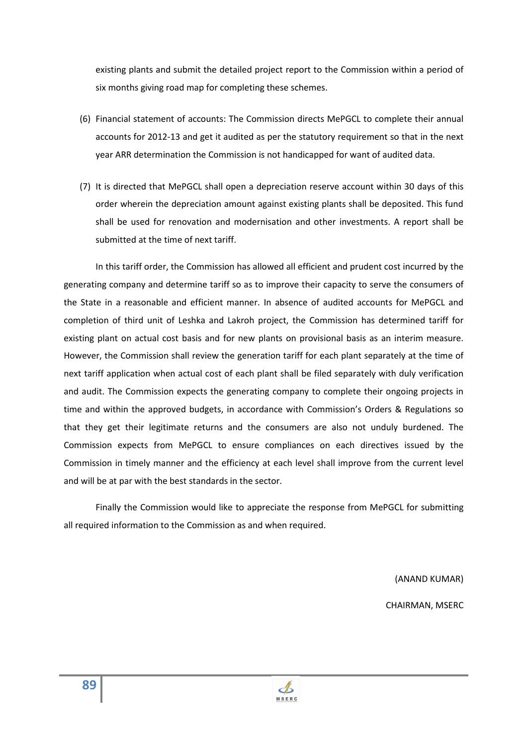existing plants and submit the detailed project report to the Commission within a period of six months giving road map for completing these schemes.

- (6) Financial statement of accounts: The Commission directs MePGCL to complete their annual accounts for 2012-13 and get it audited as per the statutory requirement so that in the next year ARR determination the Commission is not handicapped for want of audited data.
- (7) It is directed that MePGCL shall open a depreciation reserve account within 30 days of this order wherein the depreciation amount against existing plants shall be deposited. This fund shall be used for renovation and modernisation and other investments. A report shall be submitted at the time of next tariff.

In this tariff order, the Commission has allowed all efficient and prudent cost incurred by the generating company and determine tariff so as to improve their capacity to serve the consumers of the State in a reasonable and efficient manner. In absence of audited accounts for MePGCL and completion of third unit of Leshka and Lakroh project, the Commission has determined tariff for existing plant on actual cost basis and for new plants on provisional basis as an interim measure. However, the Commission shall review the generation tariff for each plant separately at the time of next tariff application when actual cost of each plant shall be filed separately with duly verification and audit. The Commission expects the generating company to complete their ongoing projects in time and within the approved budgets, in accordance with Commission's Orders & Regulations so that they get their legitimate returns and the consumers are also not unduly burdened. The Commission expects from MePGCL to ensure compliances on each directives issued by the Commission in timely manner and the efficiency at each level shall improve from the current level and will be at par with the best standards in the sector.

Finally the Commission would like to appreciate the response from MePGCL for submitting all required information to the Commission as and when required.

(ANAND KUMAR)

CHAIRMAN, MSERC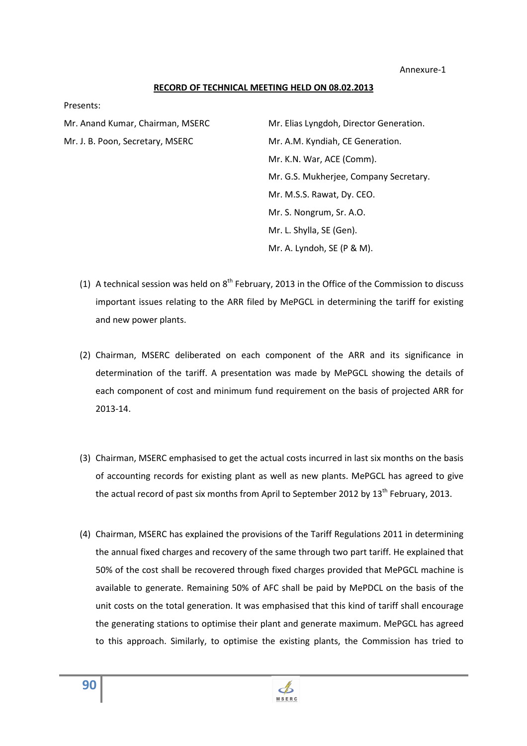Annexure-1

#### **RECORD OF TECHNICAL MEETING HELD ON 08.02.2013**

Presents:

| Mr. Anand Kumar, Chairman, MSERC | Mr. Elias Lyngdoh, Director Generation. |  |  |
|----------------------------------|-----------------------------------------|--|--|
| Mr. J. B. Poon, Secretary, MSERC | Mr. A.M. Kyndiah, CE Generation.        |  |  |
|                                  | Mr. K.N. War, ACE (Comm).               |  |  |
|                                  | Mr. G.S. Mukherjee, Company Secretary.  |  |  |
|                                  | Mr. M.S.S. Rawat, Dy. CEO.              |  |  |
|                                  | Mr. S. Nongrum, Sr. A.O.                |  |  |
|                                  | Mr. L. Shylla, SE (Gen).                |  |  |
|                                  | Mr. A. Lyndoh, SE (P & M).              |  |  |

- (1) A technical session was held on  $8<sup>th</sup>$  February, 2013 in the Office of the Commission to discuss important issues relating to the ARR filed by MePGCL in determining the tariff for existing and new power plants.
- (2) Chairman, MSERC deliberated on each component of the ARR and its significance in determination of the tariff. A presentation was made by MePGCL showing the details of each component of cost and minimum fund requirement on the basis of projected ARR for 2013-14.
- (3) Chairman, MSERC emphasised to get the actual costs incurred in last six months on the basis of accounting records for existing plant as well as new plants. MePGCL has agreed to give the actual record of past six months from April to September 2012 by 13<sup>th</sup> February, 2013.
- (4) Chairman, MSERC has explained the provisions of the Tariff Regulations 2011 in determining the annual fixed charges and recovery of the same through two part tariff. He explained that 50% of the cost shall be recovered through fixed charges provided that MePGCL machine is available to generate. Remaining 50% of AFC shall be paid by MePDCL on the basis of the unit costs on the total generation. It was emphasised that this kind of tariff shall encourage the generating stations to optimise their plant and generate maximum. MePGCL has agreed to this approach. Similarly, to optimise the existing plants, the Commission has tried to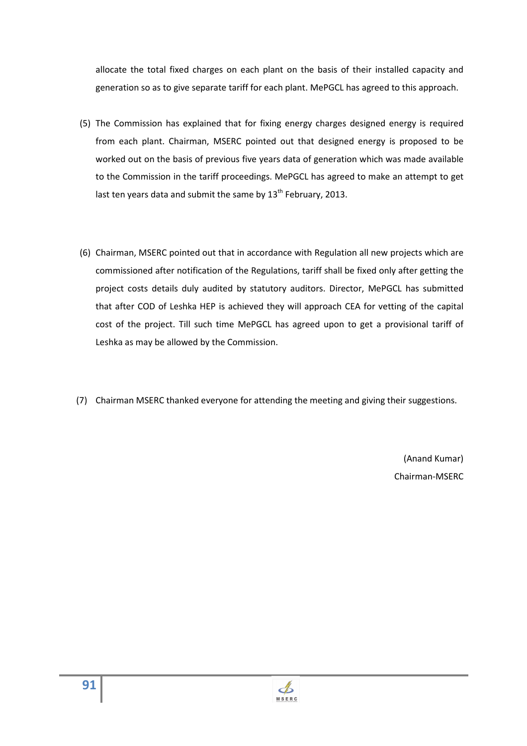allocate the total fixed charges on each plant on the basis of their installed capacity and generation so as to give separate tariff for each plant. MePGCL has agreed to this approach.

- (5) The Commission has explained that for fixing energy charges designed energy is required from each plant. Chairman, MSERC pointed out that designed energy is proposed to be worked out on the basis of previous five years data of generation which was made available to the Commission in the tariff proceedings. MePGCL has agreed to make an attempt to get last ten years data and submit the same by  $13^{th}$  February, 2013.
- (6) Chairman, MSERC pointed out that in accordance with Regulation all new projects which are commissioned after notification of the Regulations, tariff shall be fixed only after getting the project costs details duly audited by statutory auditors. Director, MePGCL has submitted that after COD of Leshka HEP is achieved they will approach CEA for vetting of the capital cost of the project. Till such time MePGCL has agreed upon to get a provisional tariff of Leshka as may be allowed by the Commission.
- (7) Chairman MSERC thanked everyone for attending the meeting and giving their suggestions.

(Anand Kumar) Chairman-MSERC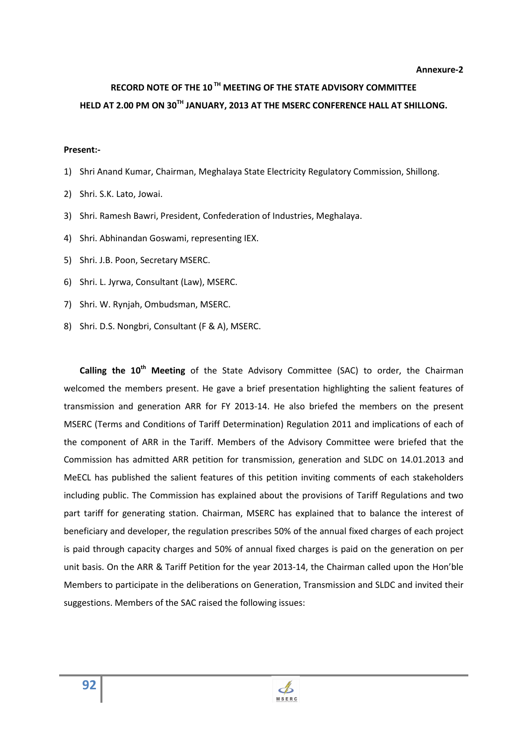# **RECORD NOTE OF THE 10 TH MEETING OF THE STATE ADVISORY COMMITTEE HELD AT 2.00 PM ON 30TH JANUARY, 2013 AT THE MSERC CONFERENCE HALL AT SHILLONG.**

#### **Present:-**

- 1) Shri Anand Kumar, Chairman, Meghalaya State Electricity Regulatory Commission, Shillong.
- 2) Shri. S.K. Lato, Jowai.
- 3) Shri. Ramesh Bawri, President, Confederation of Industries, Meghalaya.
- 4) Shri. Abhinandan Goswami, representing IEX.
- 5) Shri. J.B. Poon, Secretary MSERC.
- 6) Shri. L. Jyrwa, Consultant (Law), MSERC.
- 7) Shri. W. Rynjah, Ombudsman, MSERC.
- 8) Shri. D.S. Nongbri, Consultant (F & A), MSERC.

**Calling the 10th Meeting** of the State Advisory Committee (SAC) to order, the Chairman welcomed the members present. He gave a brief presentation highlighting the salient features of transmission and generation ARR for FY 2013-14. He also briefed the members on the present MSERC (Terms and Conditions of Tariff Determination) Regulation 2011 and implications of each of the component of ARR in the Tariff. Members of the Advisory Committee were briefed that the Commission has admitted ARR petition for transmission, generation and SLDC on 14.01.2013 and MeECL has published the salient features of this petition inviting comments of each stakeholders including public. The Commission has explained about the provisions of Tariff Regulations and two part tariff for generating station. Chairman, MSERC has explained that to balance the interest of beneficiary and developer, the regulation prescribes 50% of the annual fixed charges of each project is paid through capacity charges and 50% of annual fixed charges is paid on the generation on per unit basis. On the ARR & Tariff Petition for the year 2013-14, the Chairman called upon the Hon'ble Members to participate in the deliberations on Generation, Transmission and SLDC and invited their suggestions. Members of the SAC raised the following issues:

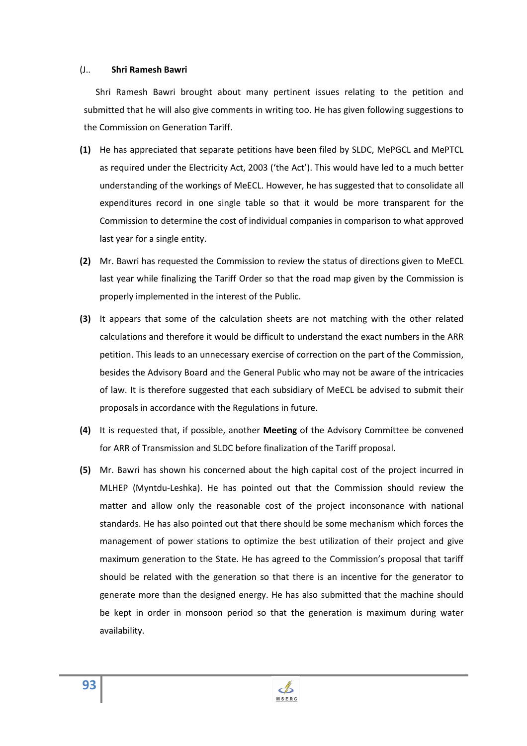#### (J.. **Shri Ramesh Bawri**

 Shri Ramesh Bawri brought about many pertinent issues relating to the petition and submitted that he will also give comments in writing too. He has given following suggestions to the Commission on Generation Tariff.

- **(1)** He has appreciated that separate petitions have been filed by SLDC, MePGCL and MePTCL as required under the Electricity Act, 2003 ('the Act'). This would have led to a much better understanding of the workings of MeECL. However, he has suggested that to consolidate all expenditures record in one single table so that it would be more transparent for the Commission to determine the cost of individual companies in comparison to what approved last year for a single entity.
- **(2)** Mr. Bawri has requested the Commission to review the status of directions given to MeECL last year while finalizing the Tariff Order so that the road map given by the Commission is properly implemented in the interest of the Public.
- **(3)** It appears that some of the calculation sheets are not matching with the other related calculations and therefore it would be difficult to understand the exact numbers in the ARR petition. This leads to an unnecessary exercise of correction on the part of the Commission, besides the Advisory Board and the General Public who may not be aware of the intricacies of law. It is therefore suggested that each subsidiary of MeECL be advised to submit their proposals in accordance with the Regulations in future.
- **(4)** It is requested that, if possible, another **Meeting** of the Advisory Committee be convened for ARR of Transmission and SLDC before finalization of the Tariff proposal.
- **(5)** Mr. Bawri has shown his concerned about the high capital cost of the project incurred in MLHEP (Myntdu-Leshka). He has pointed out that the Commission should review the matter and allow only the reasonable cost of the project inconsonance with national standards. He has also pointed out that there should be some mechanism which forces the management of power stations to optimize the best utilization of their project and give maximum generation to the State. He has agreed to the Commission's proposal that tariff should be related with the generation so that there is an incentive for the generator to generate more than the designed energy. He has also submitted that the machine should be kept in order in monsoon period so that the generation is maximum during water availability.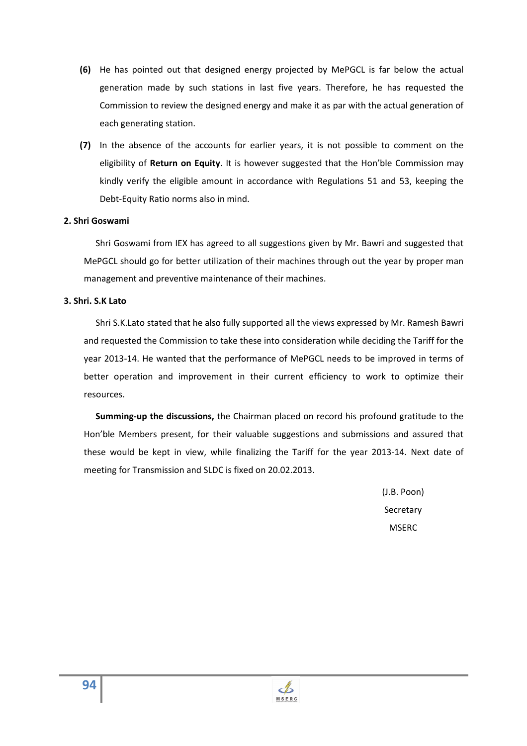- **(6)** He has pointed out that designed energy projected by MePGCL is far below the actual generation made by such stations in last five years. Therefore, he has requested the Commission to review the designed energy and make it as par with the actual generation of each generating station.
- **(7)** In the absence of the accounts for earlier years, it is not possible to comment on the eligibility of **Return on Equity**. It is however suggested that the Hon'ble Commission may kindly verify the eligible amount in accordance with Regulations 51 and 53, keeping the Debt-Equity Ratio norms also in mind.

## **2. Shri Goswami**

 Shri Goswami from IEX has agreed to all suggestions given by Mr. Bawri and suggested that MePGCL should go for better utilization of their machines through out the year by proper man management and preventive maintenance of their machines.

#### **3. Shri. S.K Lato**

 Shri S.K.Lato stated that he also fully supported all the views expressed by Mr. Ramesh Bawri and requested the Commission to take these into consideration while deciding the Tariff for the year 2013-14. He wanted that the performance of MePGCL needs to be improved in terms of better operation and improvement in their current efficiency to work to optimize their resources.

 **Summing-up the discussions,** the Chairman placed on record his profound gratitude to the Hon'ble Members present, for their valuable suggestions and submissions and assured that these would be kept in view, while finalizing the Tariff for the year 2013-14. Next date of meeting for Transmission and SLDC is fixed on 20.02.2013.

> (J.B. Poon) Secretary **MSFRC**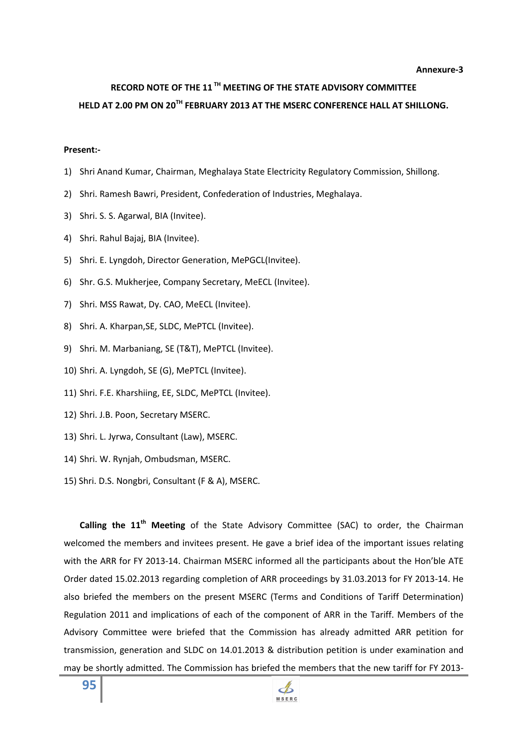# **RECORD NOTE OF THE 11 TH MEETING OF THE STATE ADVISORY COMMITTEE HELD AT 2.00 PM ON 20TH FEBRUARY 2013 AT THE MSERC CONFERENCE HALL AT SHILLONG.**

#### **Present:-**

- 1) Shri Anand Kumar, Chairman, Meghalaya State Electricity Regulatory Commission, Shillong.
- 2) Shri. Ramesh Bawri, President, Confederation of Industries, Meghalaya.
- 3) Shri. S. S. Agarwal, BIA (Invitee).
- 4) Shri. Rahul Bajaj, BIA (Invitee).
- 5) Shri. E. Lyngdoh, Director Generation, MePGCL(Invitee).
- 6) Shr. G.S. Mukherjee, Company Secretary, MeECL (Invitee).
- 7) Shri. MSS Rawat, Dy. CAO, MeECL (Invitee).
- 8) Shri. A. Kharpan,SE, SLDC, MePTCL (Invitee).
- 9) Shri. M. Marbaniang, SE (T&T), MePTCL (Invitee).
- 10) Shri. A. Lyngdoh, SE (G), MePTCL (Invitee).
- 11) Shri. F.E. Kharshiing, EE, SLDC, MePTCL (Invitee).
- 12) Shri. J.B. Poon, Secretary MSERC.
- 13) Shri. L. Jyrwa, Consultant (Law), MSERC.
- 14) Shri. W. Rynjah, Ombudsman, MSERC.
- 15) Shri. D.S. Nongbri, Consultant (F & A), MSERC.

**Calling the 11th Meeting** of the State Advisory Committee (SAC) to order, the Chairman welcomed the members and invitees present. He gave a brief idea of the important issues relating with the ARR for FY 2013-14. Chairman MSERC informed all the participants about the Hon'ble ATE Order dated 15.02.2013 regarding completion of ARR proceedings by 31.03.2013 for FY 2013-14. He also briefed the members on the present MSERC (Terms and Conditions of Tariff Determination) Regulation 2011 and implications of each of the component of ARR in the Tariff. Members of the Advisory Committee were briefed that the Commission has already admitted ARR petition for transmission, generation and SLDC on 14.01.2013 & distribution petition is under examination and may be shortly admitted. The Commission has briefed the members that the new tariff for FY 2013-

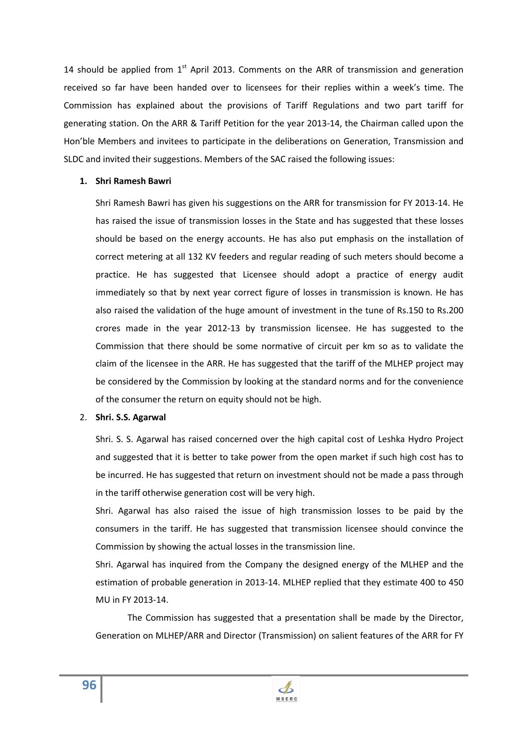14 should be applied from  $1<sup>st</sup>$  April 2013. Comments on the ARR of transmission and generation received so far have been handed over to licensees for their replies within a week's time. The Commission has explained about the provisions of Tariff Regulations and two part tariff for generating station. On the ARR & Tariff Petition for the year 2013-14, the Chairman called upon the Hon'ble Members and invitees to participate in the deliberations on Generation, Transmission and SLDC and invited their suggestions. Members of the SAC raised the following issues:

### **1. Shri Ramesh Bawri**

Shri Ramesh Bawri has given his suggestions on the ARR for transmission for FY 2013-14. He has raised the issue of transmission losses in the State and has suggested that these losses should be based on the energy accounts. He has also put emphasis on the installation of correct metering at all 132 KV feeders and regular reading of such meters should become a practice. He has suggested that Licensee should adopt a practice of energy audit immediately so that by next year correct figure of losses in transmission is known. He has also raised the validation of the huge amount of investment in the tune of Rs.150 to Rs.200 crores made in the year 2012-13 by transmission licensee. He has suggested to the Commission that there should be some normative of circuit per km so as to validate the claim of the licensee in the ARR. He has suggested that the tariff of the MLHEP project may be considered by the Commission by looking at the standard norms and for the convenience of the consumer the return on equity should not be high.

# 2. **Shri. S.S. Agarwal**

Shri. S. S. Agarwal has raised concerned over the high capital cost of Leshka Hydro Project and suggested that it is better to take power from the open market if such high cost has to be incurred. He has suggested that return on investment should not be made a pass through in the tariff otherwise generation cost will be very high.

Shri. Agarwal has also raised the issue of high transmission losses to be paid by the consumers in the tariff. He has suggested that transmission licensee should convince the Commission by showing the actual losses in the transmission line.

Shri. Agarwal has inquired from the Company the designed energy of the MLHEP and the estimation of probable generation in 2013-14. MLHEP replied that they estimate 400 to 450 MU in FY 2013-14.

 The Commission has suggested that a presentation shall be made by the Director, Generation on MLHEP/ARR and Director (Transmission) on salient features of the ARR for FY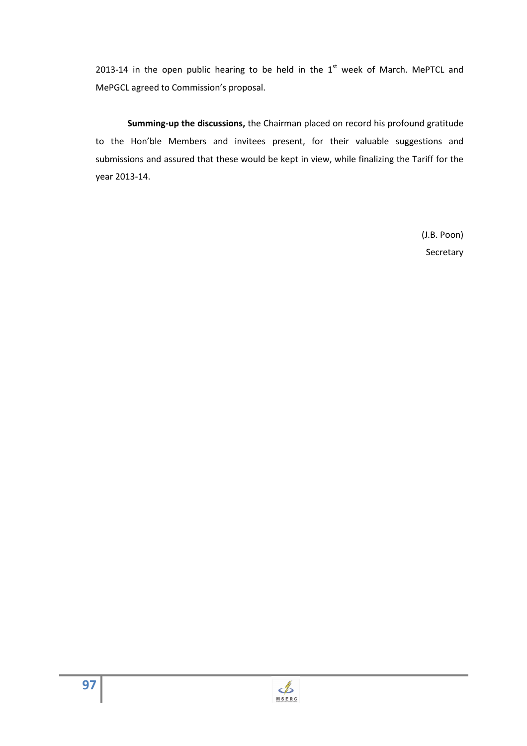2013-14 in the open public hearing to be held in the  $1<sup>st</sup>$  week of March. MePTCL and MePGCL agreed to Commission's proposal.

**Summing-up the discussions,** the Chairman placed on record his profound gratitude to the Hon'ble Members and invitees present, for their valuable suggestions and submissions and assured that these would be kept in view, while finalizing the Tariff for the year 2013-14.

> (J.B. Poon) Secretary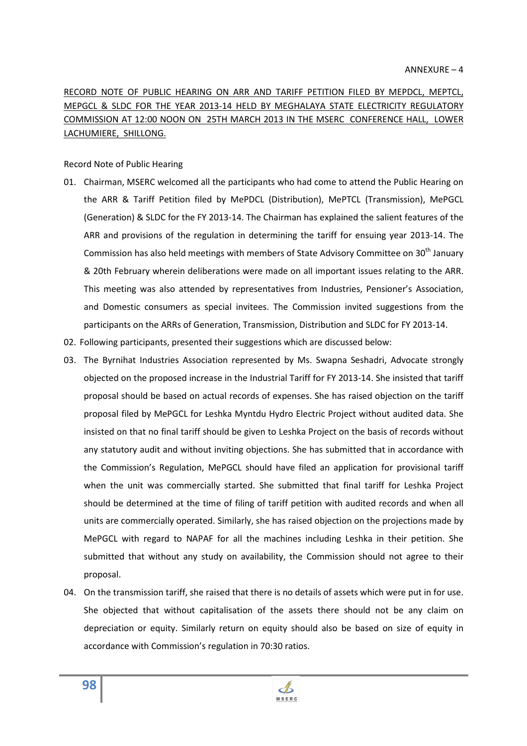RECORD NOTE OF PUBLIC HEARING ON ARR AND TARIFF PETITION FILED BY MEPDCL, MEPTCL, MEPGCL & SLDC FOR THE YEAR 2013-14 HELD BY MEGHALAYA STATE ELECTRICITY REGULATORY COMMISSION AT 12:00 NOON ON 25TH MARCH 2013 IN THE MSERC CONFERENCE HALL, LOWER LACHUMIERE, SHILLONG.

## Record Note of Public Hearing

- 01. Chairman, MSERC welcomed all the participants who had come to attend the Public Hearing on the ARR & Tariff Petition filed by MePDCL (Distribution), MePTCL (Transmission), MePGCL (Generation) & SLDC for the FY 2013-14. The Chairman has explained the salient features of the ARR and provisions of the regulation in determining the tariff for ensuing year 2013-14. The Commission has also held meetings with members of State Advisory Committee on  $30<sup>th</sup>$  January & 20th February wherein deliberations were made on all important issues relating to the ARR. This meeting was also attended by representatives from Industries, Pensioner's Association, and Domestic consumers as special invitees. The Commission invited suggestions from the participants on the ARRs of Generation, Transmission, Distribution and SLDC for FY 2013-14.
- 02. Following participants, presented their suggestions which are discussed below:
- 03. The Byrnihat Industries Association represented by Ms. Swapna Seshadri, Advocate strongly objected on the proposed increase in the Industrial Tariff for FY 2013-14. She insisted that tariff proposal should be based on actual records of expenses. She has raised objection on the tariff proposal filed by MePGCL for Leshka Myntdu Hydro Electric Project without audited data. She insisted on that no final tariff should be given to Leshka Project on the basis of records without any statutory audit and without inviting objections. She has submitted that in accordance with the Commission's Regulation, MePGCL should have filed an application for provisional tariff when the unit was commercially started. She submitted that final tariff for Leshka Project should be determined at the time of filing of tariff petition with audited records and when all units are commercially operated. Similarly, she has raised objection on the projections made by MePGCL with regard to NAPAF for all the machines including Leshka in their petition. She submitted that without any study on availability, the Commission should not agree to their proposal.
- 04. On the transmission tariff, she raised that there is no details of assets which were put in for use. She objected that without capitalisation of the assets there should not be any claim on depreciation or equity. Similarly return on equity should also be based on size of equity in accordance with Commission's regulation in 70:30 ratios.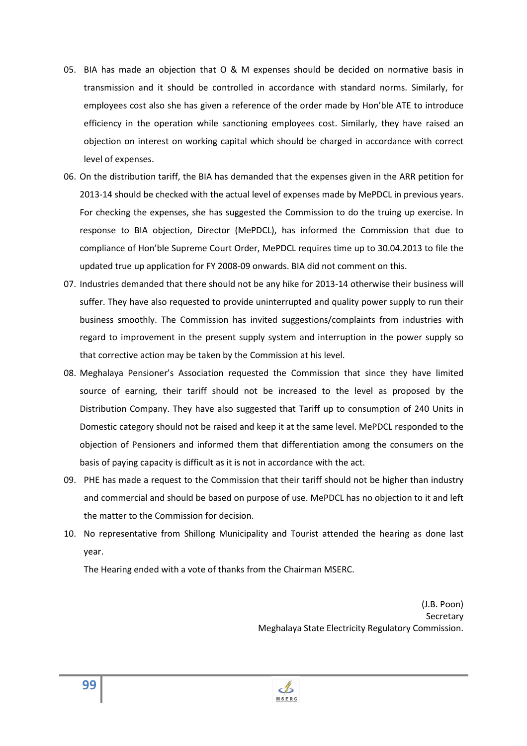- 05. BIA has made an objection that O & M expenses should be decided on normative basis in transmission and it should be controlled in accordance with standard norms. Similarly, for employees cost also she has given a reference of the order made by Hon'ble ATE to introduce efficiency in the operation while sanctioning employees cost. Similarly, they have raised an objection on interest on working capital which should be charged in accordance with correct level of expenses.
- 06. On the distribution tariff, the BIA has demanded that the expenses given in the ARR petition for 2013-14 should be checked with the actual level of expenses made by MePDCL in previous years. For checking the expenses, she has suggested the Commission to do the truing up exercise. In response to BIA objection, Director (MePDCL), has informed the Commission that due to compliance of Hon'ble Supreme Court Order, MePDCL requires time up to 30.04.2013 to file the updated true up application for FY 2008-09 onwards. BIA did not comment on this.
- 07. Industries demanded that there should not be any hike for 2013-14 otherwise their business will suffer. They have also requested to provide uninterrupted and quality power supply to run their business smoothly. The Commission has invited suggestions/complaints from industries with regard to improvement in the present supply system and interruption in the power supply so that corrective action may be taken by the Commission at his level.
- 08. Meghalaya Pensioner's Association requested the Commission that since they have limited source of earning, their tariff should not be increased to the level as proposed by the Distribution Company. They have also suggested that Tariff up to consumption of 240 Units in Domestic category should not be raised and keep it at the same level. MePDCL responded to the objection of Pensioners and informed them that differentiation among the consumers on the basis of paying capacity is difficult as it is not in accordance with the act.
- 09. PHE has made a request to the Commission that their tariff should not be higher than industry and commercial and should be based on purpose of use. MePDCL has no objection to it and left the matter to the Commission for decision.
- 10. No representative from Shillong Municipality and Tourist attended the hearing as done last year.

The Hearing ended with a vote of thanks from the Chairman MSERC.

(J.B. Poon) **Secretary** Meghalaya State Electricity Regulatory Commission.